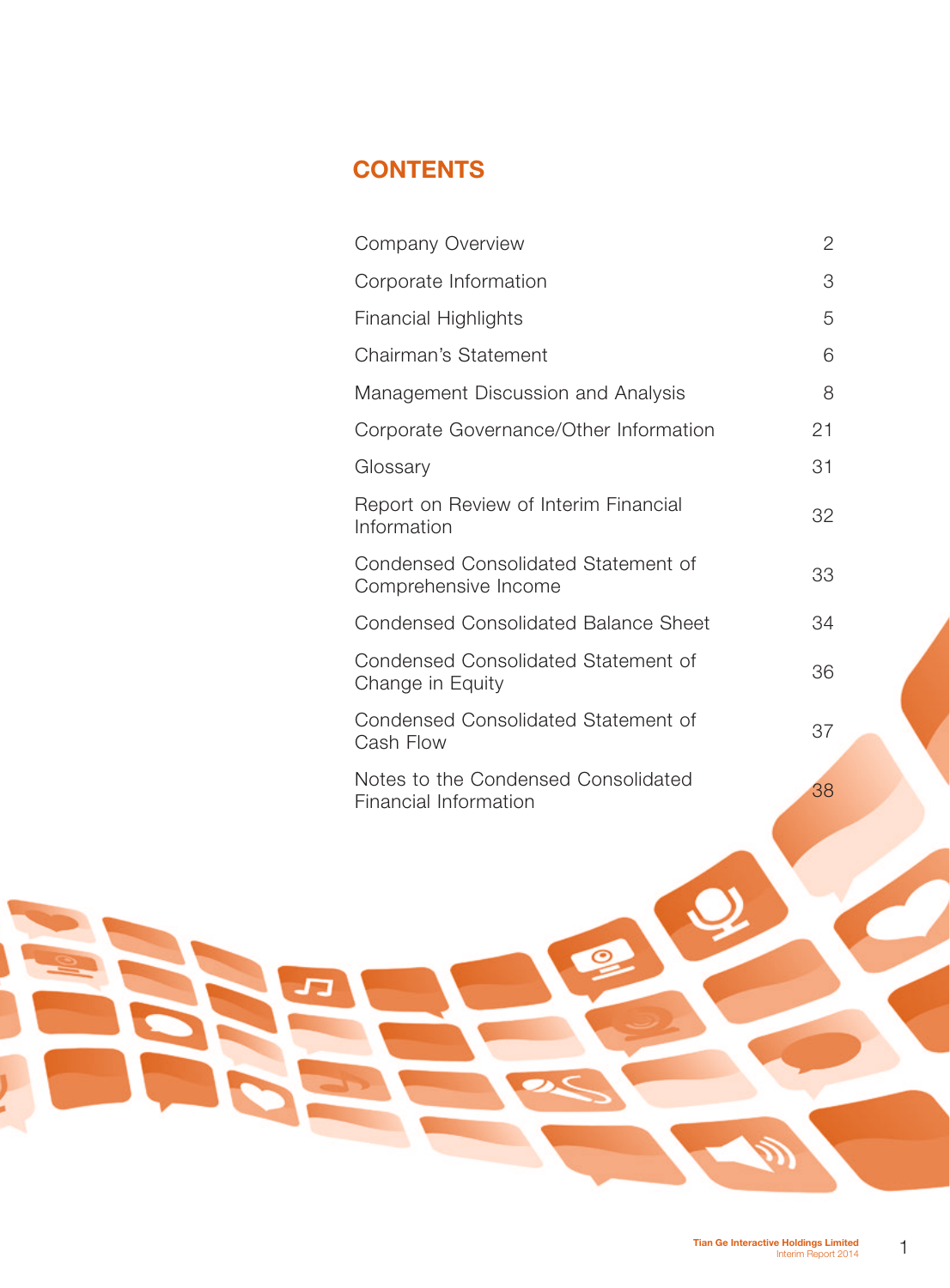# **CONTENTS**

| Company Overview                                             | 2  |
|--------------------------------------------------------------|----|
| Corporate Information                                        | 3  |
| <b>Financial Highlights</b>                                  | 5  |
| Chairman's Statement                                         | 6  |
| Management Discussion and Analysis                           | 8  |
| Corporate Governance/Other Information                       | 21 |
| Glossary                                                     | 31 |
| Report on Review of Interim Financial<br>Information         | 32 |
| Condensed Consolidated Statement of<br>Comprehensive Income  | 33 |
| <b>Condensed Consolidated Balance Sheet</b>                  | 34 |
| Condensed Consolidated Statement of<br>Change in Equity      | 36 |
| Condensed Consolidated Statement of<br>Cash Flow             | 37 |
| Notes to the Condensed Consolidated<br>Financial Information | 38 |

 $\circ$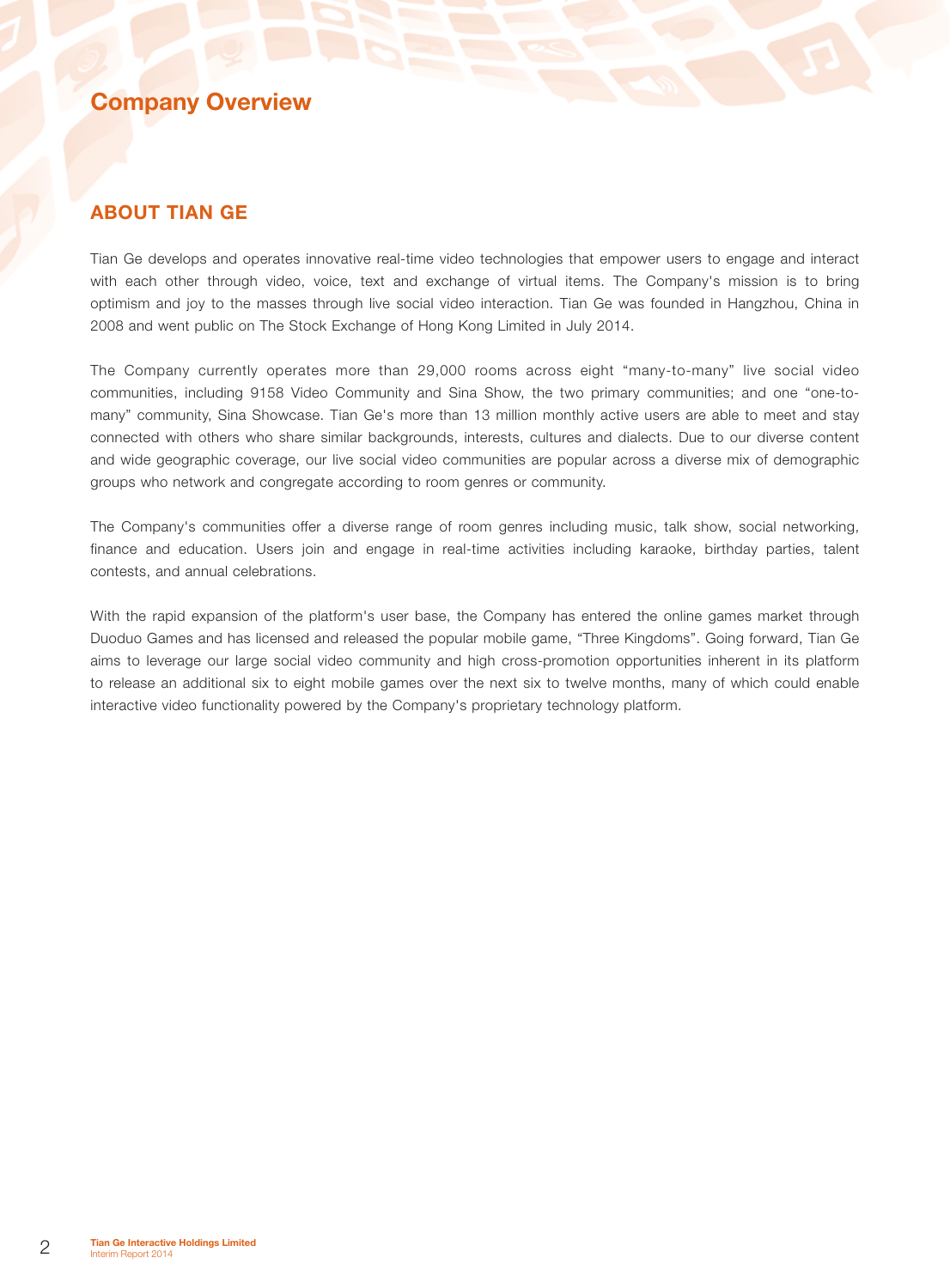## Company Overview

### About Tian Ge

Tian Ge develops and operates innovative real-time video technologies that empower users to engage and interact with each other through video, voice, text and exchange of virtual items. The Company's mission is to bring optimism and joy to the masses through live social video interaction. Tian Ge was founded in Hangzhou, China in 2008 and went public on The Stock Exchange of Hong Kong Limited in July 2014.

The Company currently operates more than 29,000 rooms across eight "many-to-many" live social video communities, including 9158 Video Community and Sina Show, the two primary communities; and one "one-tomany" community, Sina Showcase. Tian Ge's more than 13 million monthly active users are able to meet and stay connected with others who share similar backgrounds, interests, cultures and dialects. Due to our diverse content and wide geographic coverage, our live social video communities are popular across a diverse mix of demographic groups who network and congregate according to room genres or community.

The Company's communities offer a diverse range of room genres including music, talk show, social networking, finance and education. Users join and engage in real-time activities including karaoke, birthday parties, talent contests, and annual celebrations.

With the rapid expansion of the platform's user base, the Company has entered the online games market through Duoduo Games and has licensed and released the popular mobile game, "Three Kingdoms". Going forward, Tian Ge aims to leverage our large social video community and high cross-promotion opportunities inherent in its platform to release an additional six to eight mobile games over the next six to twelve months, many of which could enable interactive video functionality powered by the Company's proprietary technology platform.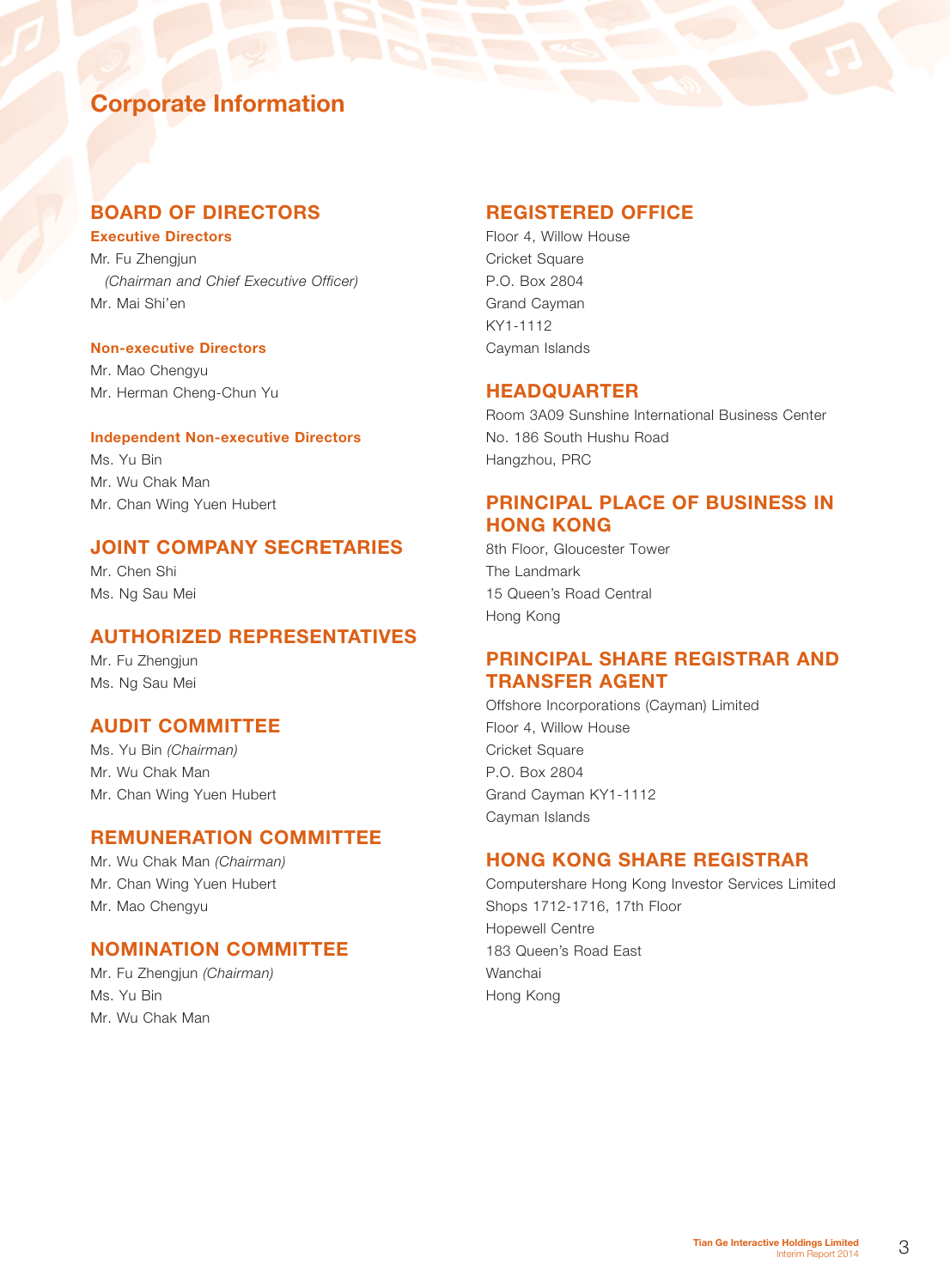# Corporate Information

### BOARD OF DIRECTORS Executive Directors

Mr. Fu Zhengjun *(Chairman and Chief Executive Officer)* Mr. Mai Shi'en

### Non-executive Directors

Mr. Mao Chengyu Mr. Herman Cheng-Chun Yu

### Independent Non-executive Directors

Ms. Yu Bin Mr. Wu Chak Man Mr. Chan Wing Yuen Hubert

## JOINT COMPANY SECRETARIES

Mr. Chen Shi Ms. Ng Sau Mei

### AUTHORIZED REPRESENTATIVES

Mr. Fu Zhengjun Ms. Ng Sau Mei

### AUDIT COMMITTEE

Ms. Yu Bin *(Chairman)* Mr. Wu Chak Man Mr. Chan Wing Yuen Hubert

### REMUNERATION COMMITTEE

Mr. Wu Chak Man *(Chairman)* Mr. Chan Wing Yuen Hubert Mr. Mao Chengyu

### NOMINATION COMMITTEE

Mr. Fu Zhengjun *(Chairman)* Ms. Yu Bin Mr. Wu Chak Man

### REGISTERED OFFICE

Floor 4, Willow House Cricket Square P.O. Box 2804 Grand Cayman KY1-1112 Cayman Islands

### HEADQUARTER

Room 3A09 Sunshine International Business Center No. 186 South Hushu Road Hangzhou, PRC

## PRINCIPAL PLACE OF BUSINESS IN HONG KONG

8th Floor, Gloucester Tower The Landmark 15 Queen's Road Central Hong Kong

## PRINCIPAL SHARE REGISTRAR AND TRANSFER AGENT

Offshore Incorporations (Cayman) Limited Floor 4, Willow House Cricket Square P.O. Box 2804 Grand Cayman KY1-1112 Cayman Islands

## HONG KONG SHARE REGISTRAR

Computershare Hong Kong Investor Services Limited Shops 1712-1716, 17th Floor Hopewell Centre 183 Queen's Road East Wanchai Hong Kong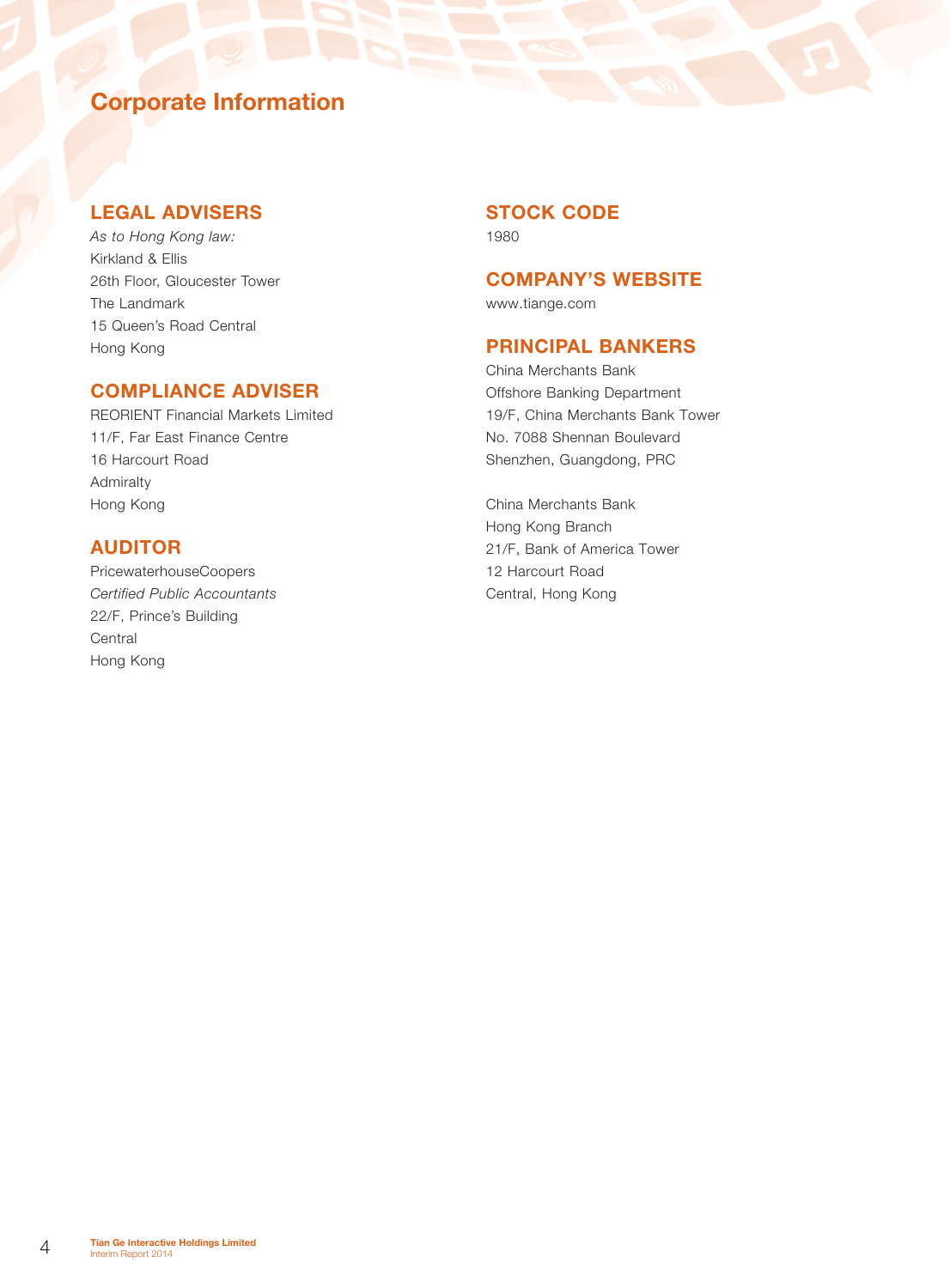# Corporate Information

### LEGAL ADVISERS

*As to Hong Kong law:* Kirkland & Ellis 26th Floor, Gloucester Tower The Landmark 15 Queen's Road Central Hong Kong

## COMPLIANCE ADVISER

REORIENT Financial Markets Limited 11/F, Far East Finance Centre 16 Harcourt Road Admiralty Hong Kong

## AUDITOR

PricewaterhouseCoopers *Certified Public Accountants* 22/F, Prince's Building **Central** Hong Kong

# STOCK CODE

1980

### COMPANY'S WEBSITE

www.tiange.com

## PRINCIPAL BANKERS

China Merchants Bank Offshore Banking Department 19/F, China Merchants Bank Tower No. 7088 Shennan Boulevard Shenzhen, Guangdong, PRC

China Merchants Bank Hong Kong Branch 21/F, Bank of America Tower 12 Harcourt Road Central, Hong Kong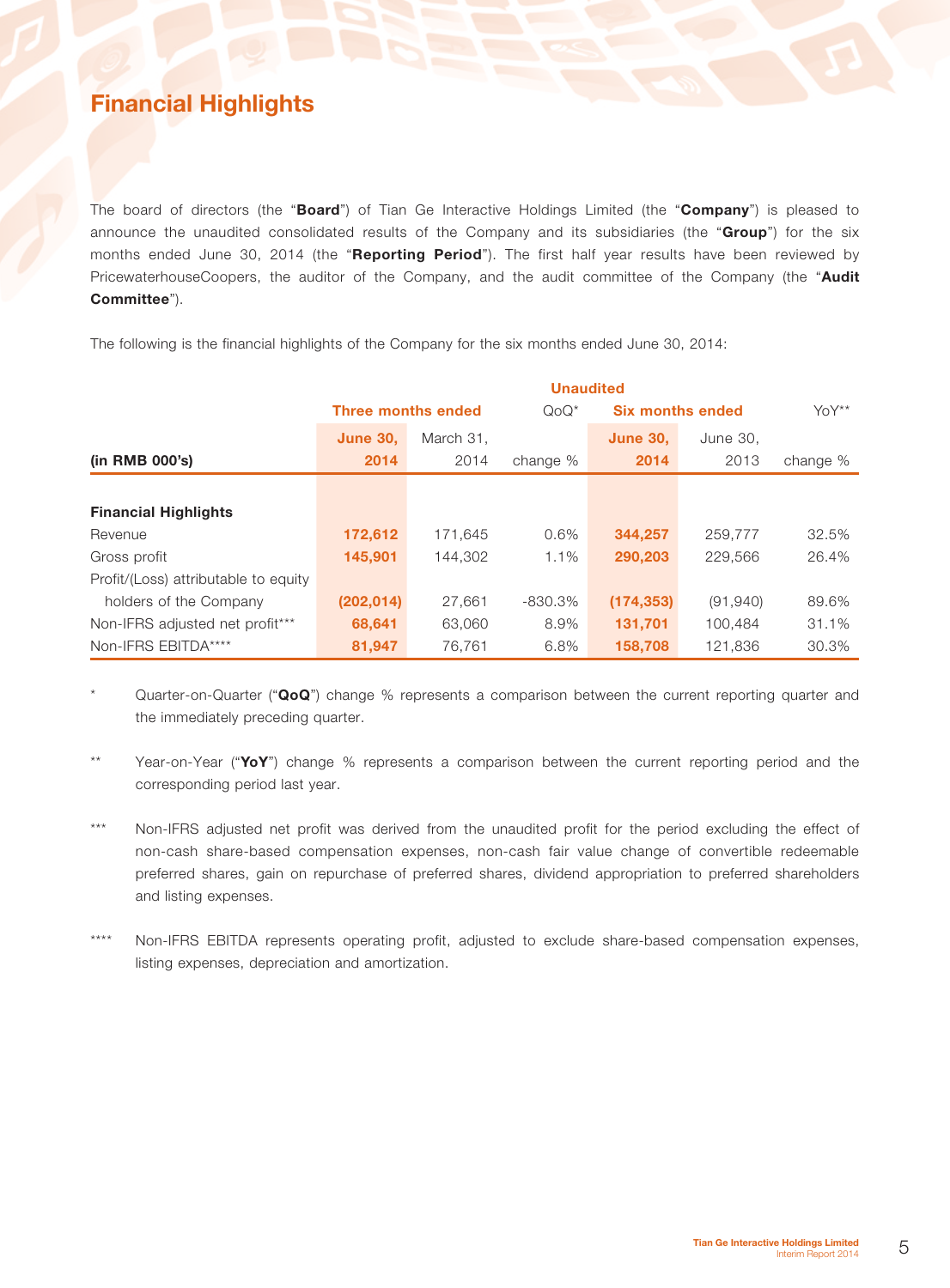# Financial Highlights

The board of directors (the "Board") of Tian Ge Interactive Holdings Limited (the "Company") is pleased to announce the unaudited consolidated results of the Company and its subsidiaries (the "Group") for the six months ended June 30, 2014 (the "Reporting Period"). The first half year results have been reviewed by PricewaterhouseCoopers, the auditor of the Company, and the audit committee of the Company (the "Audit Committee").

The following is the financial highlights of the Company for the six months ended June 30, 2014:

|                                      | <b>Unaudited</b>   |           |           |                         |           |          |
|--------------------------------------|--------------------|-----------|-----------|-------------------------|-----------|----------|
|                                      | Three months ended |           | $Q_0Q^*$  | <b>Six months ended</b> |           | YoY**    |
|                                      | <b>June 30,</b>    | March 31. |           | <b>June 30.</b>         | June 30,  |          |
| (in RMB 000's)                       | 2014               | 2014      | change %  | 2014                    | 2013      | change % |
|                                      |                    |           |           |                         |           |          |
| <b>Financial Highlights</b>          |                    |           |           |                         |           |          |
| Revenue                              | 172,612            | 171,645   | 0.6%      | 344,257                 | 259,777   | 32.5%    |
| Gross profit                         | 145.901            | 144.302   | 1.1%      | 290,203                 | 229,566   | 26.4%    |
| Profit/(Loss) attributable to equity |                    |           |           |                         |           |          |
| holders of the Company               | (202, 014)         | 27,661    | $-830.3%$ | (174, 353)              | (91, 940) | 89.6%    |
| Non-IFRS adjusted net profit***      | 68,641             | 63,060    | 8.9%      | 131,701                 | 100,484   | 31.1%    |
| Non-IFRS EBITDA****                  | 81,947             | 76,761    | 6.8%      | 158,708                 | 121,836   | 30.3%    |

Quarter-on-Quarter ("QoQ") change % represents a comparison between the current reporting quarter and the immediately preceding quarter.

\*\* Year-on-Year ("YoY") change % represents a comparison between the current reporting period and the corresponding period last year.

- \*\*\* Non-IFRS adjusted net profit was derived from the unaudited profit for the period excluding the effect of non-cash share-based compensation expenses, non-cash fair value change of convertible redeemable preferred shares, gain on repurchase of preferred shares, dividend appropriation to preferred shareholders and listing expenses.
- \*\*\*\* Non-IFRS EBITDA represents operating profit, adjusted to exclude share-based compensation expenses, listing expenses, depreciation and amortization.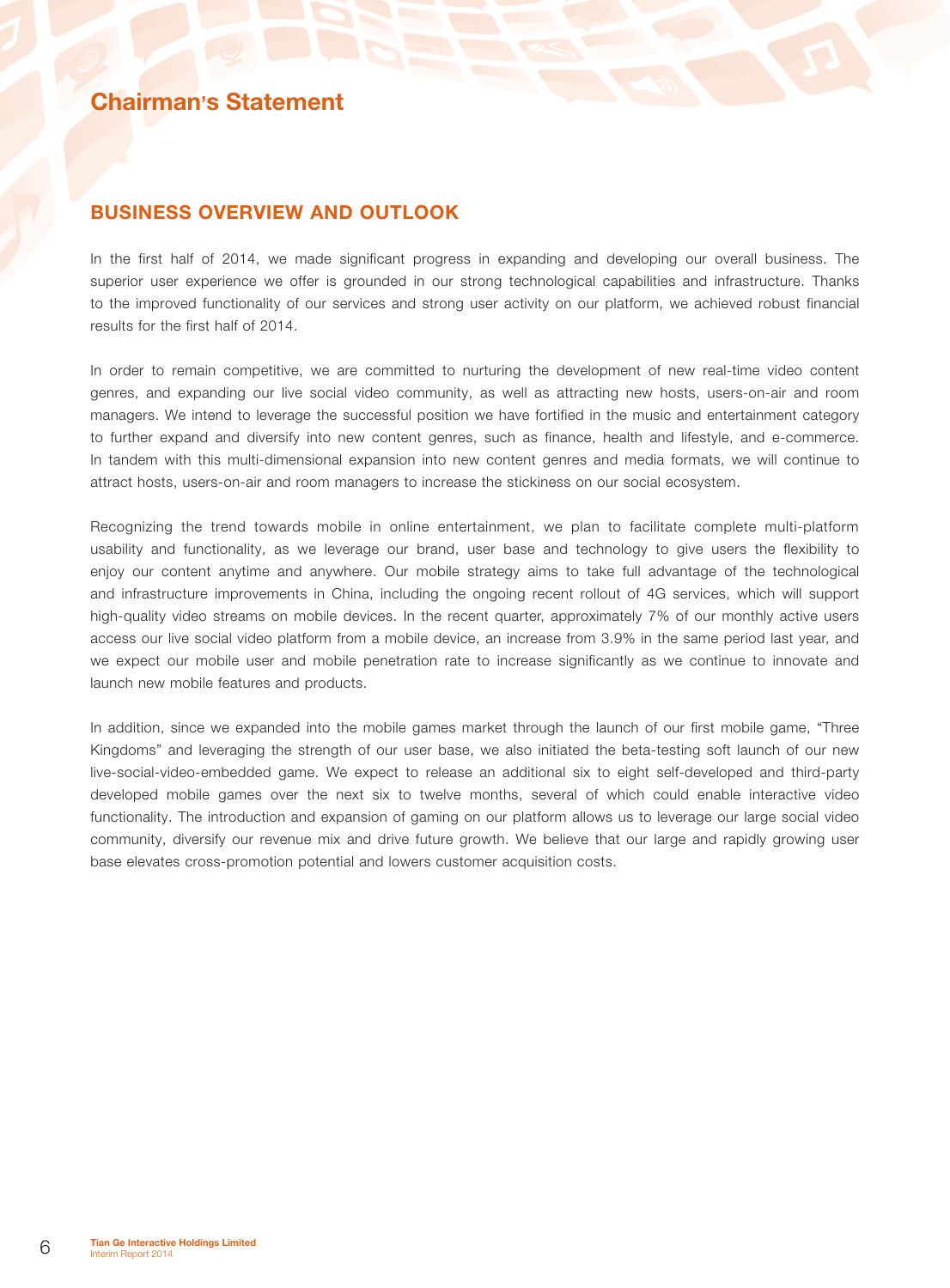## Chairman's Statement

### BUSINESS OVERVIEW AND OUTLOOK

In the first half of 2014, we made significant progress in expanding and developing our overall business. The superior user experience we offer is grounded in our strong technological capabilities and infrastructure. Thanks to the improved functionality of our services and strong user activity on our platform, we achieved robust financial results for the first half of 2014.

In order to remain competitive, we are committed to nurturing the development of new real-time video content genres, and expanding our live social video community, as well as attracting new hosts, users-on-air and room managers. We intend to leverage the successful position we have fortified in the music and entertainment category to further expand and diversify into new content genres, such as finance, health and lifestyle, and e-commerce. In tandem with this multi-dimensional expansion into new content genres and media formats, we will continue to attract hosts, users-on-air and room managers to increase the stickiness on our social ecosystem.

Recognizing the trend towards mobile in online entertainment, we plan to facilitate complete multi-platform usability and functionality, as we leverage our brand, user base and technology to give users the flexibility to enjoy our content anytime and anywhere. Our mobile strategy aims to take full advantage of the technological and infrastructure improvements in China, including the ongoing recent rollout of 4G services, which will support high-quality video streams on mobile devices. In the recent quarter, approximately 7% of our monthly active users access our live social video platform from a mobile device, an increase from 3.9% in the same period last year, and we expect our mobile user and mobile penetration rate to increase significantly as we continue to innovate and launch new mobile features and products.

In addition, since we expanded into the mobile games market through the launch of our first mobile game, "Three Kingdoms" and leveraging the strength of our user base, we also initiated the beta-testing soft launch of our new live-social-video-embedded game. We expect to release an additional six to eight self-developed and third-party developed mobile games over the next six to twelve months, several of which could enable interactive video functionality. The introduction and expansion of gaming on our platform allows us to leverage our large social video community, diversify our revenue mix and drive future growth. We believe that our large and rapidly growing user base elevates cross-promotion potential and lowers customer acquisition costs.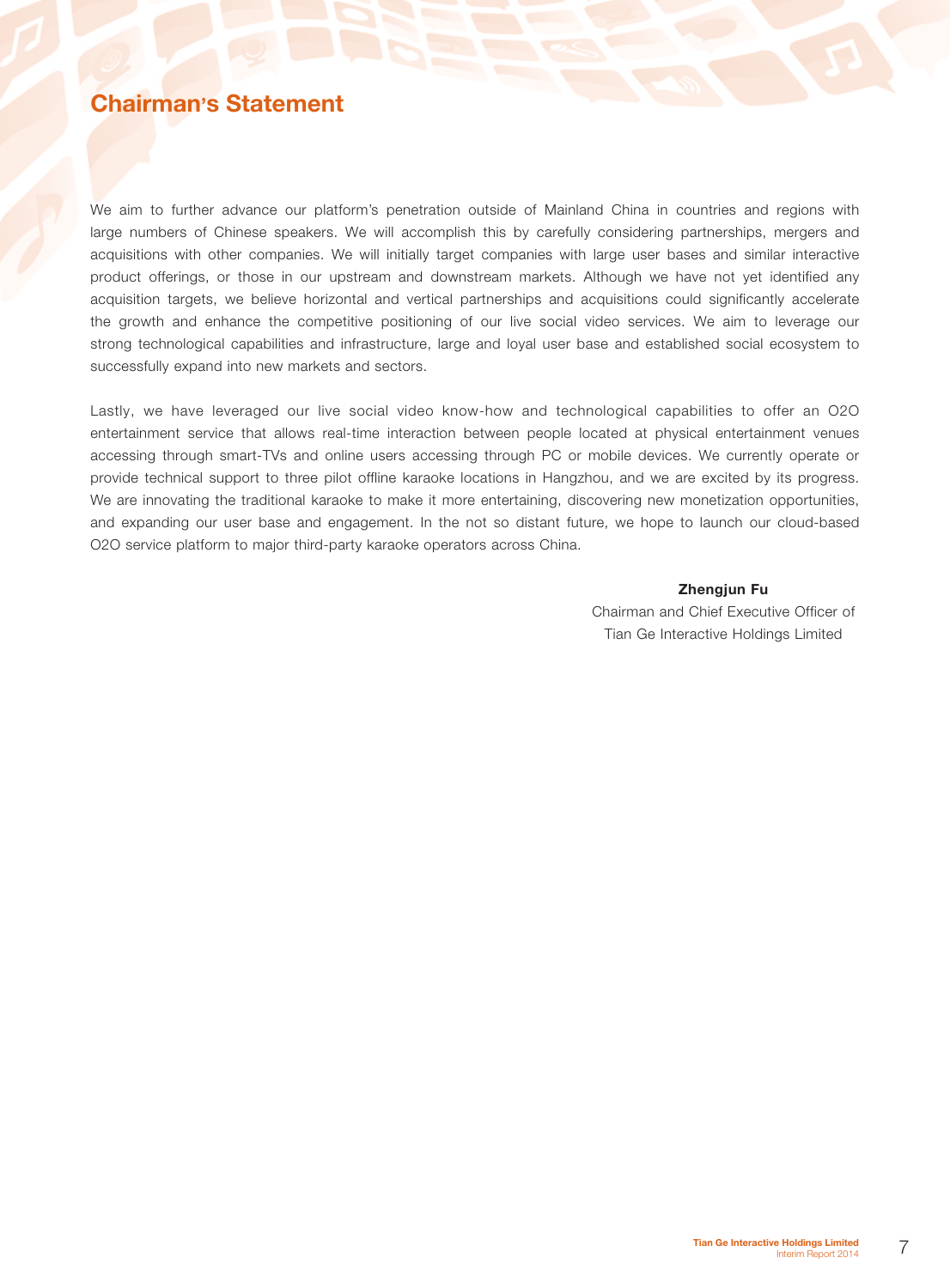# Chairman's Statement

We aim to further advance our platform's penetration outside of Mainland China in countries and regions with large numbers of Chinese speakers. We will accomplish this by carefully considering partnerships, mergers and acquisitions with other companies. We will initially target companies with large user bases and similar interactive product offerings, or those in our upstream and downstream markets. Although we have not yet identified any acquisition targets, we believe horizontal and vertical partnerships and acquisitions could significantly accelerate the growth and enhance the competitive positioning of our live social video services. We aim to leverage our strong technological capabilities and infrastructure, large and loyal user base and established social ecosystem to successfully expand into new markets and sectors.

Lastly, we have leveraged our live social video know-how and technological capabilities to offer an O2O entertainment service that allows real-time interaction between people located at physical entertainment venues accessing through smart-TVs and online users accessing through PC or mobile devices. We currently operate or provide technical support to three pilot offline karaoke locations in Hangzhou, and we are excited by its progress. We are innovating the traditional karaoke to make it more entertaining, discovering new monetization opportunities, and expanding our user base and engagement. In the not so distant future, we hope to launch our cloud-based O2O service platform to major third-party karaoke operators across China.

### Zhengjun Fu

Chairman and Chief Executive Officer of Tian Ge Interactive Holdings Limited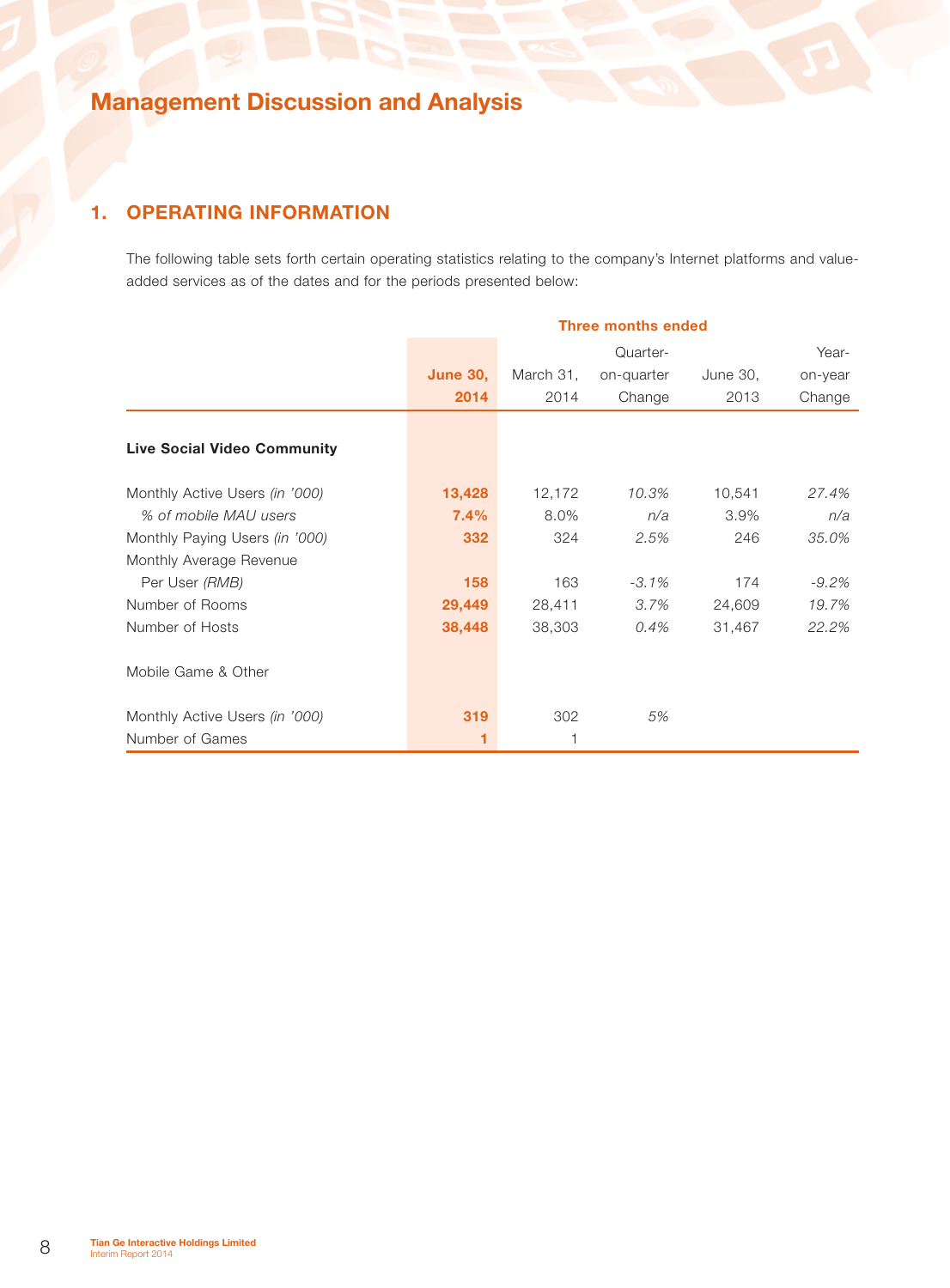## 1. Operating Information

The following table sets forth certain operating statistics relating to the company's Internet platforms and valueadded services as of the dates and for the periods presented below:

|                                    | <b>Three months ended</b> |           |            |          |         |
|------------------------------------|---------------------------|-----------|------------|----------|---------|
|                                    |                           |           | Quarter-   |          | Year-   |
|                                    | <b>June 30,</b>           | March 31, | on-quarter | June 30, | on-year |
|                                    | 2014                      | 2014      | Change     | 2013     | Change  |
|                                    |                           |           |            |          |         |
| <b>Live Social Video Community</b> |                           |           |            |          |         |
| Monthly Active Users (in '000)     | 13,428                    | 12,172    | 10.3%      | 10,541   | 27.4%   |
| % of mobile MAU users              | 7.4%                      | 8.0%      | n/a        | $3.9\%$  | n/a     |
| Monthly Paying Users (in '000)     | 332                       | 324       | 2.5%       | 246      | 35.0%   |
| Monthly Average Revenue            |                           |           |            |          |         |
| Per User (RMB)                     | 158                       | 163       | $-3.1\%$   | 174      | $-9.2%$ |
| Number of Rooms                    | 29,449                    | 28,411    | 3.7%       | 24,609   | 19.7%   |
| Number of Hosts                    | 38,448                    | 38,303    | 0.4%       | 31,467   | 22.2%   |
| Mobile Game & Other                |                           |           |            |          |         |
| Monthly Active Users (in '000)     | 319                       | 302       | 5%         |          |         |
| Number of Games                    |                           |           |            |          |         |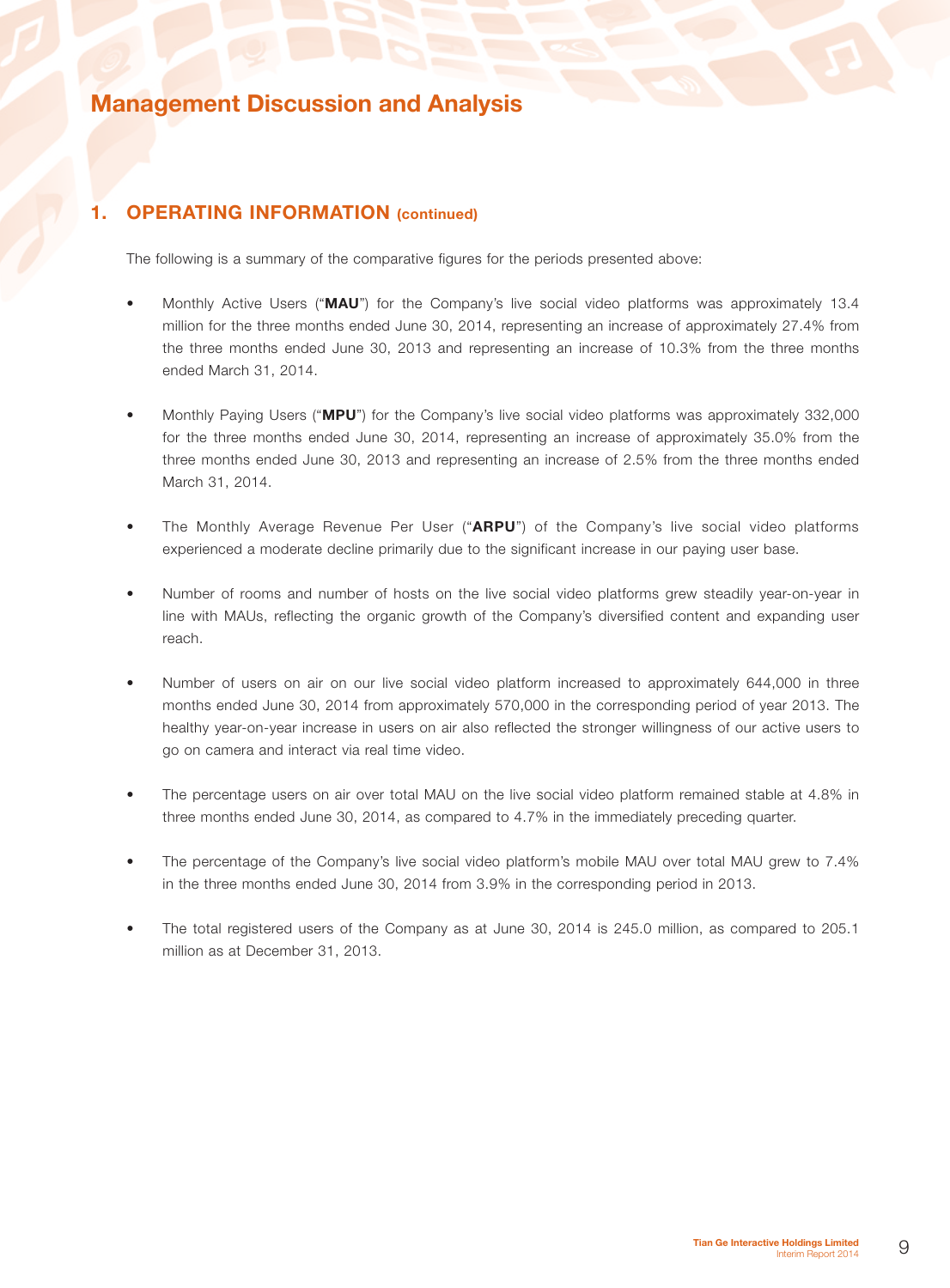### 1. **OPERATING INFORMATION** (continued)

The following is a summary of the comparative figures for the periods presented above:

- Monthly Active Users ("MAU") for the Company's live social video platforms was approximately 13.4 million for the three months ended June 30, 2014, representing an increase of approximately 27.4% from the three months ended June 30, 2013 and representing an increase of 10.3% from the three months ended March 31, 2014.
- Monthly Paying Users ("MPU") for the Company's live social video platforms was approximately 332,000 for the three months ended June 30, 2014, representing an increase of approximately 35.0% from the three months ended June 30, 2013 and representing an increase of 2.5% from the three months ended March 31, 2014.
- The Monthly Average Revenue Per User ("ARPU") of the Company's live social video platforms experienced a moderate decline primarily due to the significant increase in our paying user base.
- Number of rooms and number of hosts on the live social video platforms grew steadily year-on-year in line with MAUs, reflecting the organic growth of the Company's diversified content and expanding user reach.
- Number of users on air on our live social video platform increased to approximately 644,000 in three months ended June 30, 2014 from approximately 570,000 in the corresponding period of year 2013. The healthy year-on-year increase in users on air also reflected the stronger willingness of our active users to go on camera and interact via real time video.
- The percentage users on air over total MAU on the live social video platform remained stable at 4.8% in three months ended June 30, 2014, as compared to 4.7% in the immediately preceding quarter.
- The percentage of the Company's live social video platform's mobile MAU over total MAU grew to 7.4% in the three months ended June 30, 2014 from 3.9% in the corresponding period in 2013.
- The total registered users of the Company as at June 30, 2014 is 245.0 million, as compared to 205.1 million as at December 31, 2013.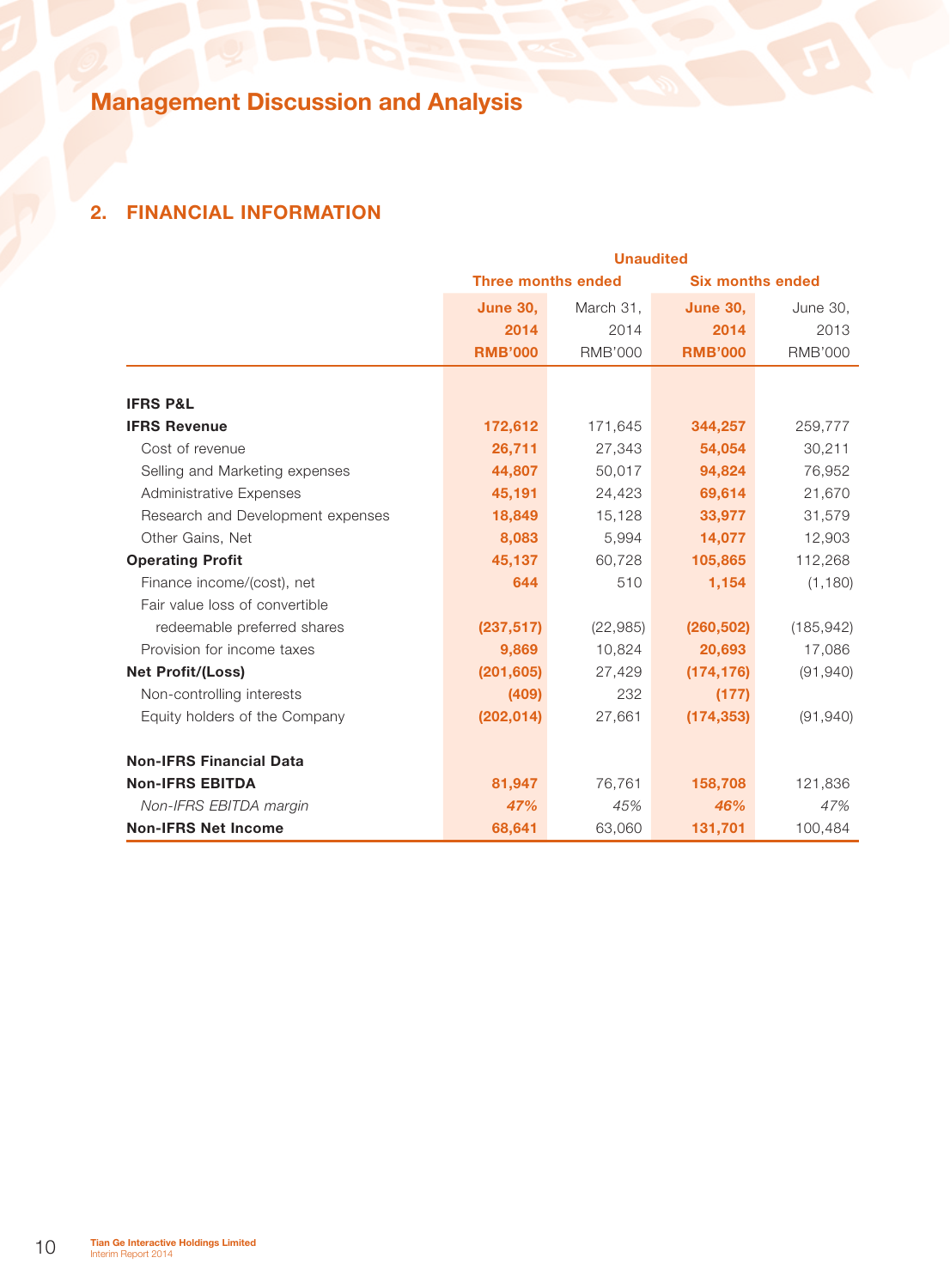# 2. Financial Information

|                                   |                 | <b>Unaudited</b>          |                 |                         |  |  |
|-----------------------------------|-----------------|---------------------------|-----------------|-------------------------|--|--|
|                                   |                 | <b>Three months ended</b> |                 | <b>Six months ended</b> |  |  |
|                                   | <b>June 30,</b> | March 31,                 | <b>June 30,</b> | <b>June 30,</b>         |  |  |
|                                   | 2014            | 2014                      | 2014            | 2013                    |  |  |
|                                   | <b>RMB'000</b>  | <b>RMB'000</b>            | <b>RMB'000</b>  | <b>RMB'000</b>          |  |  |
|                                   |                 |                           |                 |                         |  |  |
| <b>IFRS P&amp;L</b>               |                 |                           |                 |                         |  |  |
| <b>IFRS Revenue</b>               | 172,612         | 171,645                   | 344,257         | 259,777                 |  |  |
| Cost of revenue                   | 26,711          | 27,343                    | 54,054          | 30,211                  |  |  |
| Selling and Marketing expenses    | 44,807          | 50,017                    | 94,824          | 76,952                  |  |  |
| <b>Administrative Expenses</b>    | 45,191          | 24,423                    | 69,614          | 21,670                  |  |  |
| Research and Development expenses | 18,849          | 15,128                    | 33,977          | 31,579                  |  |  |
| Other Gains, Net                  | 8,083           | 5,994                     | 14,077          | 12,903                  |  |  |
| <b>Operating Profit</b>           | 45,137          | 60,728                    | 105,865         | 112,268                 |  |  |
| Finance income/(cost), net        | 644             | 510                       | 1,154           | (1, 180)                |  |  |
| Fair value loss of convertible    |                 |                           |                 |                         |  |  |
| redeemable preferred shares       | (237, 517)      | (22, 985)                 | (260, 502)      | (185, 942)              |  |  |
| Provision for income taxes        | 9,869           | 10,824                    | 20,693          | 17,086                  |  |  |
| <b>Net Profit/(Loss)</b>          | (201, 605)      | 27,429                    | (174, 176)      | (91, 940)               |  |  |
| Non-controlling interests         | (409)           | 232                       | (177)           |                         |  |  |
| Equity holders of the Company     | (202, 014)      | 27,661                    | (174, 353)      | (91, 940)               |  |  |
| <b>Non-IFRS Financial Data</b>    |                 |                           |                 |                         |  |  |
| <b>Non-IFRS EBITDA</b>            | 81,947          | 76,761                    | 158,708         | 121,836                 |  |  |
| Non-IFRS EBITDA margin            | 47%             | 45%                       | 46%             | 47%                     |  |  |
| <b>Non-IFRS Net Income</b>        | 68,641          | 63,060                    | 131,701         | 100,484                 |  |  |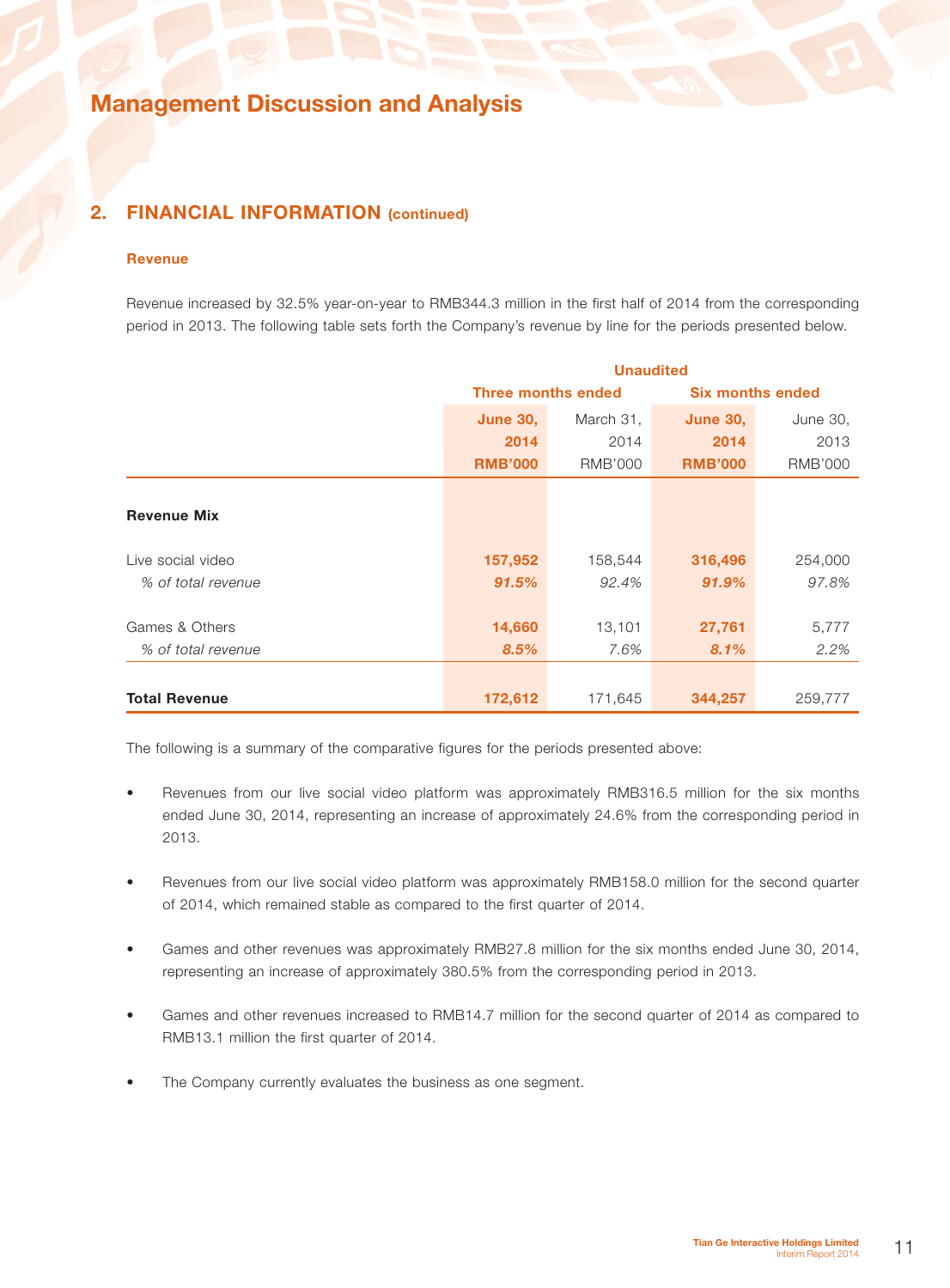### 2. FINANCIAL INFORMATION (continued)

#### Revenue

Revenue increased by 32.5% year-on-year to RMB344.3 million in the first half of 2014 from the corresponding period in 2013. The following table sets forth the Company's revenue by line for the periods presented below.

|                      | <b>Unaudited</b>                         |                           |                 |                         |  |  |
|----------------------|------------------------------------------|---------------------------|-----------------|-------------------------|--|--|
|                      |                                          | <b>Three months ended</b> |                 | <b>Six months ended</b> |  |  |
|                      | <b>June 30,</b>                          | March 31,                 | <b>June 30,</b> | June 30,                |  |  |
|                      | 2014                                     | 2014                      | 2014            | 2013                    |  |  |
|                      | <b>RMB'000</b>                           | <b>RMB'000</b>            | <b>RMB'000</b>  | RMB'000                 |  |  |
|                      |                                          |                           |                 |                         |  |  |
| <b>Revenue Mix</b>   |                                          |                           |                 |                         |  |  |
| Live social video    | 157,952                                  | 158,544                   | 316,496         | 254,000                 |  |  |
| % of total revenue   | 91.5%                                    | 92.4%                     | 91.9%           | 97.8%                   |  |  |
|                      |                                          |                           |                 |                         |  |  |
| Games & Others       | 14,660<br>13,101                         |                           | 27,761          | 5,777                   |  |  |
| % of total revenue   | 8.5%                                     | 7.6%                      | 8.1%            | 2.2%                    |  |  |
|                      |                                          |                           |                 |                         |  |  |
| <b>Total Revenue</b> | 172,612<br>344,257<br>259,777<br>171,645 |                           |                 |                         |  |  |

The following is a summary of the comparative figures for the periods presented above:

- Revenues from our live social video platform was approximately RMB316.5 million for the six months ended June 30, 2014, representing an increase of approximately 24.6% from the corresponding period in 2013.
- Revenues from our live social video platform was approximately RMB158.0 million for the second quarter of 2014, which remained stable as compared to the first quarter of 2014.
- Games and other revenues was approximately RMB27.8 million for the six months ended June 30, 2014, representing an increase of approximately 380.5% from the corresponding period in 2013.
- Games and other revenues increased to RMB14.7 million for the second quarter of 2014 as compared to RMB13.1 million the first quarter of 2014.
- The Company currently evaluates the business as one segment.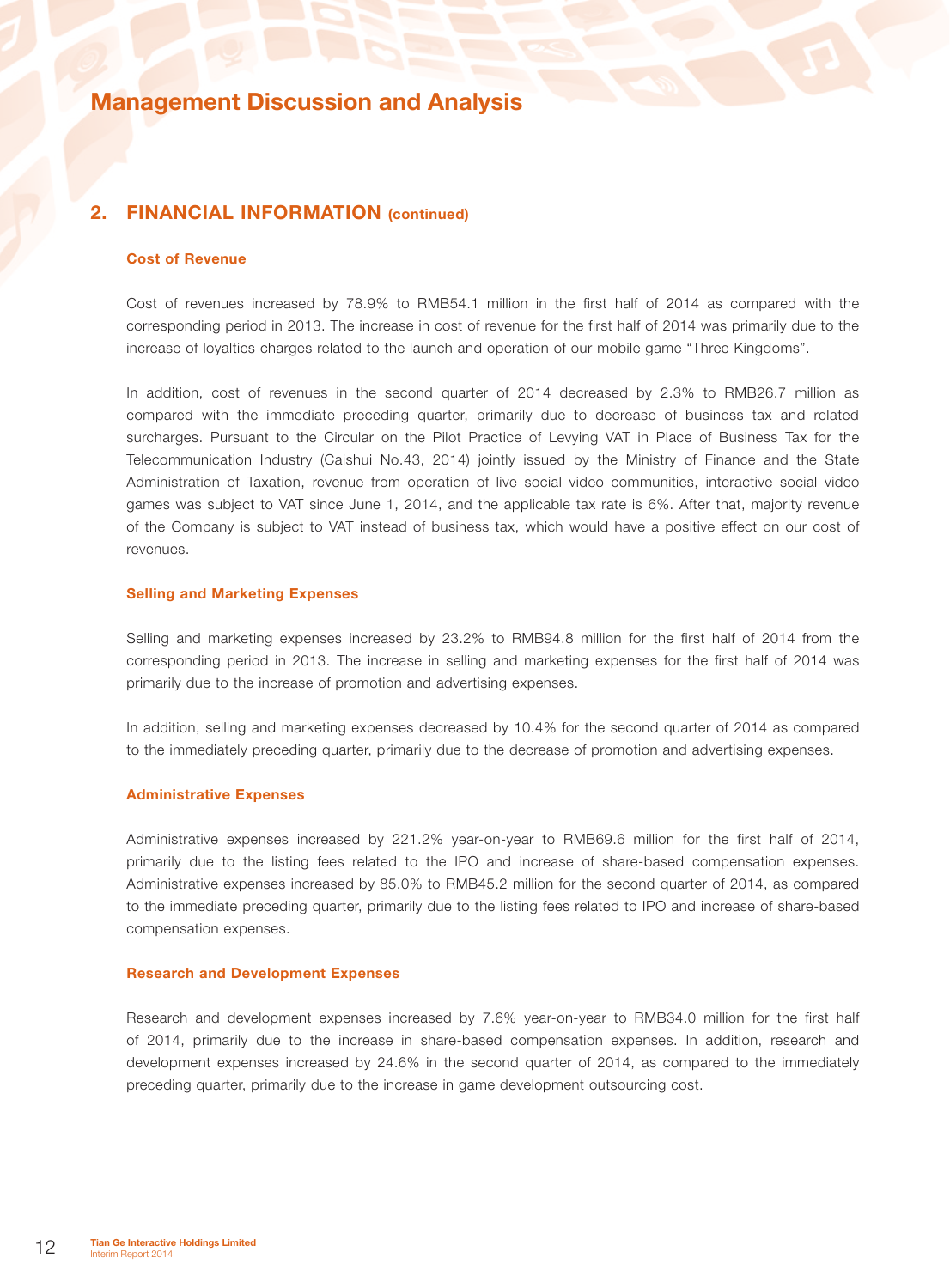### 2. FINANCIAL INFORMATION (continued)

#### Cost of Revenue

Cost of revenues increased by 78.9% to RMB54.1 million in the first half of 2014 as compared with the corresponding period in 2013. The increase in cost of revenue for the first half of 2014 was primarily due to the increase of loyalties charges related to the launch and operation of our mobile game "Three Kingdoms".

In addition, cost of revenues in the second quarter of 2014 decreased by 2.3% to RMB26.7 million as compared with the immediate preceding quarter, primarily due to decrease of business tax and related surcharges. Pursuant to the Circular on the Pilot Practice of Levying VAT in Place of Business Tax for the Telecommunication Industry (Caishui No.43, 2014) jointly issued by the Ministry of Finance and the State Administration of Taxation, revenue from operation of live social video communities, interactive social video games was subject to VAT since June 1, 2014, and the applicable tax rate is 6%. After that, majority revenue of the Company is subject to VAT instead of business tax, which would have a positive effect on our cost of revenues.

#### Selling and Marketing Expenses

Selling and marketing expenses increased by 23.2% to RMB94.8 million for the first half of 2014 from the corresponding period in 2013. The increase in selling and marketing expenses for the first half of 2014 was primarily due to the increase of promotion and advertising expenses.

In addition, selling and marketing expenses decreased by 10.4% for the second quarter of 2014 as compared to the immediately preceding quarter, primarily due to the decrease of promotion and advertising expenses.

### Administrative Expenses

Administrative expenses increased by 221.2% year-on-year to RMB69.6 million for the first half of 2014, primarily due to the listing fees related to the IPO and increase of share-based compensation expenses. Administrative expenses increased by 85.0% to RMB45.2 million for the second quarter of 2014, as compared to the immediate preceding quarter, primarily due to the listing fees related to IPO and increase of share-based compensation expenses.

#### Research and Development Expenses

Research and development expenses increased by 7.6% year-on-year to RMB34.0 million for the first half of 2014, primarily due to the increase in share-based compensation expenses. In addition, research and development expenses increased by 24.6% in the second quarter of 2014, as compared to the immediately preceding quarter, primarily due to the increase in game development outsourcing cost.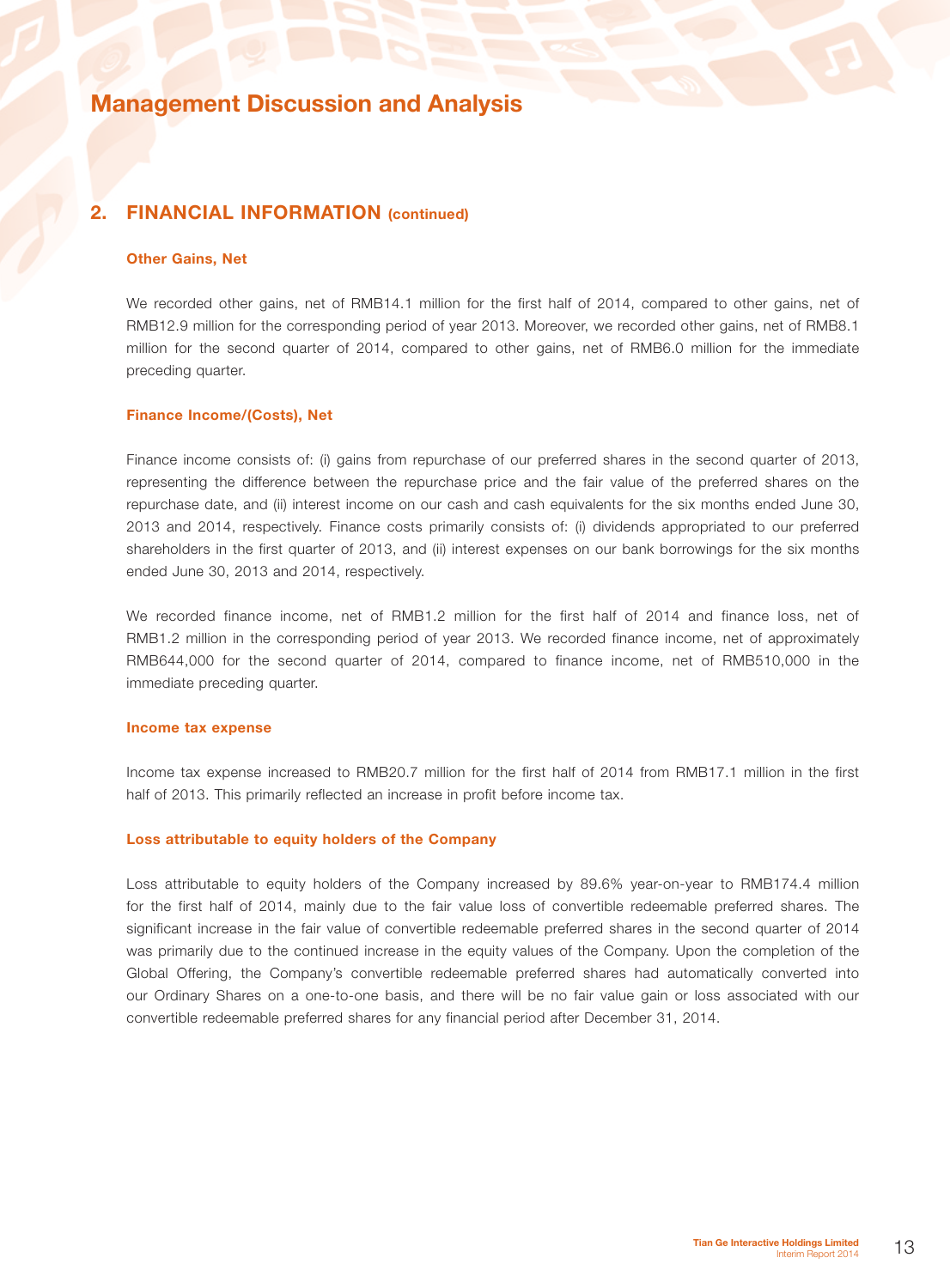### 2. FINANCIAL INFORMATION (continued)

#### Other Gains, Net

We recorded other gains, net of RMB14.1 million for the first half of 2014, compared to other gains, net of RMB12.9 million for the corresponding period of year 2013. Moreover, we recorded other gains, net of RMB8.1 million for the second quarter of 2014, compared to other gains, net of RMB6.0 million for the immediate preceding quarter.

#### Finance Income/(Costs), Net

Finance income consists of: (i) gains from repurchase of our preferred shares in the second quarter of 2013, representing the difference between the repurchase price and the fair value of the preferred shares on the repurchase date, and (ii) interest income on our cash and cash equivalents for the six months ended June 30, 2013 and 2014, respectively. Finance costs primarily consists of: (i) dividends appropriated to our preferred shareholders in the first quarter of 2013, and (ii) interest expenses on our bank borrowings for the six months ended June 30, 2013 and 2014, respectively.

We recorded finance income, net of RMB1.2 million for the first half of 2014 and finance loss, net of RMB1.2 million in the corresponding period of year 2013. We recorded finance income, net of approximately RMB644,000 for the second quarter of 2014, compared to finance income, net of RMB510,000 in the immediate preceding quarter.

#### Income tax expense

Income tax expense increased to RMB20.7 million for the first half of 2014 from RMB17.1 million in the first half of 2013. This primarily reflected an increase in profit before income tax.

#### Loss attributable to equity holders of the Company

Loss attributable to equity holders of the Company increased by 89.6% year-on-year to RMB174.4 million for the first half of 2014, mainly due to the fair value loss of convertible redeemable preferred shares. The significant increase in the fair value of convertible redeemable preferred shares in the second quarter of 2014 was primarily due to the continued increase in the equity values of the Company. Upon the completion of the Global Offering, the Company's convertible redeemable preferred shares had automatically converted into our Ordinary Shares on a one-to-one basis, and there will be no fair value gain or loss associated with our convertible redeemable preferred shares for any financial period after December 31, 2014.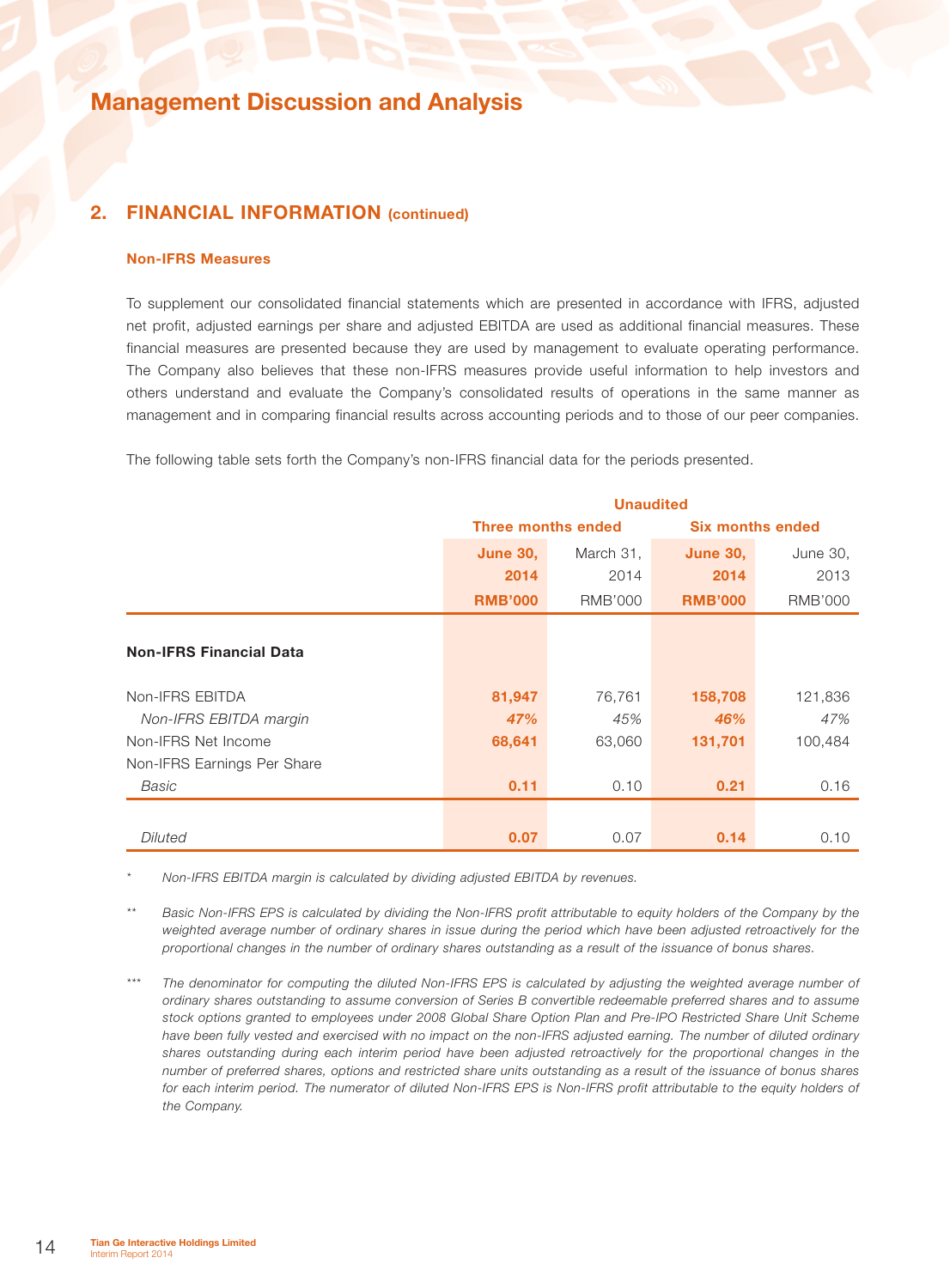### 2. FINANCIAL INFORMATION (continued)

#### Non-IFRS Measures

To supplement our consolidated financial statements which are presented in accordance with IFRS, adjusted net profit, adjusted earnings per share and adjusted EBITDA are used as additional financial measures. These financial measures are presented because they are used by management to evaluate operating performance. The Company also believes that these non-IFRS measures provide useful information to help investors and others understand and evaluate the Company's consolidated results of operations in the same manner as management and in comparing financial results across accounting periods and to those of our peer companies.

The following table sets forth the Company's non-IFRS financial data for the periods presented.

|                                |                 | <b>Unaudited</b>          |                |                         |  |  |
|--------------------------------|-----------------|---------------------------|----------------|-------------------------|--|--|
|                                |                 | <b>Three months ended</b> |                | <b>Six months ended</b> |  |  |
|                                | <b>June 30,</b> | March 31,                 |                | June 30,                |  |  |
|                                | 2014            | 2014                      | 2014           | 2013                    |  |  |
|                                | <b>RMB'000</b>  | RMB'000                   | <b>RMB'000</b> | RMB'000                 |  |  |
|                                |                 |                           |                |                         |  |  |
| <b>Non-IFRS Financial Data</b> |                 |                           |                |                         |  |  |
|                                |                 |                           |                |                         |  |  |
| Non-IFRS EBITDA                | 81,947          | 76,761                    | 158,708        | 121,836                 |  |  |
| Non-IFRS EBITDA margin         | 47%             | 45%                       | 46%            | 47%                     |  |  |
| Non-IFRS Net Income            | 68,641          | 63,060                    | 131,701        | 100,484                 |  |  |
| Non-IFRS Earnings Per Share    |                 |                           |                |                         |  |  |
| Basic                          | 0.11            | 0.10                      | 0.21           | 0.16                    |  |  |
|                                |                 |                           |                |                         |  |  |
| <b>Diluted</b>                 | 0.07            | 0.07                      | 0.14           | 0.10                    |  |  |

*\* Non-IFRS EBITDA margin is calculated by dividing adjusted EBITDA by revenues.*

*\*\* Basic Non-IFRS EPS is calculated by dividing the Non-IFRS profit attributable to equity holders of the Company by the weighted average number of ordinary shares in issue during the period which have been adjusted retroactively for the proportional changes in the number of ordinary shares outstanding as a result of the issuance of bonus shares.*

*\*\*\* The denominator for computing the diluted Non-IFRS EPS is calculated by adjusting the weighted average number of ordinary shares outstanding to assume conversion of Series B convertible redeemable preferred shares and to assume stock options granted to employees under 2008 Global Share Option Plan and Pre-IPO Restricted Share Unit Scheme*  have been fully vested and exercised with no impact on the non-IFRS adjusted earning. The number of diluted ordinary *shares outstanding during each interim period have been adjusted retroactively for the proportional changes in the number of preferred shares, options and restricted share units outstanding as a result of the issuance of bonus shares*  for each interim period. The numerator of diluted Non-IFRS EPS is Non-IFRS profit attributable to the equity holders of *the Company.*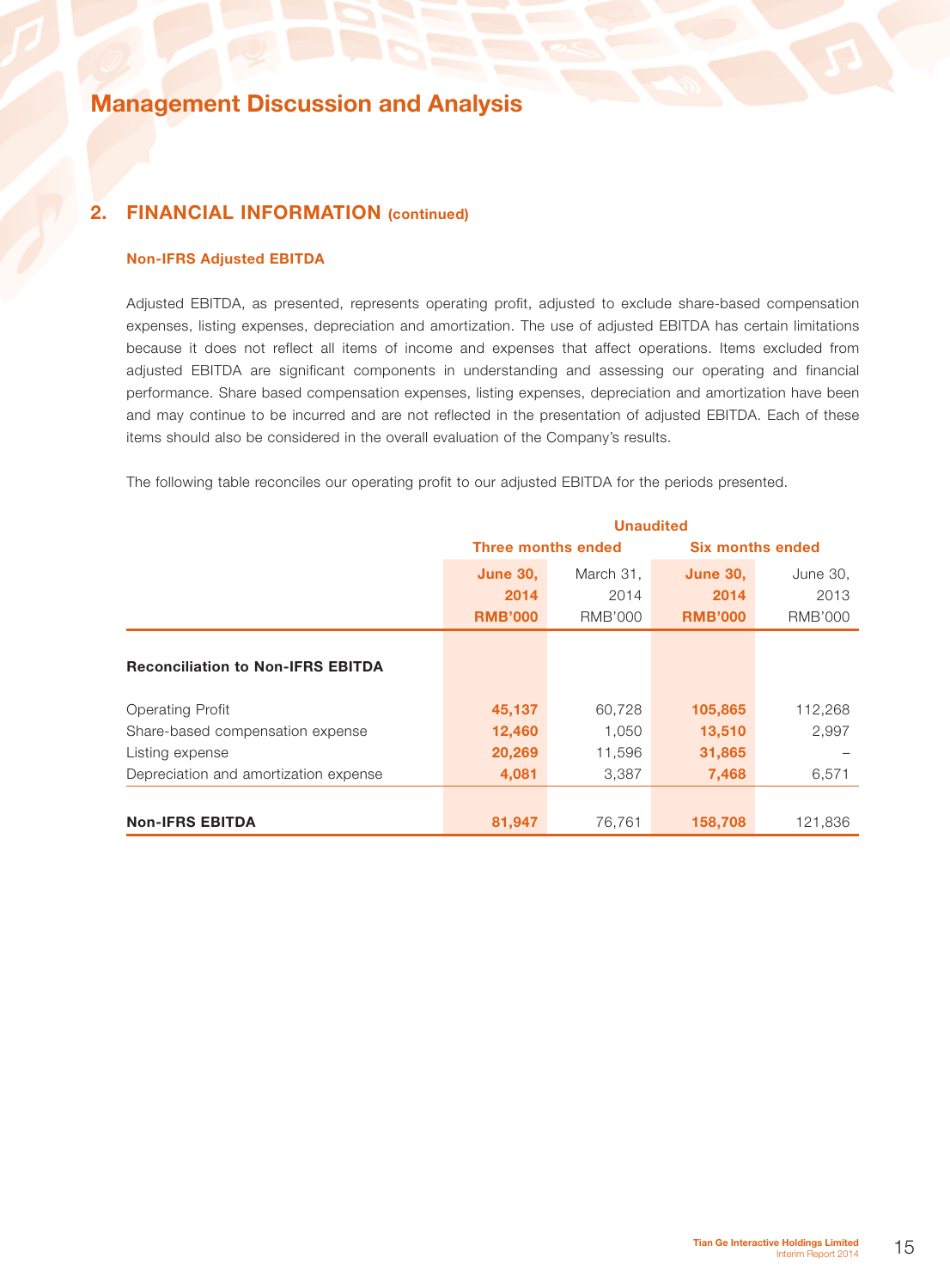### 2. FINANCIAL INFORMATION (continued)

### Non-IFRS Adjusted EBITDA

Adjusted EBITDA, as presented, represents operating profit, adjusted to exclude share-based compensation expenses, listing expenses, depreciation and amortization. The use of adjusted EBITDA has certain limitations because it does not reflect all items of income and expenses that affect operations. Items excluded from adjusted EBITDA are significant components in understanding and assessing our operating and financial performance. Share based compensation expenses, listing expenses, depreciation and amortization have been and may continue to be incurred and are not reflected in the presentation of adjusted EBITDA. Each of these items should also be considered in the overall evaluation of the Company's results.

The following table reconciles our operating profit to our adjusted EBITDA for the periods presented.

|                                          | <b>Unaudited</b> |                           |                         |                |  |
|------------------------------------------|------------------|---------------------------|-------------------------|----------------|--|
|                                          |                  | <b>Three months ended</b> | <b>Six months ended</b> |                |  |
|                                          | <b>June 30,</b>  | March 31,                 |                         | June 30,       |  |
|                                          | 2014             | 2014                      | 2014                    | 2013           |  |
|                                          | <b>RMB'000</b>   | <b>RMB'000</b>            | <b>RMB'000</b>          | <b>RMB'000</b> |  |
|                                          |                  |                           |                         |                |  |
| <b>Reconciliation to Non-IFRS EBITDA</b> |                  |                           |                         |                |  |
|                                          |                  |                           |                         |                |  |
| <b>Operating Profit</b>                  | 45,137           | 60,728                    | 105,865                 | 112,268        |  |
| Share-based compensation expense         | 12,460           | 1,050                     | 13,510                  | 2,997          |  |
| Listing expense                          | 20,269           | 11,596                    | 31,865                  |                |  |
| Depreciation and amortization expense    | 4,081            | 3,387                     | 7,468                   | 6,571          |  |
|                                          |                  |                           |                         |                |  |
| <b>Non-IFRS EBITDA</b>                   | 81,947           | 158,708                   | 121,836                 |                |  |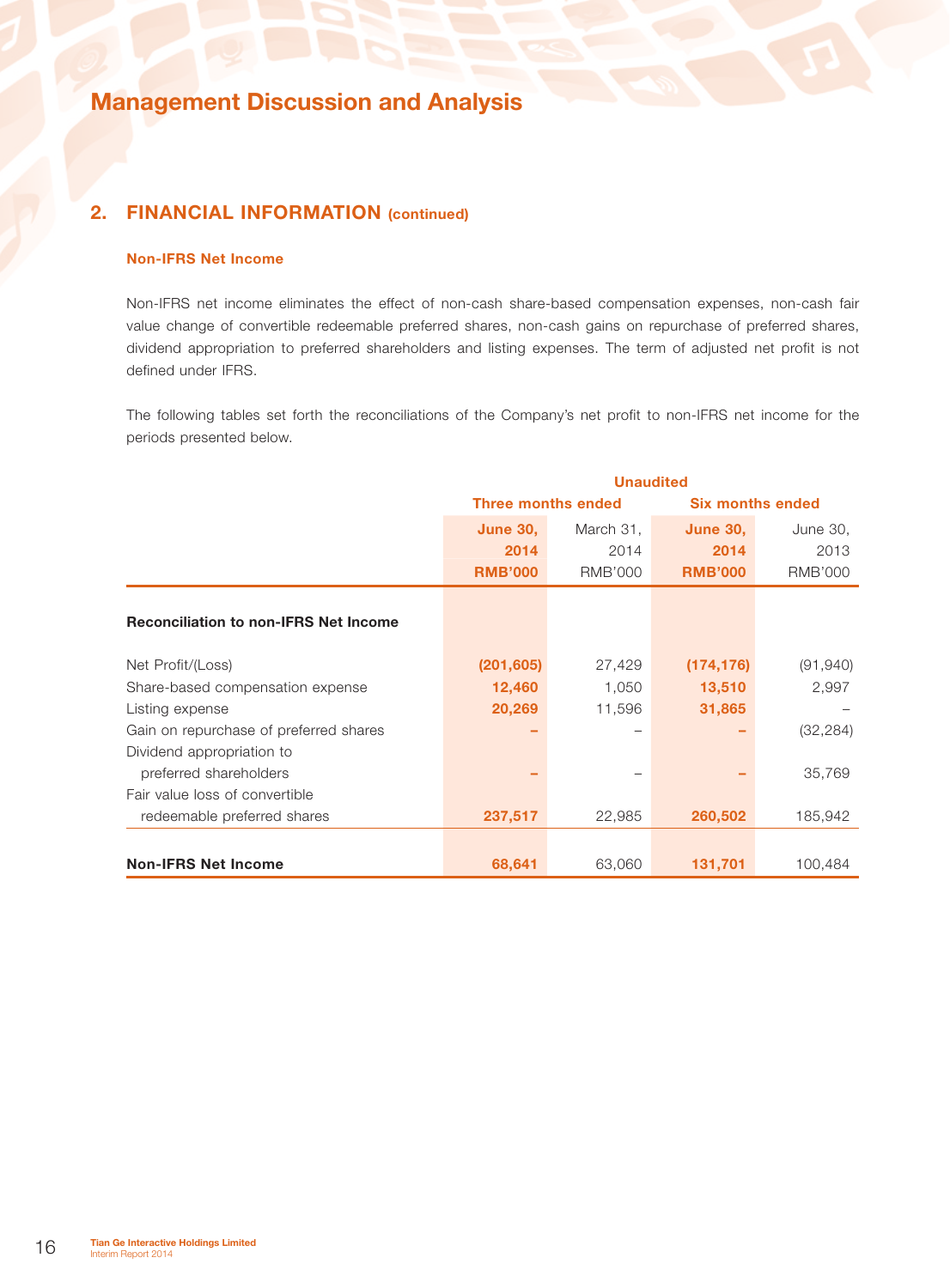## 2. FINANCIAL INFORMATION (continued)

### Non-IFRS Net Income

Non-IFRS net income eliminates the effect of non-cash share-based compensation expenses, non-cash fair value change of convertible redeemable preferred shares, non-cash gains on repurchase of preferred shares, dividend appropriation to preferred shareholders and listing expenses. The term of adjusted net profit is not defined under IFRS.

The following tables set forth the reconciliations of the Company's net profit to non-IFRS net income for the periods presented below.

|                                              |                 | <b>Unaudited</b>          |                         |                |
|----------------------------------------------|-----------------|---------------------------|-------------------------|----------------|
|                                              |                 | <b>Three months ended</b> | <b>Six months ended</b> |                |
|                                              | <b>June 30,</b> | March 31,                 | <b>June 30,</b>         | June 30,       |
|                                              | 2014            | 2014                      | 2014                    | 2013           |
|                                              | <b>RMB'000</b>  | <b>RMB'000</b>            | <b>RMB'000</b>          | <b>RMB'000</b> |
| <b>Reconciliation to non-IFRS Net Income</b> |                 |                           |                         |                |
| Net Profit/(Loss)                            | (201, 605)      | 27,429                    | (174, 176)              | (91, 940)      |
| Share-based compensation expense             | 12,460          | 1,050                     | 13,510                  | 2,997          |
| Listing expense                              | 20,269          | 11,596                    | 31,865                  |                |
| Gain on repurchase of preferred shares       |                 | $\qquad \qquad$           |                         | (32, 284)      |
| Dividend appropriation to                    |                 |                           |                         |                |
| preferred shareholders                       |                 |                           |                         | 35,769         |
| Fair value loss of convertible               |                 |                           |                         |                |
| redeemable preferred shares                  | 237,517         | 22,985                    | 260,502                 | 185,942        |
|                                              |                 |                           |                         |                |
| <b>Non-IFRS Net Income</b>                   | 68,641          | 63,060                    | 131,701                 | 100,484        |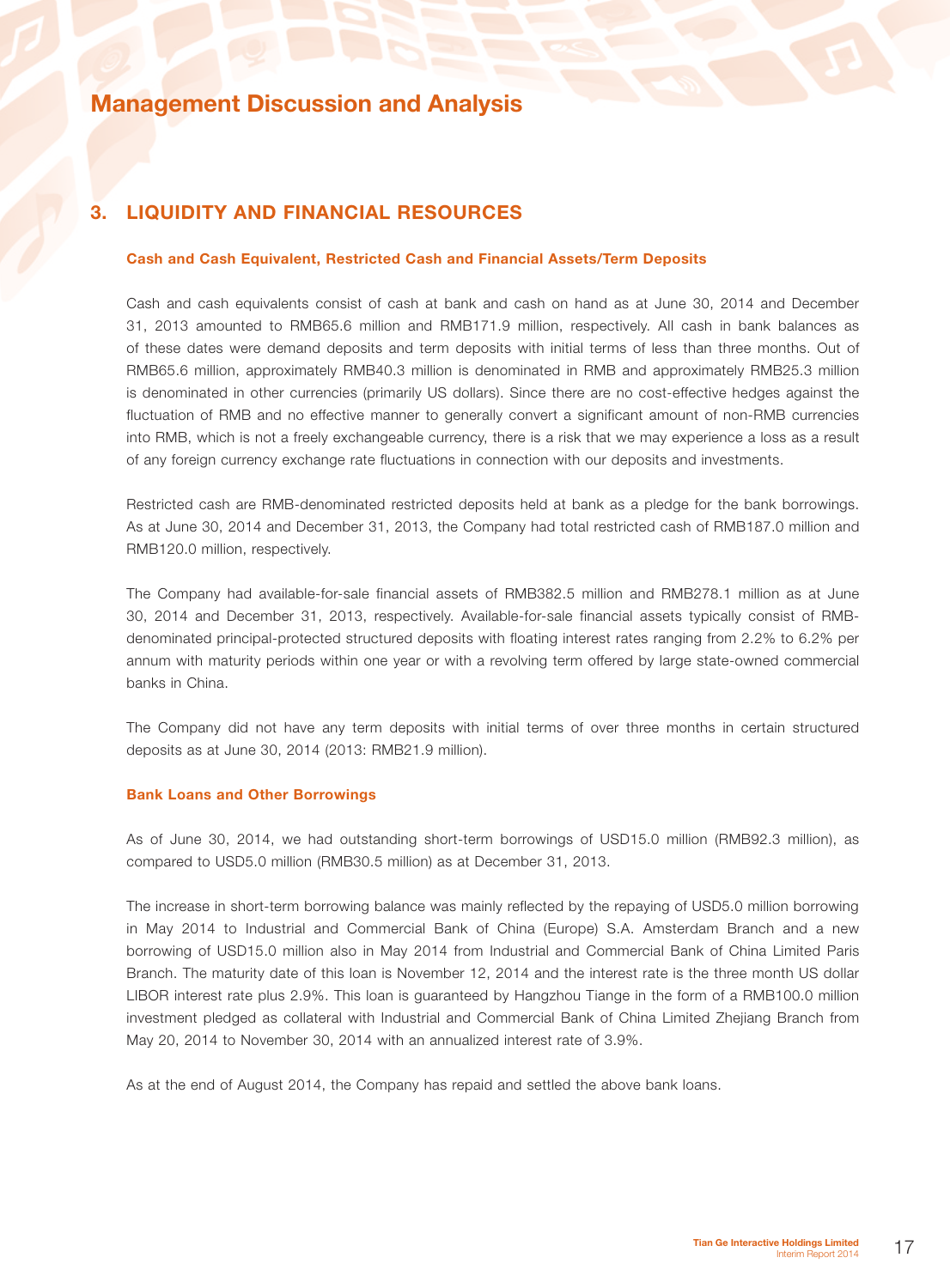## 3. Liquidity and Financial Resources

#### Cash and Cash Equivalent, Restricted Cash and Financial Assets/Term Deposits

Cash and cash equivalents consist of cash at bank and cash on hand as at June 30, 2014 and December 31, 2013 amounted to RMB65.6 million and RMB171.9 million, respectively. All cash in bank balances as of these dates were demand deposits and term deposits with initial terms of less than three months. Out of RMB65.6 million, approximately RMB40.3 million is denominated in RMB and approximately RMB25.3 million is denominated in other currencies (primarily US dollars). Since there are no cost-effective hedges against the fluctuation of RMB and no effective manner to generally convert a significant amount of non-RMB currencies into RMB, which is not a freely exchangeable currency, there is a risk that we may experience a loss as a result of any foreign currency exchange rate fluctuations in connection with our deposits and investments.

Restricted cash are RMB-denominated restricted deposits held at bank as a pledge for the bank borrowings. As at June 30, 2014 and December 31, 2013, the Company had total restricted cash of RMB187.0 million and RMB120.0 million, respectively.

The Company had available-for-sale financial assets of RMB382.5 million and RMB278.1 million as at June 30, 2014 and December 31, 2013, respectively. Available-for-sale financial assets typically consist of RMBdenominated principal-protected structured deposits with floating interest rates ranging from 2.2% to 6.2% per annum with maturity periods within one year or with a revolving term offered by large state-owned commercial banks in China.

The Company did not have any term deposits with initial terms of over three months in certain structured deposits as at June 30, 2014 (2013: RMB21.9 million).

#### Bank Loans and Other Borrowings

As of June 30, 2014, we had outstanding short-term borrowings of USD15.0 million (RMB92.3 million), as compared to USD5.0 million (RMB30.5 million) as at December 31, 2013.

The increase in short-term borrowing balance was mainly reflected by the repaying of USD5.0 million borrowing in May 2014 to Industrial and Commercial Bank of China (Europe) S.A. Amsterdam Branch and a new borrowing of USD15.0 million also in May 2014 from Industrial and Commercial Bank of China Limited Paris Branch. The maturity date of this loan is November 12, 2014 and the interest rate is the three month US dollar LIBOR interest rate plus 2.9%. This loan is guaranteed by Hangzhou Tiange in the form of a RMB100.0 million investment pledged as collateral with Industrial and Commercial Bank of China Limited Zhejiang Branch from May 20, 2014 to November 30, 2014 with an annualized interest rate of 3.9%.

As at the end of August 2014, the Company has repaid and settled the above bank loans.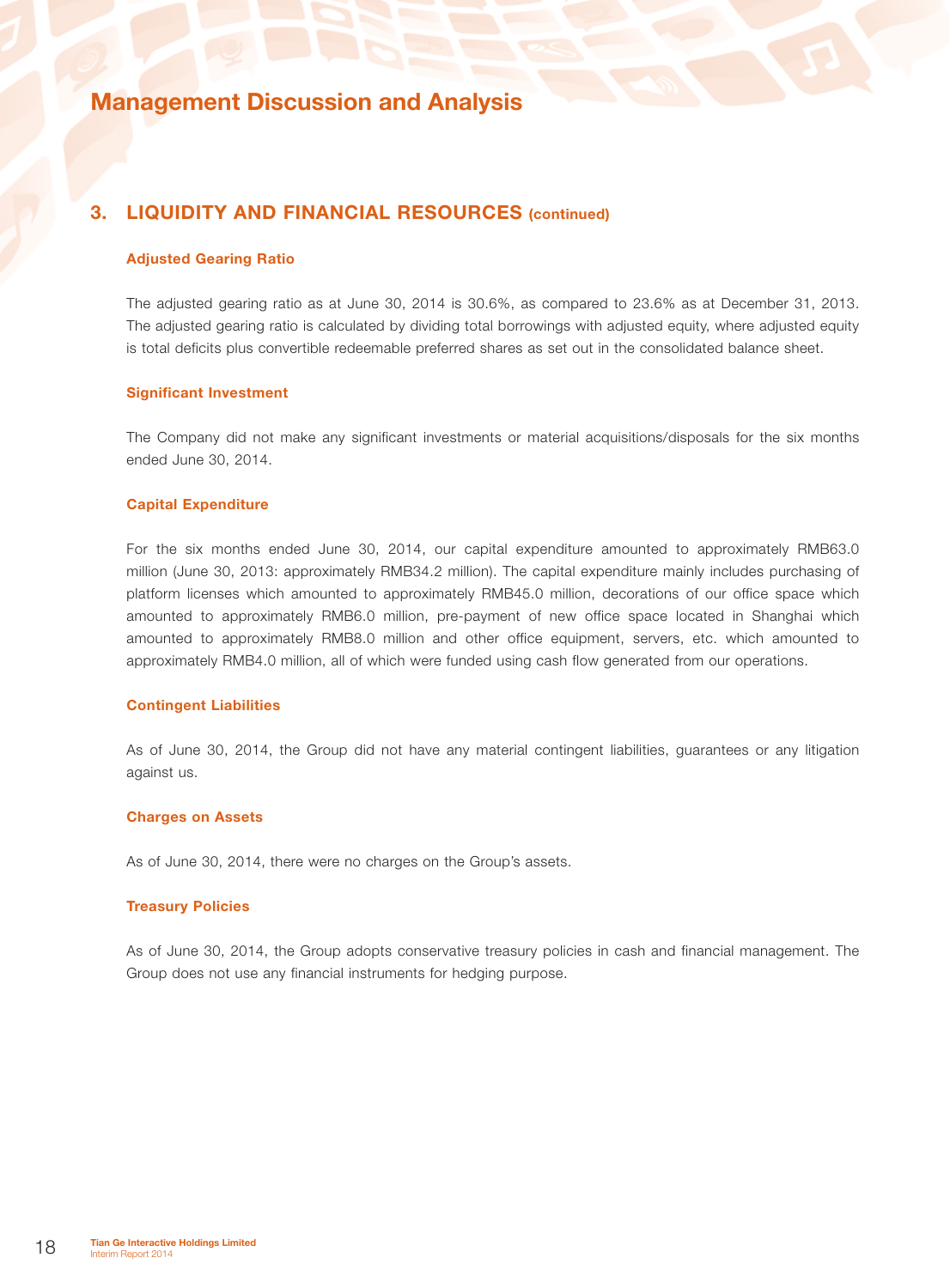### 3. Liquidity and Financial Resources (continued)

#### Adjusted Gearing Ratio

The adjusted gearing ratio as at June 30, 2014 is 30.6%, as compared to 23.6% as at December 31, 2013. The adjusted gearing ratio is calculated by dividing total borrowings with adjusted equity, where adjusted equity is total deficits plus convertible redeemable preferred shares as set out in the consolidated balance sheet.

#### Significant Investment

The Company did not make any significant investments or material acquisitions/disposals for the six months ended June 30, 2014.

### Capital Expenditure

For the six months ended June 30, 2014, our capital expenditure amounted to approximately RMB63.0 million (June 30, 2013: approximately RMB34.2 million). The capital expenditure mainly includes purchasing of platform licenses which amounted to approximately RMB45.0 million, decorations of our office space which amounted to approximately RMB6.0 million, pre-payment of new office space located in Shanghai which amounted to approximately RMB8.0 million and other office equipment, servers, etc. which amounted to approximately RMB4.0 million, all of which were funded using cash flow generated from our operations.

### Contingent Liabilities

As of June 30, 2014, the Group did not have any material contingent liabilities, guarantees or any litigation against us.

#### Charges on Assets

As of June 30, 2014, there were no charges on the Group's assets.

#### Treasury Policies

As of June 30, 2014, the Group adopts conservative treasury policies in cash and financial management. The Group does not use any financial instruments for hedging purpose.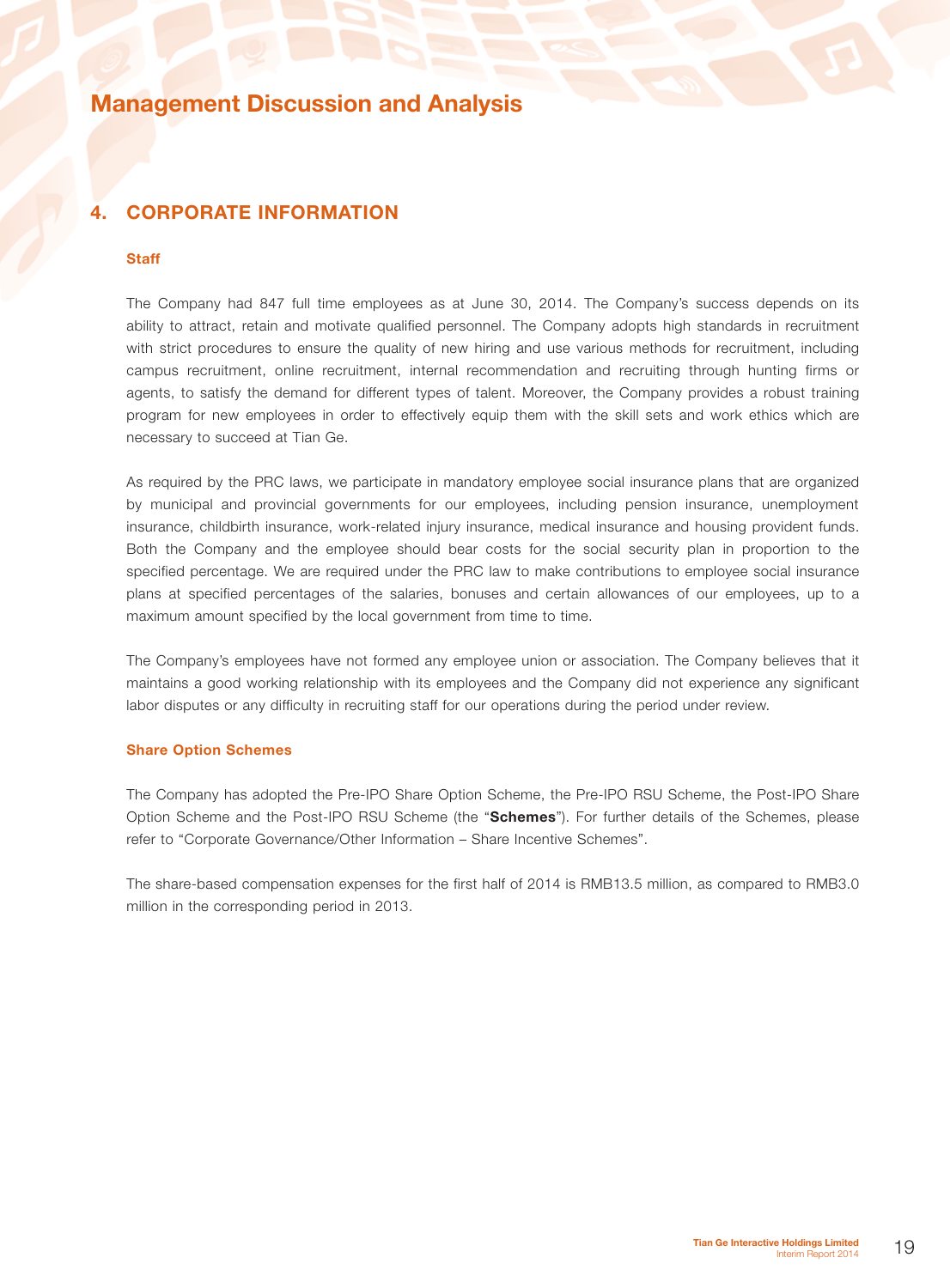## 4. Corporate Information

#### **Staff**

The Company had 847 full time employees as at June 30, 2014. The Company's success depends on its ability to attract, retain and motivate qualified personnel. The Company adopts high standards in recruitment with strict procedures to ensure the quality of new hiring and use various methods for recruitment, including campus recruitment, online recruitment, internal recommendation and recruiting through hunting firms or agents, to satisfy the demand for different types of talent. Moreover, the Company provides a robust training program for new employees in order to effectively equip them with the skill sets and work ethics which are necessary to succeed at Tian Ge.

As required by the PRC laws, we participate in mandatory employee social insurance plans that are organized by municipal and provincial governments for our employees, including pension insurance, unemployment insurance, childbirth insurance, work-related injury insurance, medical insurance and housing provident funds. Both the Company and the employee should bear costs for the social security plan in proportion to the specified percentage. We are required under the PRC law to make contributions to employee social insurance plans at specified percentages of the salaries, bonuses and certain allowances of our employees, up to a maximum amount specified by the local government from time to time.

The Company's employees have not formed any employee union or association. The Company believes that it maintains a good working relationship with its employees and the Company did not experience any significant labor disputes or any difficulty in recruiting staff for our operations during the period under review.

#### Share Option Schemes

The Company has adopted the Pre-IPO Share Option Scheme, the Pre-IPO RSU Scheme, the Post-IPO Share Option Scheme and the Post-IPO RSU Scheme (the "Schemes"). For further details of the Schemes, please refer to "Corporate Governance/Other Information – Share Incentive Schemes".

The share-based compensation expenses for the first half of 2014 is RMB13.5 million, as compared to RMB3.0 million in the corresponding period in 2013.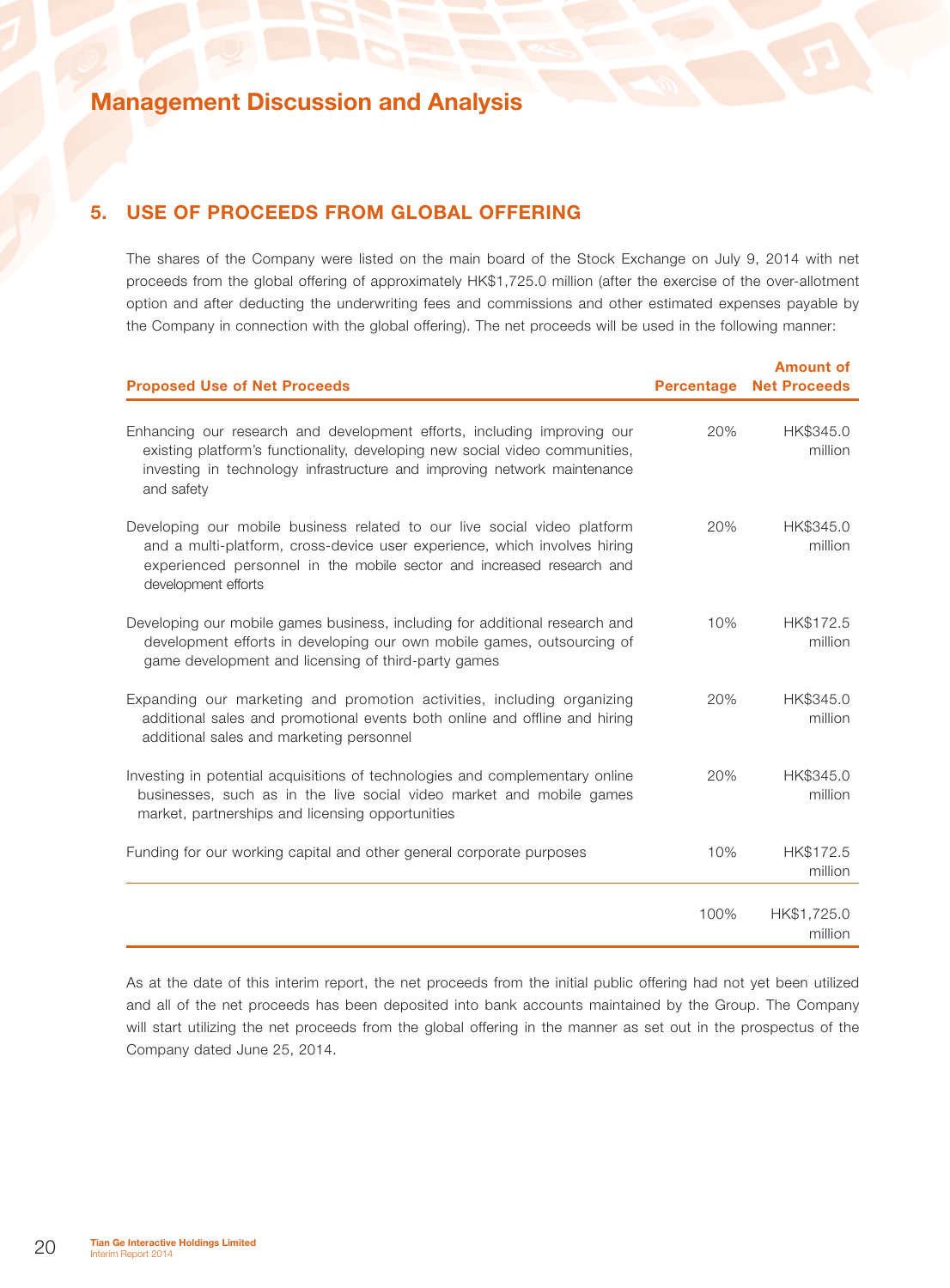## 5. Use of Proceeds from Global Offering

The shares of the Company were listed on the main board of the Stock Exchange on July 9, 2014 with net proceeds from the global offering of approximately HK\$1,725.0 million (after the exercise of the over-allotment option and after deducting the underwriting fees and commissions and other estimated expenses payable by the Company in connection with the global offering). The net proceeds will be used in the following manner:

| <b>Proposed Use of Net Proceeds</b>                                                                                                                                                                                                                   | <b>Percentage</b> | <b>Amount of</b><br><b>Net Proceeds</b> |
|-------------------------------------------------------------------------------------------------------------------------------------------------------------------------------------------------------------------------------------------------------|-------------------|-----------------------------------------|
| Enhancing our research and development efforts, including improving our<br>existing platform's functionality, developing new social video communities,<br>investing in technology infrastructure and improving network maintenance<br>and safety      | 20%               | HK\$345.0<br>million                    |
| Developing our mobile business related to our live social video platform<br>and a multi-platform, cross-device user experience, which involves hiring<br>experienced personnel in the mobile sector and increased research and<br>development efforts | 20%               | HK\$345.0<br>million                    |
| Developing our mobile games business, including for additional research and<br>development efforts in developing our own mobile games, outsourcing of<br>game development and licensing of third-party games                                          | 10%               | HK\$172.5<br>million                    |
| Expanding our marketing and promotion activities, including organizing<br>additional sales and promotional events both online and offline and hiring<br>additional sales and marketing personnel                                                      | 20%               | HK\$345.0<br>million                    |
| Investing in potential acquisitions of technologies and complementary online<br>businesses, such as in the live social video market and mobile games<br>market, partnerships and licensing opportunities                                              | 20%               | HK\$345.0<br>million                    |
| Funding for our working capital and other general corporate purposes                                                                                                                                                                                  | 10%               | HK\$172.5<br>million                    |
|                                                                                                                                                                                                                                                       | 100%              | HK\$1,725.0<br>million                  |

As at the date of this interim report, the net proceeds from the initial public offering had not yet been utilized and all of the net proceeds has been deposited into bank accounts maintained by the Group. The Company will start utilizing the net proceeds from the global offering in the manner as set out in the prospectus of the Company dated June 25, 2014.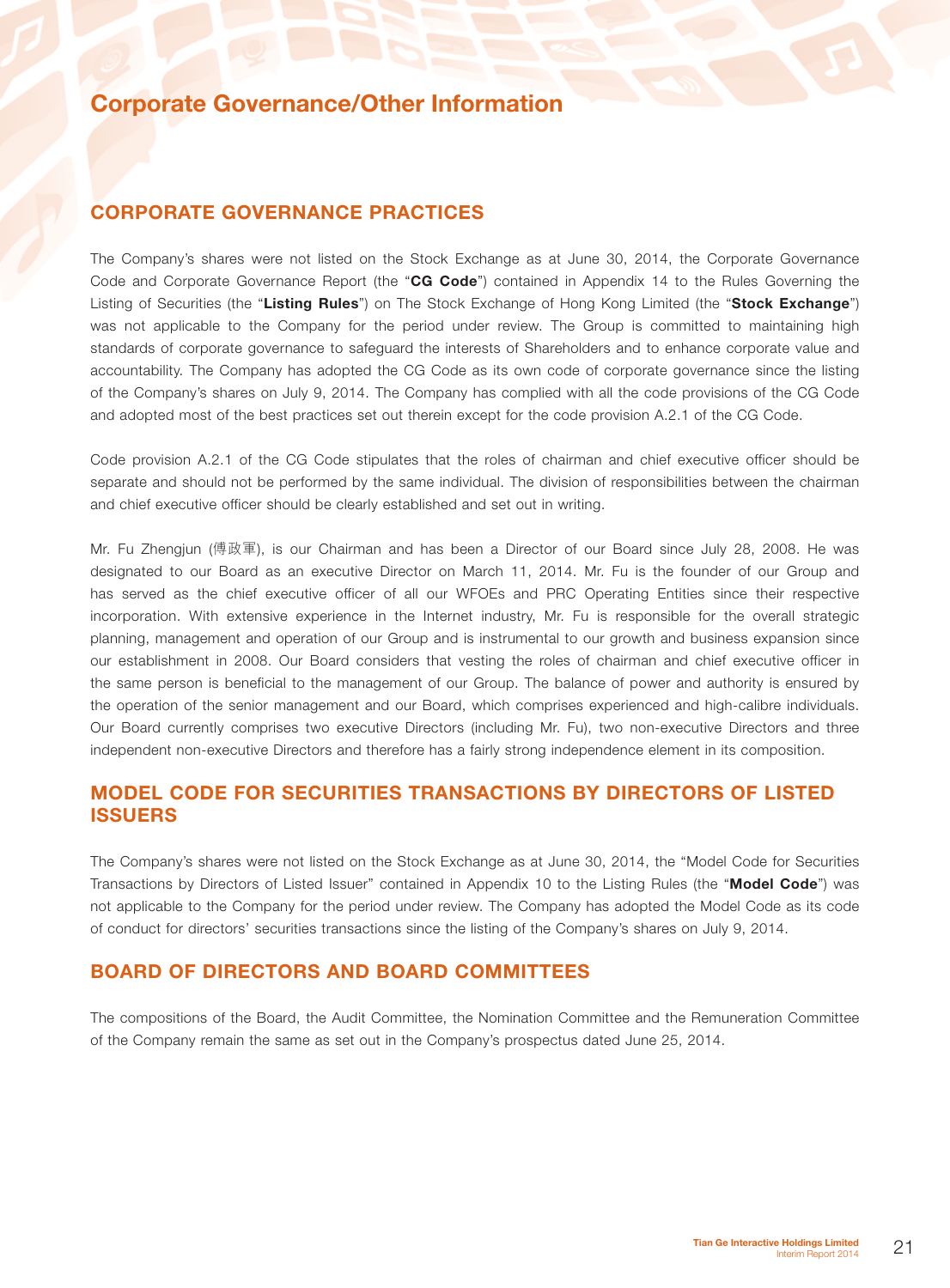### CORPORATE GOVERNANCE PRACTICES

The Company's shares were not listed on the Stock Exchange as at June 30, 2014, the Corporate Governance Code and Corporate Governance Report (the "CG Code") contained in Appendix 14 to the Rules Governing the Listing of Securities (the "Listing Rules") on The Stock Exchange of Hong Kong Limited (the "Stock Exchange") was not applicable to the Company for the period under review. The Group is committed to maintaining high standards of corporate governance to safeguard the interests of Shareholders and to enhance corporate value and accountability. The Company has adopted the CG Code as its own code of corporate governance since the listing of the Company's shares on July 9, 2014. The Company has complied with all the code provisions of the CG Code and adopted most of the best practices set out therein except for the code provision A.2.1 of the CG Code.

Code provision A.2.1 of the CG Code stipulates that the roles of chairman and chief executive officer should be separate and should not be performed by the same individual. The division of responsibilities between the chairman and chief executive officer should be clearly established and set out in writing.

Mr. Fu Zhengjun (傅政軍), is our Chairman and has been a Director of our Board since July 28, 2008. He was designated to our Board as an executive Director on March 11, 2014. Mr. Fu is the founder of our Group and has served as the chief executive officer of all our WFOEs and PRC Operating Entities since their respective incorporation. With extensive experience in the Internet industry, Mr. Fu is responsible for the overall strategic planning, management and operation of our Group and is instrumental to our growth and business expansion since our establishment in 2008. Our Board considers that vesting the roles of chairman and chief executive officer in the same person is beneficial to the management of our Group. The balance of power and authority is ensured by the operation of the senior management and our Board, which comprises experienced and high-calibre individuals. Our Board currently comprises two executive Directors (including Mr. Fu), two non-executive Directors and three independent non-executive Directors and therefore has a fairly strong independence element in its composition.

### MODEL CODE FOR SECURITIES TRANSACTIONS BY DIRECTORS OF LISTED ISSUERS

The Company's shares were not listed on the Stock Exchange as at June 30, 2014, the "Model Code for Securities Transactions by Directors of Listed Issuer" contained in Appendix 10 to the Listing Rules (the "Model Code") was not applicable to the Company for the period under review. The Company has adopted the Model Code as its code of conduct for directors' securities transactions since the listing of the Company's shares on July 9, 2014.

### BOARD OF DIRECTORS AND BOARD COMMITTEES

The compositions of the Board, the Audit Committee, the Nomination Committee and the Remuneration Committee of the Company remain the same as set out in the Company's prospectus dated June 25, 2014.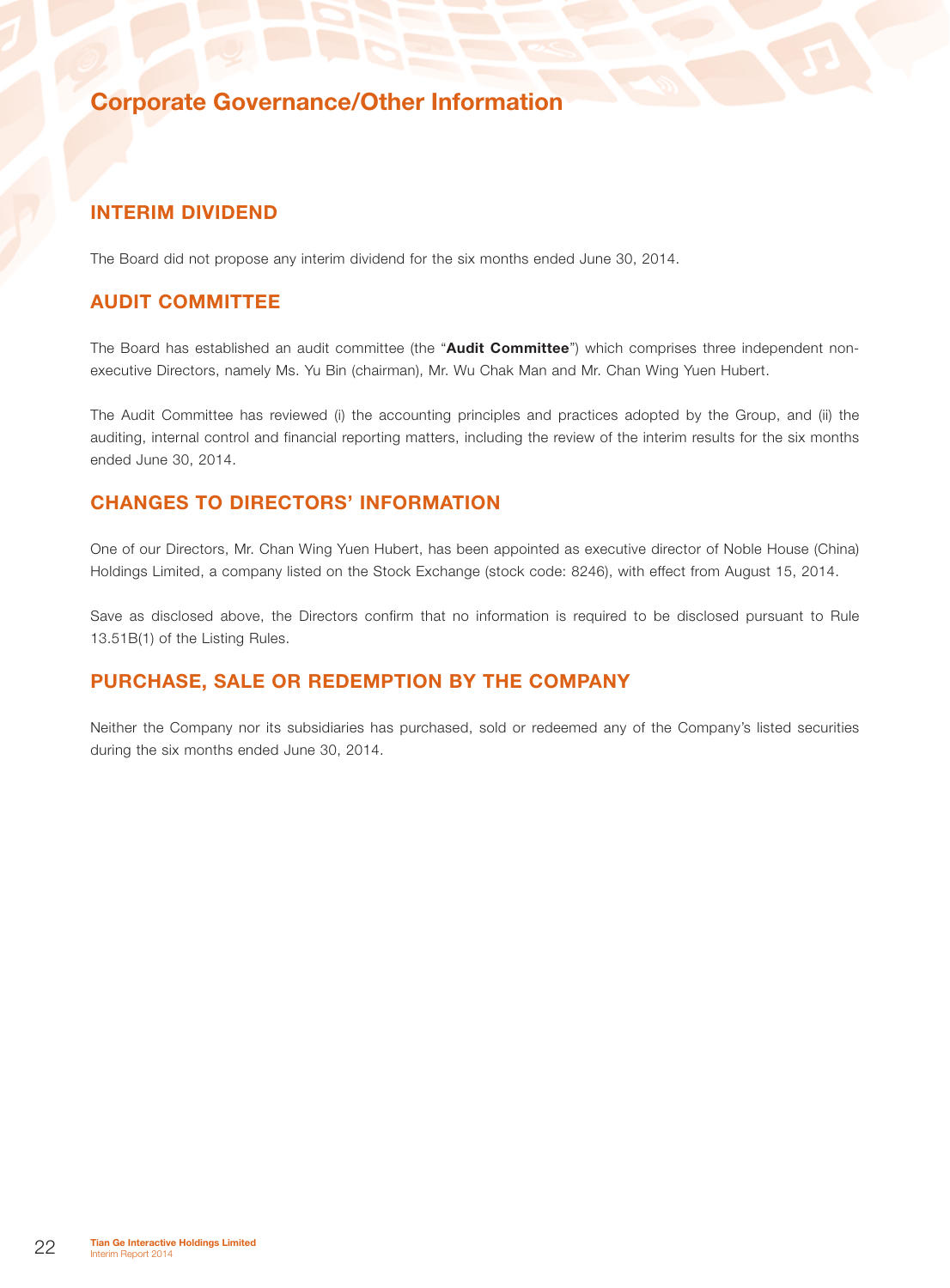### INTERIM DIVIDEND

The Board did not propose any interim dividend for the six months ended June 30, 2014.

### AUDIT COMMITTEE

The Board has established an audit committee (the "Audit Committee") which comprises three independent nonexecutive Directors, namely Ms. Yu Bin (chairman), Mr. Wu Chak Man and Mr. Chan Wing Yuen Hubert.

The Audit Committee has reviewed (i) the accounting principles and practices adopted by the Group, and (ii) the auditing, internal control and financial reporting matters, including the review of the interim results for the six months ended June 30, 2014.

### CHANGES TO DIRECTORS' INFORMATION

One of our Directors, Mr. Chan Wing Yuen Hubert, has been appointed as executive director of Noble House (China) Holdings Limited, a company listed on the Stock Exchange (stock code: 8246), with effect from August 15, 2014.

Save as disclosed above, the Directors confirm that no information is required to be disclosed pursuant to Rule 13.51B(1) of the Listing Rules.

## PURCHASE, SALE OR REDEMPTION BY THE COMPANY

Neither the Company nor its subsidiaries has purchased, sold or redeemed any of the Company's listed securities during the six months ended June 30, 2014.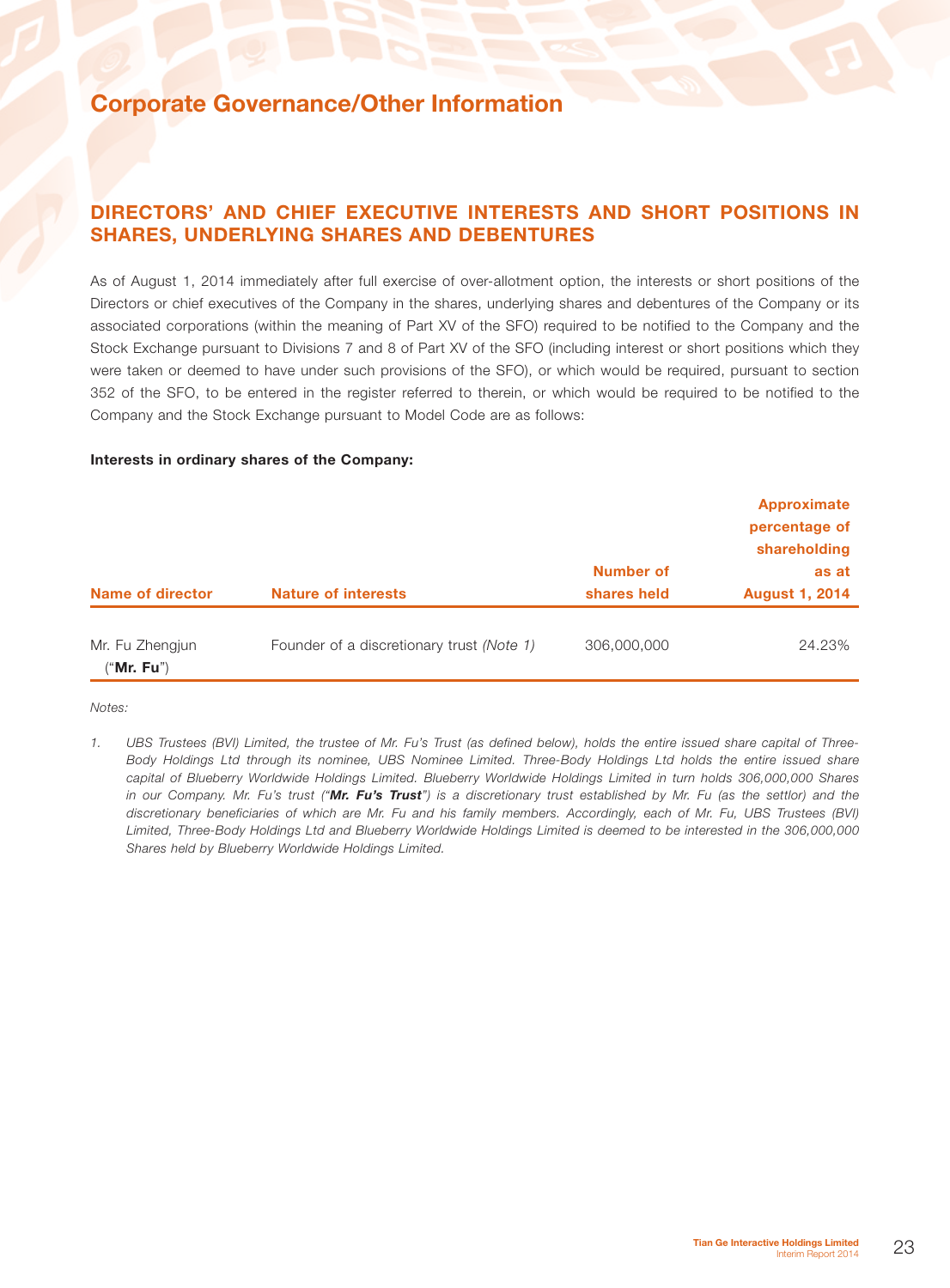### DIRECTORS' AND CHIEF EXECUTIVE INTERESTS AND SHORT POSITIONS IN SHARES, UNDERLYING SHARES AND DEBENTURES

As of August 1, 2014 immediately after full exercise of over-allotment option, the interests or short positions of the Directors or chief executives of the Company in the shares, underlying shares and debentures of the Company or its associated corporations (within the meaning of Part XV of the SFO) required to be notified to the Company and the Stock Exchange pursuant to Divisions 7 and 8 of Part XV of the SFO (including interest or short positions which they were taken or deemed to have under such provisions of the SFO), or which would be required, pursuant to section 352 of the SFO, to be entered in the register referred to therein, or which would be required to be notified to the Company and the Stock Exchange pursuant to Model Code are as follows:

#### Interests in ordinary shares of the Company:

| Name of director                       | <b>Nature of interests</b>                | <b>Number of</b><br>shares held | <b>Approximate</b><br>percentage of<br>shareholding<br>as at<br><b>August 1, 2014</b> |
|----------------------------------------|-------------------------------------------|---------------------------------|---------------------------------------------------------------------------------------|
| Mr. Fu Zhengjun<br>(" <b>Mr. Fu</b> ") | Founder of a discretionary trust (Note 1) | 306,000,000                     | 24.23%                                                                                |

*Notes:*

*<sup>1.</sup> UBS Trustees (BVI) Limited, the trustee of Mr. Fu's Trust (as defined below), holds the entire issued share capital of Three-Body Holdings Ltd through its nominee, UBS Nominee Limited. Three-Body Holdings Ltd holds the entire issued share capital of Blueberry Worldwide Holdings Limited. Blueberry Worldwide Holdings Limited in turn holds 306,000,000 Shares in our Company. Mr. Fu's trust ("Mr. Fu's Trust") is a discretionary trust established by Mr. Fu (as the settlor) and the discretionary beneficiaries of which are Mr. Fu and his family members. Accordingly, each of Mr. Fu, UBS Trustees (BVI) Limited, Three-Body Holdings Ltd and Blueberry Worldwide Holdings Limited is deemed to be interested in the 306,000,000 Shares held by Blueberry Worldwide Holdings Limited.*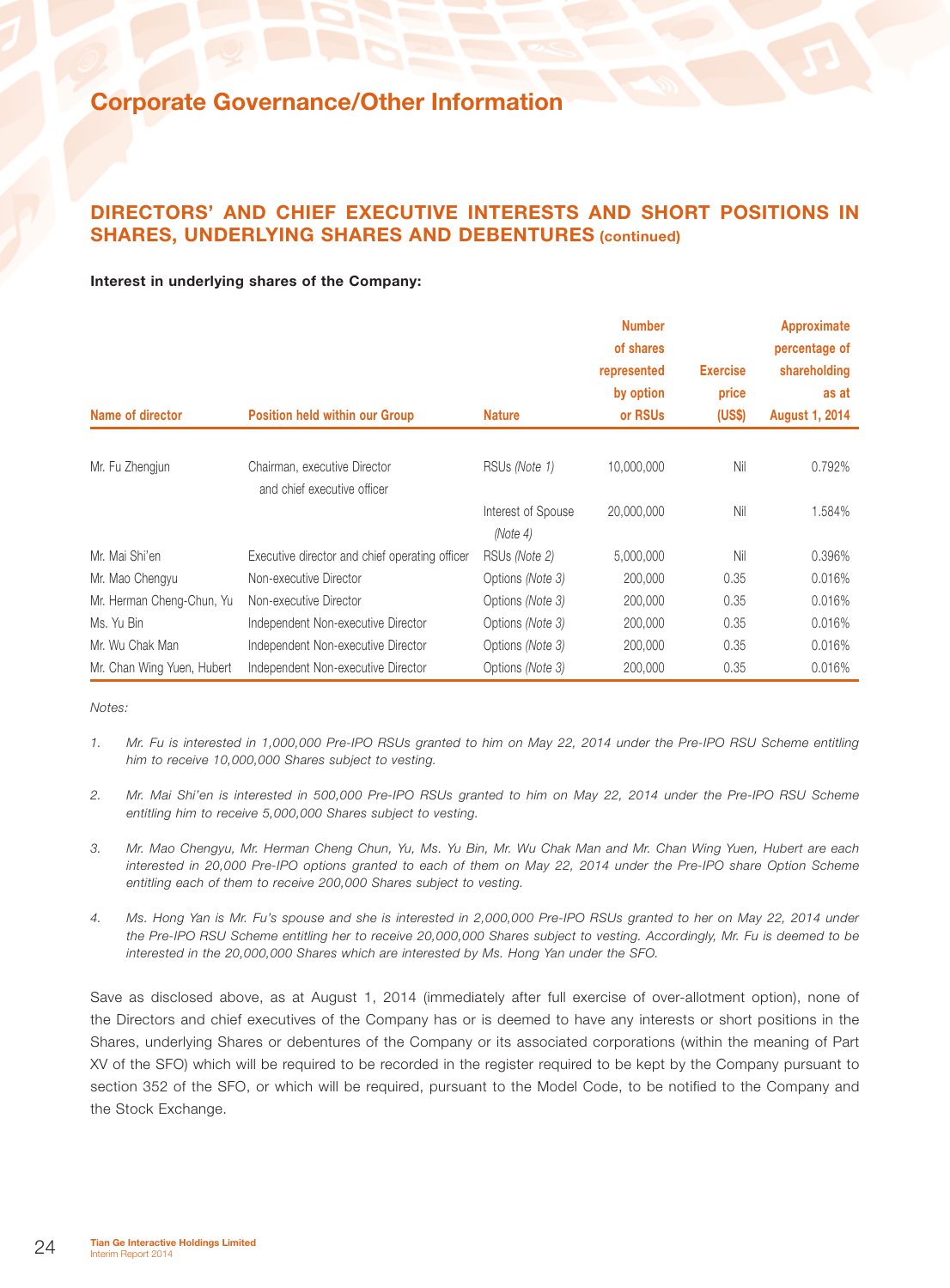### DIRECTORS' AND CHIEF EXECUTIVE INTERESTS AND SHORT POSITIONS IN SHARES, UNDERLYING SHARES AND DEBENTURES (continued)

### Interest in underlying shares of the Company:

|                            |                                                             |                           | <b>Number</b><br>of shares |                 | Approximate<br>percentage of |
|----------------------------|-------------------------------------------------------------|---------------------------|----------------------------|-----------------|------------------------------|
|                            |                                                             |                           | represented                | <b>Exercise</b> | shareholding                 |
|                            |                                                             |                           | by option                  | price           | as at                        |
| Name of director           | <b>Position held within our Group</b>                       | <b>Nature</b>             | or RSUs                    | (US\$)          | <b>August 1, 2014</b>        |
|                            |                                                             |                           |                            |                 |                              |
| Mr. Fu Zhengjun            | Chairman, executive Director<br>and chief executive officer | RSUs (Note 1)             | 10,000,000                 | Nil             | 0.792%                       |
|                            |                                                             | Interest of Spouse        | 20,000,000                 | Nil             | 1.584%                       |
| Mr. Mai Shi'en             | Executive director and chief operating officer              | (Note 4)<br>RSUs (Note 2) | 5,000,000                  | Nil             | 0.396%                       |
| Mr. Mao Chengyu            | Non-executive Director                                      | Options (Note 3)          | 200,000                    | 0.35            | 0.016%                       |
| Mr. Herman Cheng-Chun, Yu  | Non-executive Director                                      | Options (Note 3)          | 200,000                    | 0.35            | 0.016%                       |
| Ms. Yu Bin                 | Independent Non-executive Director                          | Options (Note 3)          | 200,000                    | 0.35            | 0.016%                       |
| Mr. Wu Chak Man            | Independent Non-executive Director                          | Options (Note 3)          | 200,000                    | 0.35            | 0.016%                       |
| Mr. Chan Wing Yuen, Hubert | Independent Non-executive Director                          | Options (Note 3)          | 200,000                    | 0.35            | 0.016%                       |

*Notes:*

- *1. Mr. Fu is interested in 1,000,000 Pre-IPO RSUs granted to him on May 22, 2014 under the Pre-IPO RSU Scheme entitling him to receive 10,000,000 Shares subject to vesting.*
- *2. Mr. Mai Shi'en is interested in 500,000 Pre-IPO RSUs granted to him on May 22, 2014 under the Pre-IPO RSU Scheme entitling him to receive 5,000,000 Shares subject to vesting.*
- *3. Mr. Mao Chengyu, Mr. Herman Cheng Chun, Yu, Ms. Yu Bin, Mr. Wu Chak Man and Mr. Chan Wing Yuen, Hubert are each interested in 20,000 Pre-IPO options granted to each of them on May 22, 2014 under the Pre-IPO share Option Scheme entitling each of them to receive 200,000 Shares subject to vesting.*
- *4. Ms. Hong Yan is Mr. Fu's spouse and she is interested in 2,000,000 Pre-IPO RSUs granted to her on May 22, 2014 under the Pre-IPO RSU Scheme entitling her to receive 20,000,000 Shares subject to vesting. Accordingly, Mr. Fu is deemed to be interested in the 20,000,000 Shares which are interested by Ms. Hong Yan under the SFO.*

Save as disclosed above, as at August 1, 2014 (immediately after full exercise of over-allotment option), none of the Directors and chief executives of the Company has or is deemed to have any interests or short positions in the Shares, underlying Shares or debentures of the Company or its associated corporations (within the meaning of Part XV of the SFO) which will be required to be recorded in the register required to be kept by the Company pursuant to section 352 of the SFO, or which will be required, pursuant to the Model Code, to be notified to the Company and the Stock Exchange.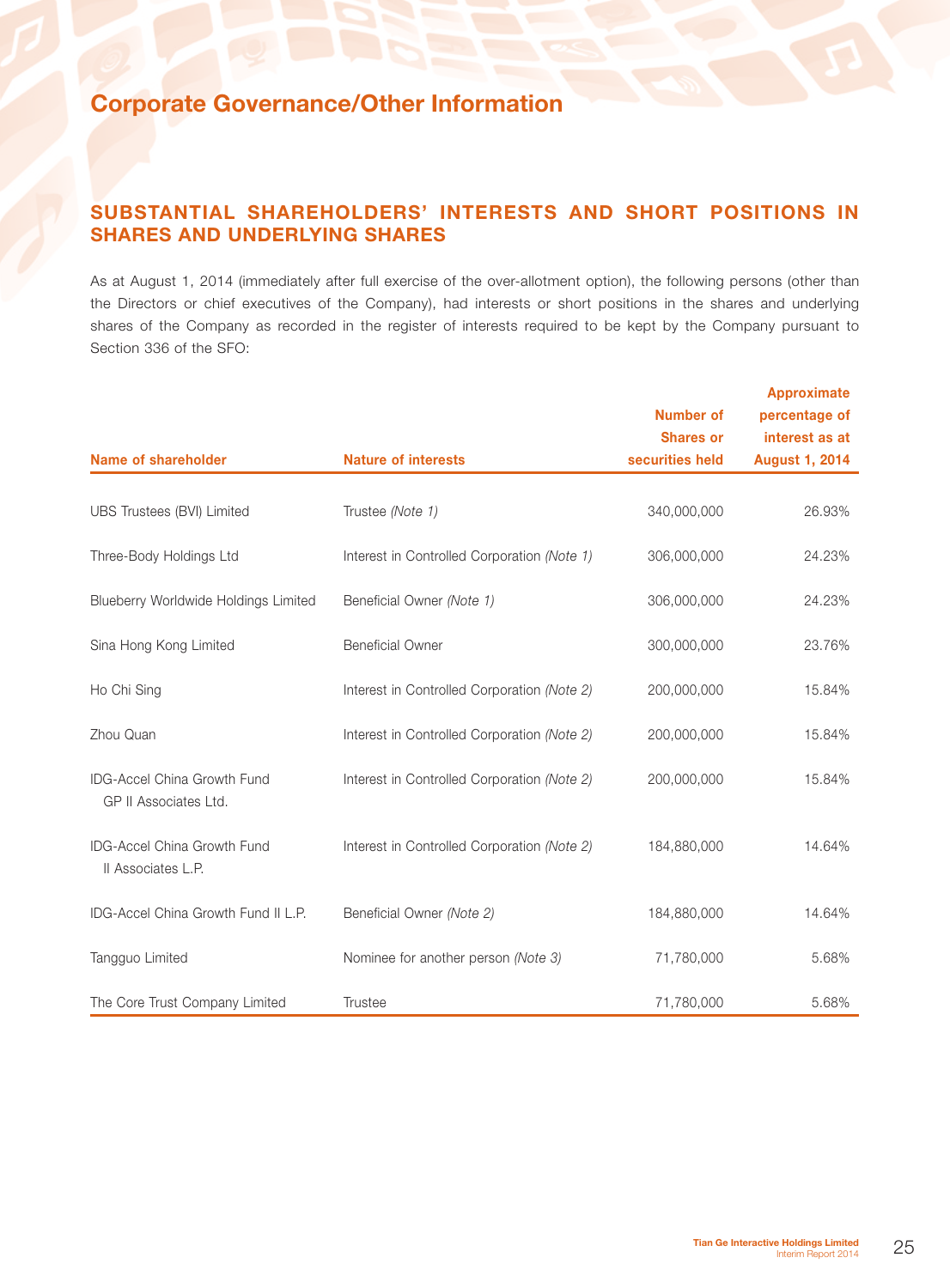## SUBSTANTIAL SHAREHOLDERS' INTERESTS AND SHORT POSITIONS IN SHARES AND UNDERLYING SHARES

As at August 1, 2014 (immediately after full exercise of the over-allotment option), the following persons (other than the Directors or chief executives of the Company), had interests or short positions in the shares and underlying shares of the Company as recorded in the register of interests required to be kept by the Company pursuant to Section 336 of the SFO:

|                                                             |                                             |                  | <b>Approximate</b>    |
|-------------------------------------------------------------|---------------------------------------------|------------------|-----------------------|
|                                                             |                                             | <b>Number of</b> | percentage of         |
|                                                             |                                             | <b>Shares or</b> | interest as at        |
| <b>Name of shareholder</b>                                  | <b>Nature of interests</b>                  | securities held  | <b>August 1, 2014</b> |
| UBS Trustees (BVI) Limited                                  | Trustee (Note 1)                            | 340,000,000      | 26.93%                |
| Three-Body Holdings Ltd                                     | Interest in Controlled Corporation (Note 1) | 306,000,000      | 24.23%                |
| Blueberry Worldwide Holdings Limited                        | Beneficial Owner (Note 1)                   | 306,000,000      | 24.23%                |
| Sina Hong Kong Limited                                      | <b>Beneficial Owner</b>                     | 300,000,000      | 23.76%                |
| Ho Chi Sing                                                 | Interest in Controlled Corporation (Note 2) | 200,000,000      | 15.84%                |
| Zhou Quan                                                   | Interest in Controlled Corporation (Note 2) | 200,000,000      | 15.84%                |
| <b>IDG-Accel China Growth Fund</b><br>GP II Associates Ltd. | Interest in Controlled Corporation (Note 2) | 200,000,000      | 15.84%                |
| <b>IDG-Accel China Growth Fund</b><br>Il Associates L.P.    | Interest in Controlled Corporation (Note 2) | 184,880,000      | 14.64%                |
| <b>IDG-Accel China Growth Fund II L.P.</b>                  | Beneficial Owner (Note 2)                   | 184,880,000      | 14.64%                |
| Tangguo Limited                                             | Nominee for another person (Note 3)         | 71,780,000       | 5.68%                 |
| The Core Trust Company Limited                              | <b>Trustee</b>                              | 71,780,000       | 5.68%                 |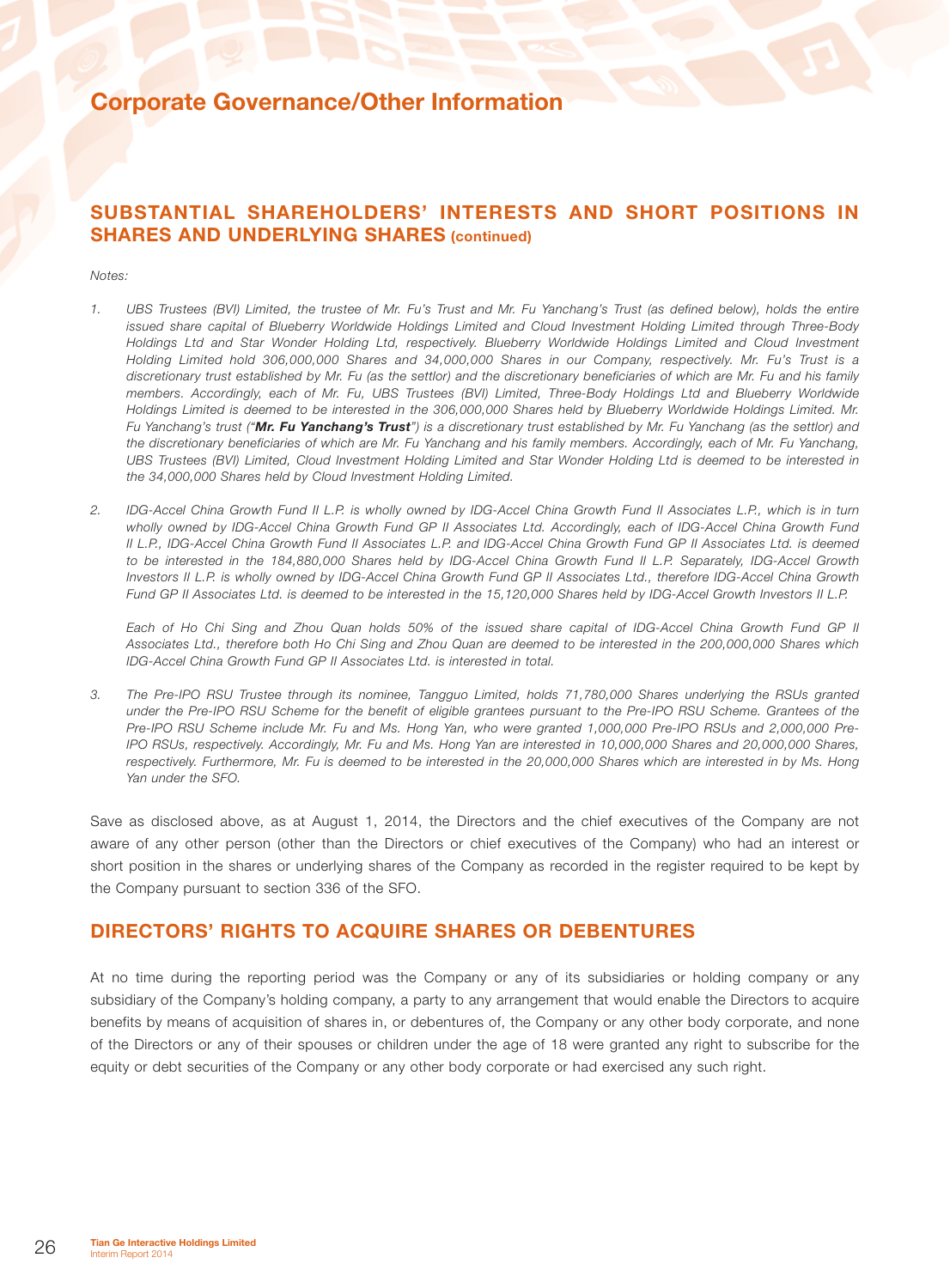### SUBSTANTIAL SHAREHOLDERS' INTERESTS AND SHORT POSITIONS IN SHARES AND UNDERLYING SHARES (continued)

#### *Notes:*

- *1. UBS Trustees (BVI) Limited, the trustee of Mr. Fu's Trust and Mr. Fu Yanchang's Trust (as defined below), holds the entire issued share capital of Blueberry Worldwide Holdings Limited and Cloud Investment Holding Limited through Three-Body Holdings Ltd and Star Wonder Holding Ltd, respectively. Blueberry Worldwide Holdings Limited and Cloud Investment Holding Limited hold 306,000,000 Shares and 34,000,000 Shares in our Company, respectively. Mr. Fu's Trust is a discretionary trust established by Mr. Fu (as the settlor) and the discretionary beneficiaries of which are Mr. Fu and his family members. Accordingly, each of Mr. Fu, UBS Trustees (BVI) Limited, Three-Body Holdings Ltd and Blueberry Worldwide Holdings Limited is deemed to be interested in the 306,000,000 Shares held by Blueberry Worldwide Holdings Limited. Mr. Fu Yanchang's trust ("Mr. Fu Yanchang's Trust") is a discretionary trust established by Mr. Fu Yanchang (as the settlor) and the discretionary beneficiaries of which are Mr. Fu Yanchang and his family members. Accordingly, each of Mr. Fu Yanchang, UBS Trustees (BVI) Limited, Cloud Investment Holding Limited and Star Wonder Holding Ltd is deemed to be interested in the 34,000,000 Shares held by Cloud Investment Holding Limited.*
- *2. IDG-Accel China Growth Fund II L.P. is wholly owned by IDG-Accel China Growth Fund II Associates L.P., which is in turn wholly owned by IDG-Accel China Growth Fund GP II Associates Ltd. Accordingly, each of IDG-Accel China Growth Fund II L.P., IDG-Accel China Growth Fund II Associates L.P. and IDG-Accel China Growth Fund GP II Associates Ltd. is deemed to be interested in the 184,880,000 Shares held by IDG-Accel China Growth Fund II L.P. Separately, IDG-Accel Growth Investors II L.P. is wholly owned by IDG-Accel China Growth Fund GP II Associates Ltd., therefore IDG-Accel China Growth Fund GP II Associates Ltd. is deemed to be interested in the 15,120,000 Shares held by IDG-Accel Growth Investors II L.P.*

*Each of Ho Chi Sing and Zhou Quan holds 50% of the issued share capital of IDG-Accel China Growth Fund GP II Associates Ltd., therefore both Ho Chi Sing and Zhou Quan are deemed to be interested in the 200,000,000 Shares which IDG-Accel China Growth Fund GP II Associates Ltd. is interested in total.*

*3. The Pre-IPO RSU Trustee through its nominee, Tangguo Limited, holds 71,780,000 Shares underlying the RSUs granted under the Pre-IPO RSU Scheme for the benefit of eligible grantees pursuant to the Pre-IPO RSU Scheme. Grantees of the Pre-IPO RSU Scheme include Mr. Fu and Ms. Hong Yan, who were granted 1,000,000 Pre-IPO RSUs and 2,000,000 Pre-IPO RSUs, respectively. Accordingly, Mr. Fu and Ms. Hong Yan are interested in 10,000,000 Shares and 20,000,000 Shares, respectively. Furthermore, Mr. Fu is deemed to be interested in the 20,000,000 Shares which are interested in by Ms. Hong Yan under the SFO.*

Save as disclosed above, as at August 1, 2014, the Directors and the chief executives of the Company are not aware of any other person (other than the Directors or chief executives of the Company) who had an interest or short position in the shares or underlying shares of the Company as recorded in the register required to be kept by the Company pursuant to section 336 of the SFO.

### DIRECTORS' RIGHTS TO ACQUIRE SHARES OR DEBENTURES

At no time during the reporting period was the Company or any of its subsidiaries or holding company or any subsidiary of the Company's holding company, a party to any arrangement that would enable the Directors to acquire benefits by means of acquisition of shares in, or debentures of, the Company or any other body corporate, and none of the Directors or any of their spouses or children under the age of 18 were granted any right to subscribe for the equity or debt securities of the Company or any other body corporate or had exercised any such right.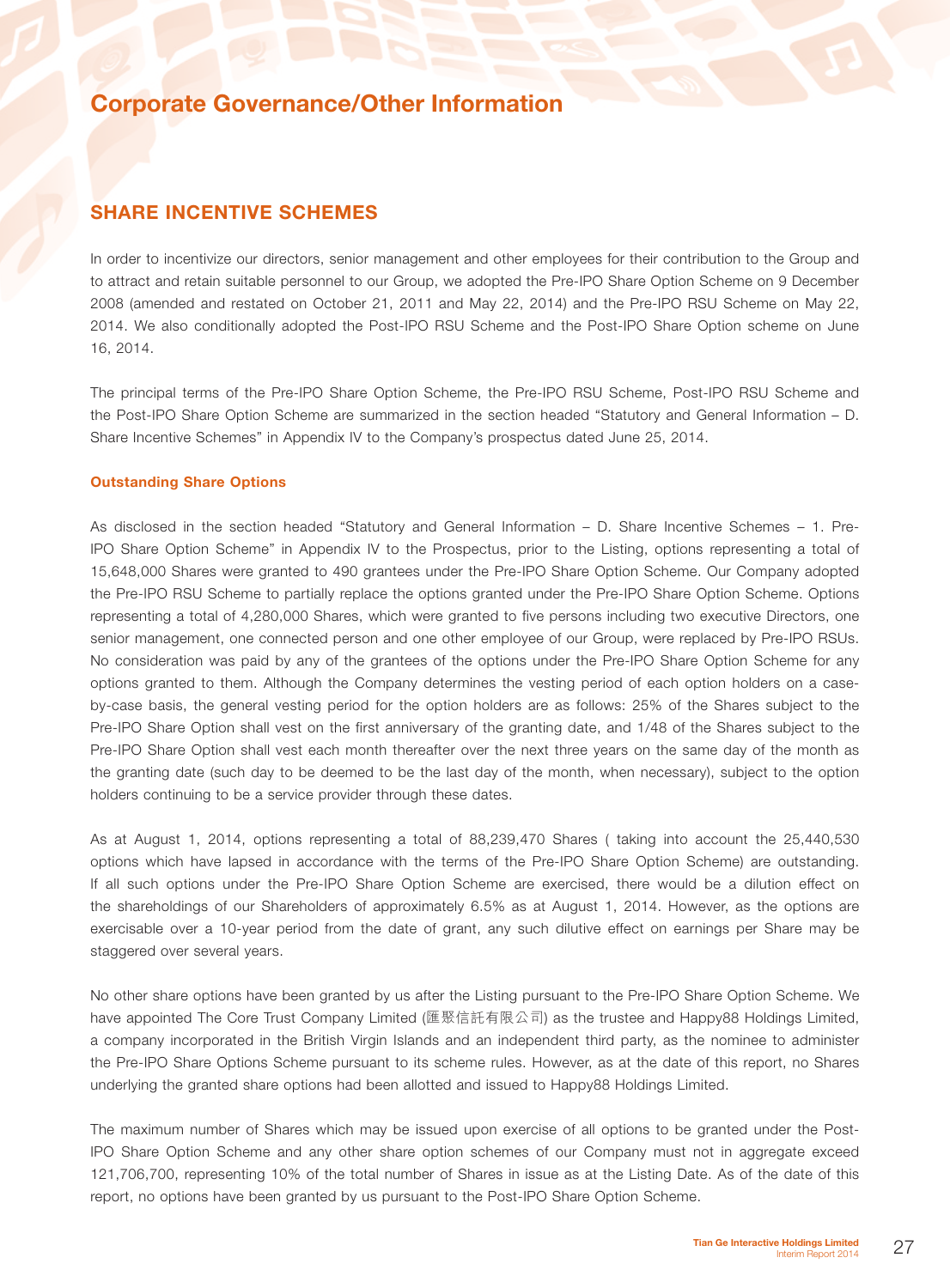### SHARE INCENTIVE SCHEMES

In order to incentivize our directors, senior management and other employees for their contribution to the Group and to attract and retain suitable personnel to our Group, we adopted the Pre-IPO Share Option Scheme on 9 December 2008 (amended and restated on October 21, 2011 and May 22, 2014) and the Pre-IPO RSU Scheme on May 22, 2014. We also conditionally adopted the Post-IPO RSU Scheme and the Post-IPO Share Option scheme on June 16, 2014.

The principal terms of the Pre-IPO Share Option Scheme, the Pre-IPO RSU Scheme, Post-IPO RSU Scheme and the Post-IPO Share Option Scheme are summarized in the section headed "Statutory and General Information – D. Share Incentive Schemes" in Appendix IV to the Company's prospectus dated June 25, 2014.

### Outstanding Share Options

As disclosed in the section headed "Statutory and General Information – D. Share Incentive Schemes – 1. Pre-IPO Share Option Scheme" in Appendix IV to the Prospectus, prior to the Listing, options representing a total of 15,648,000 Shares were granted to 490 grantees under the Pre-IPO Share Option Scheme. Our Company adopted the Pre-IPO RSU Scheme to partially replace the options granted under the Pre-IPO Share Option Scheme. Options representing a total of 4,280,000 Shares, which were granted to five persons including two executive Directors, one senior management, one connected person and one other employee of our Group, were replaced by Pre-IPO RSUs. No consideration was paid by any of the grantees of the options under the Pre-IPO Share Option Scheme for any options granted to them. Although the Company determines the vesting period of each option holders on a caseby-case basis, the general vesting period for the option holders are as follows: 25% of the Shares subject to the Pre-IPO Share Option shall vest on the first anniversary of the granting date, and 1/48 of the Shares subject to the Pre-IPO Share Option shall vest each month thereafter over the next three years on the same day of the month as the granting date (such day to be deemed to be the last day of the month, when necessary), subject to the option holders continuing to be a service provider through these dates.

As at August 1, 2014, options representing a total of 88,239,470 Shares ( taking into account the 25,440,530 options which have lapsed in accordance with the terms of the Pre-IPO Share Option Scheme) are outstanding. If all such options under the Pre-IPO Share Option Scheme are exercised, there would be a dilution effect on the shareholdings of our Shareholders of approximately 6.5% as at August 1, 2014. However, as the options are exercisable over a 10-year period from the date of grant, any such dilutive effect on earnings per Share may be staggered over several years.

No other share options have been granted by us after the Listing pursuant to the Pre-IPO Share Option Scheme. We have appointed The Core Trust Company Limited (匯聚信託有限公司) as the trustee and Happy88 Holdings Limited, a company incorporated in the British Virgin Islands and an independent third party, as the nominee to administer the Pre-IPO Share Options Scheme pursuant to its scheme rules. However, as at the date of this report, no Shares underlying the granted share options had been allotted and issued to Happy88 Holdings Limited.

The maximum number of Shares which may be issued upon exercise of all options to be granted under the Post-IPO Share Option Scheme and any other share option schemes of our Company must not in aggregate exceed 121,706,700, representing 10% of the total number of Shares in issue as at the Listing Date. As of the date of this report, no options have been granted by us pursuant to the Post-IPO Share Option Scheme.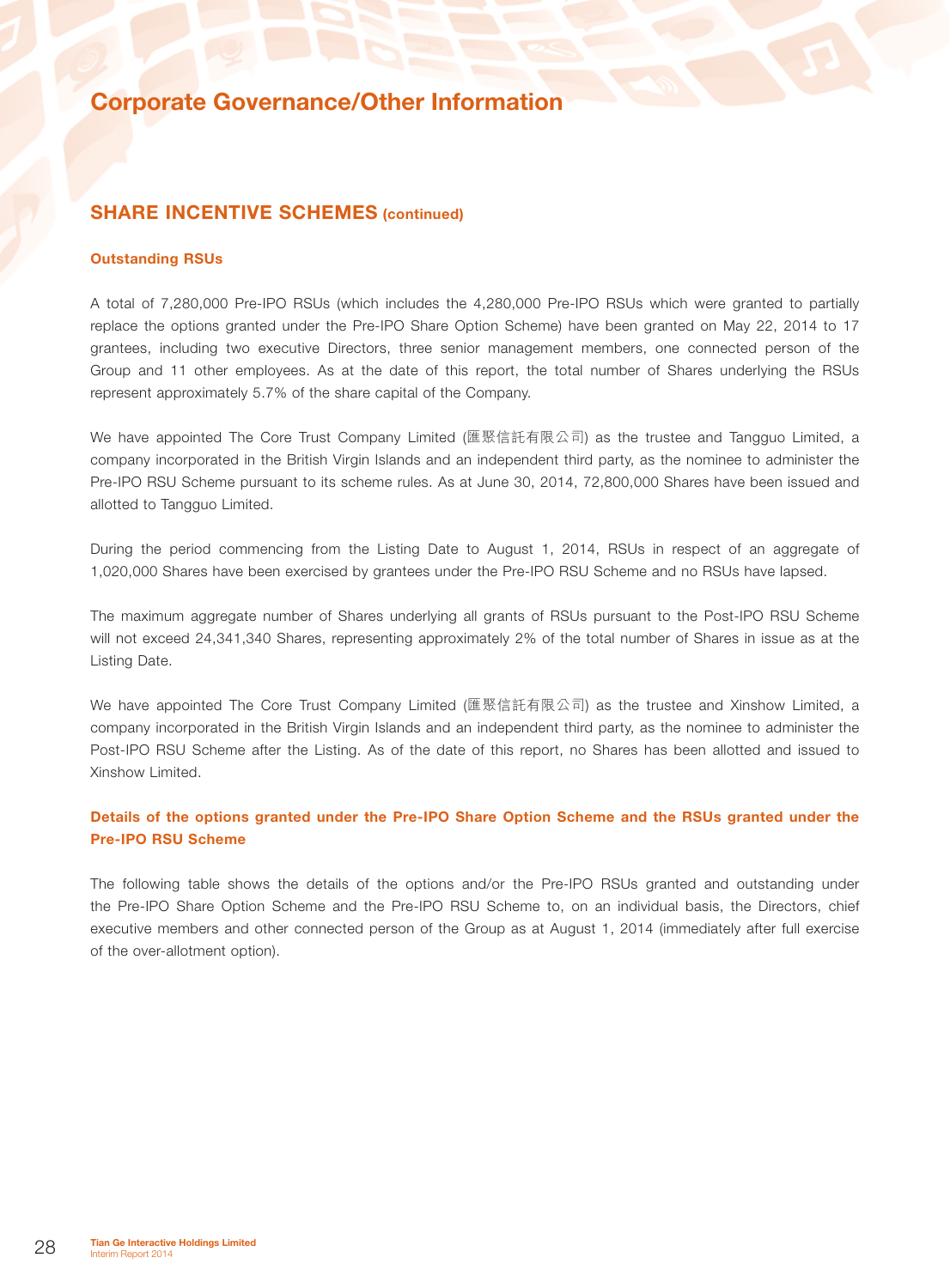### SHARE INCENTIVE SCHEMES (continued)

#### Outstanding RSUs

A total of 7,280,000 Pre-IPO RSUs (which includes the 4,280,000 Pre-IPO RSUs which were granted to partially replace the options granted under the Pre-IPO Share Option Scheme) have been granted on May 22, 2014 to 17 grantees, including two executive Directors, three senior management members, one connected person of the Group and 11 other employees. As at the date of this report, the total number of Shares underlying the RSUs represent approximately 5.7% of the share capital of the Company.

We have appointed The Core Trust Company Limited (匯聚信託有限公司) as the trustee and Tangguo Limited, a company incorporated in the British Virgin Islands and an independent third party, as the nominee to administer the Pre-IPO RSU Scheme pursuant to its scheme rules. As at June 30, 2014, 72,800,000 Shares have been issued and allotted to Tangguo Limited.

During the period commencing from the Listing Date to August 1, 2014, RSUs in respect of an aggregate of 1,020,000 Shares have been exercised by grantees under the Pre-IPO RSU Scheme and no RSUs have lapsed.

The maximum aggregate number of Shares underlying all grants of RSUs pursuant to the Post-IPO RSU Scheme will not exceed 24,341,340 Shares, representing approximately 2% of the total number of Shares in issue as at the Listing Date.

We have appointed The Core Trust Company Limited (匯聚信託有限公司) as the trustee and Xinshow Limited, a company incorporated in the British Virgin Islands and an independent third party, as the nominee to administer the Post-IPO RSU Scheme after the Listing. As of the date of this report, no Shares has been allotted and issued to Xinshow Limited.

### Details of the options granted under the Pre-IPO Share Option Scheme and the RSUs granted under the Pre-IPO RSU Scheme

The following table shows the details of the options and/or the Pre-IPO RSUs granted and outstanding under the Pre-IPO Share Option Scheme and the Pre-IPO RSU Scheme to, on an individual basis, the Directors, chief executive members and other connected person of the Group as at August 1, 2014 (immediately after full exercise of the over-allotment option).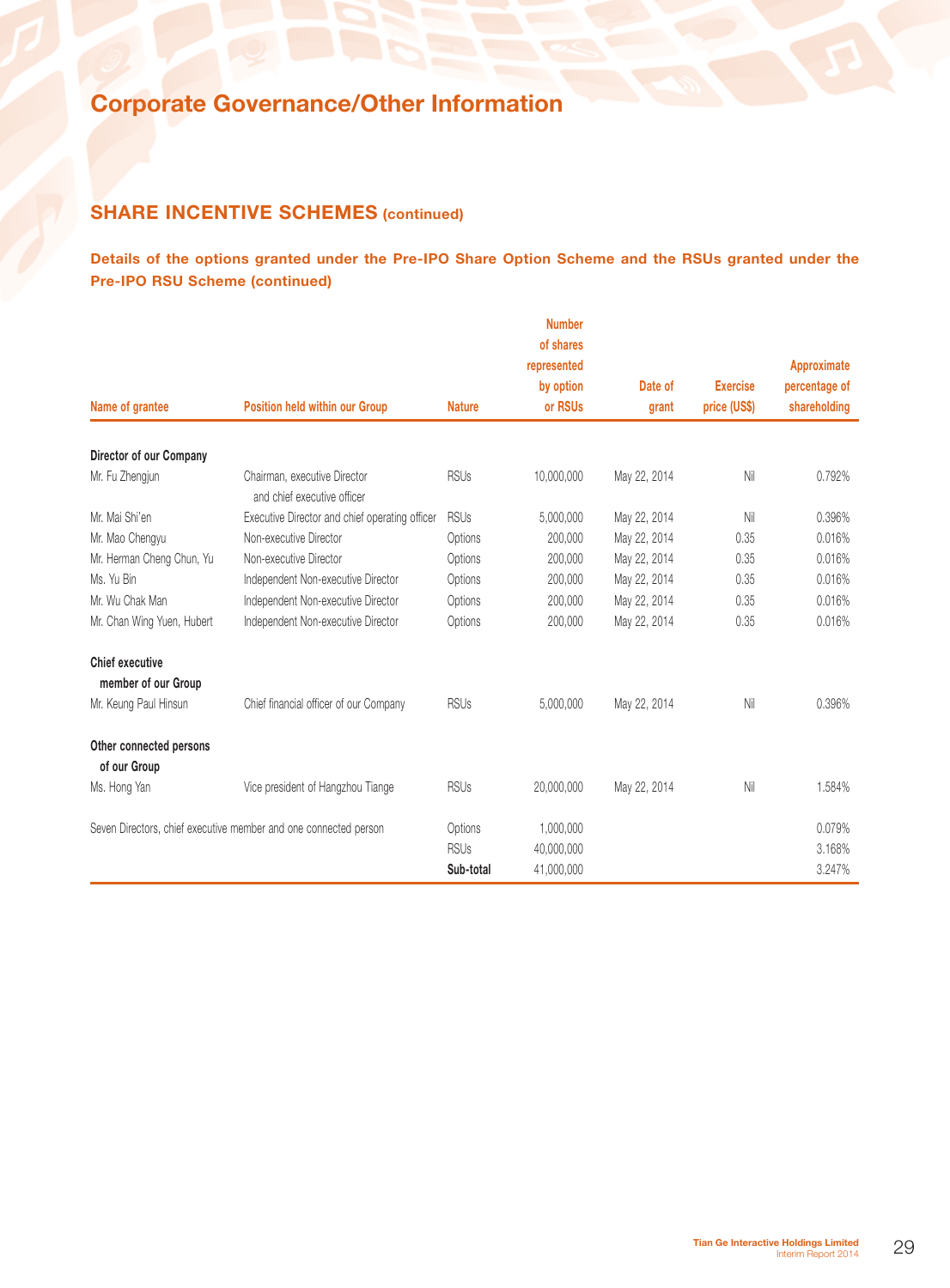## **SHARE INCENTIVE SCHEMES (continued)**

Details of the options granted under the Pre-IPO Share Option Scheme and the RSUs granted under the Pre-IPO RSU Scheme (continued)

|                                         |                                                                  |               | <b>Number</b><br>of shares |              |                 |               |
|-----------------------------------------|------------------------------------------------------------------|---------------|----------------------------|--------------|-----------------|---------------|
|                                         |                                                                  |               | represented                |              |                 | Approximate   |
|                                         |                                                                  |               | by option                  | Date of      | <b>Exercise</b> | percentage of |
| Name of grantee                         | <b>Position held within our Group</b>                            | <b>Nature</b> | or RSUs                    | grant        | price (US\$)    | shareholding  |
| Director of our Company                 |                                                                  |               |                            |              |                 |               |
| Mr. Fu Zhengjun                         | Chairman, executive Director<br>and chief executive officer      | <b>RSUs</b>   | 10,000,000                 | May 22, 2014 | Nil             | 0.792%        |
| Mr. Mai Shi'en                          | Executive Director and chief operating officer                   | <b>RSUs</b>   | 5,000,000                  | May 22, 2014 | Nil             | 0.396%        |
| Mr. Mao Chengyu                         | Non-executive Director                                           | Options       | 200,000                    | May 22, 2014 | 0.35            | 0.016%        |
| Mr. Herman Cheng Chun, Yu               | Non-executive Director                                           | Options       | 200,000                    | May 22, 2014 | 0.35            | 0.016%        |
| Ms. Yu Bin                              | Independent Non-executive Director                               | Options       | 200,000                    | May 22, 2014 | 0.35            | 0.016%        |
| Mr. Wu Chak Man                         | Independent Non-executive Director                               | Options       | 200,000                    | May 22, 2014 | 0.35            | 0.016%        |
| Mr. Chan Wing Yuen, Hubert              | Independent Non-executive Director                               | Options       | 200,000                    | May 22, 2014 | 0.35            | 0.016%        |
| <b>Chief executive</b>                  |                                                                  |               |                            |              |                 |               |
| member of our Group                     |                                                                  |               |                            |              |                 |               |
| Mr. Keung Paul Hinsun                   | Chief financial officer of our Company                           | <b>RSUs</b>   | 5,000,000                  | May 22, 2014 | Nil             | 0.396%        |
| Other connected persons<br>of our Group |                                                                  |               |                            |              |                 |               |
| Ms. Hong Yan                            | Vice president of Hangzhou Tiange                                | <b>RSUs</b>   | 20,000,000                 | May 22, 2014 | Nil             | 1.584%        |
|                                         | Seven Directors, chief executive member and one connected person | Options       | 1,000,000                  |              |                 | 0.079%        |
|                                         |                                                                  | <b>RSUs</b>   | 40,000,000                 |              |                 | 3.168%        |
|                                         |                                                                  | Sub-total     | 41,000,000                 |              |                 | 3.247%        |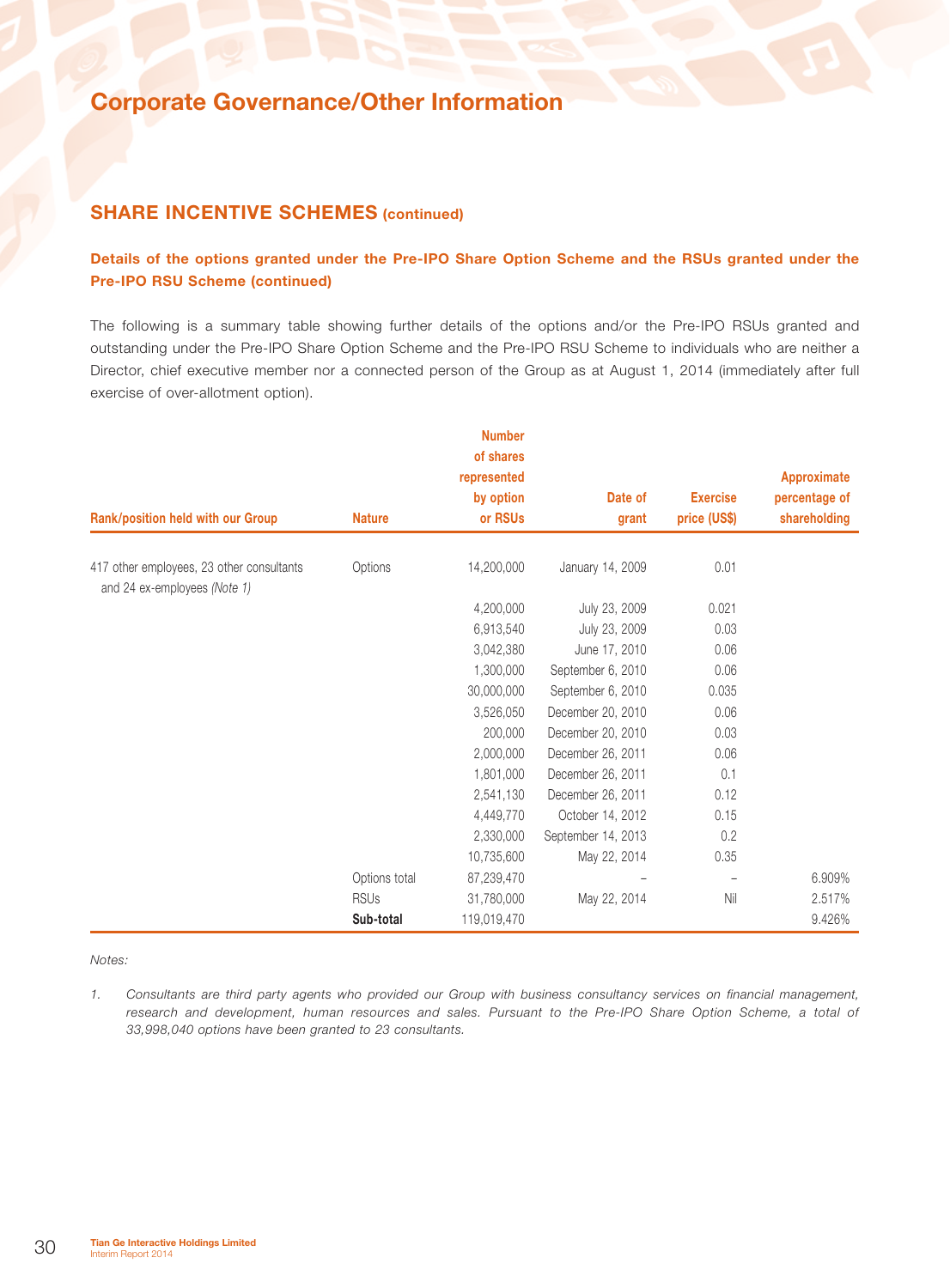### **SHARE INCENTIVE SCHEMES (continued)**

### Details of the options granted under the Pre-IPO Share Option Scheme and the RSUs granted under the Pre-IPO RSU Scheme (continued)

The following is a summary table showing further details of the options and/or the Pre-IPO RSUs granted and outstanding under the Pre-IPO Share Option Scheme and the Pre-IPO RSU Scheme to individuals who are neither a Director, chief executive member nor a connected person of the Group as at August 1, 2014 (immediately after full exercise of over-allotment option).

|                                                                           |               | <b>Number</b>            |                    |                   |               |
|---------------------------------------------------------------------------|---------------|--------------------------|--------------------|-------------------|---------------|
|                                                                           |               | of shares<br>represented |                    |                   | Approximate   |
|                                                                           |               | by option                | Date of            | <b>Exercise</b>   | percentage of |
| Rank/position held with our Group                                         | <b>Nature</b> | or RSUs                  | grant              | price (US\$)      | shareholding  |
| 417 other employees, 23 other consultants<br>and 24 ex-employees (Note 1) | Options       | 14,200,000               | January 14, 2009   | 0.01              |               |
|                                                                           |               | 4,200,000                | July 23, 2009      | 0.021             |               |
|                                                                           |               | 6,913,540                | July 23, 2009      | 0.03              |               |
|                                                                           |               | 3,042,380                | June 17, 2010      | 0.06              |               |
|                                                                           |               | 1,300,000                | September 6, 2010  | 0.06              |               |
|                                                                           |               | 30,000,000               | September 6, 2010  | 0.035             |               |
|                                                                           |               | 3,526,050                | December 20, 2010  | 0.06              |               |
|                                                                           |               | 200,000                  | December 20, 2010  | 0.03              |               |
|                                                                           |               | 2,000,000                | December 26, 2011  | 0.06              |               |
|                                                                           |               | 1,801,000                | December 26, 2011  | 0.1               |               |
|                                                                           |               | 2,541,130                | December 26, 2011  | 0.12              |               |
|                                                                           |               | 4,449,770                | October 14, 2012   | 0.15              |               |
|                                                                           |               | 2,330,000                | September 14, 2013 | 0.2               |               |
|                                                                           |               | 10,735,600               | May 22, 2014       | 0.35              |               |
|                                                                           | Options total | 87,239,470               |                    | $\qquad \qquad -$ | 6.909%        |
|                                                                           | <b>RSUs</b>   | 31,780,000               | May 22, 2014       | Nil               | 2.517%        |
|                                                                           | Sub-total     | 119,019,470              |                    |                   | 9.426%        |

#### *Notes:*

*1. Consultants are third party agents who provided our Group with business consultancy services on financial management, research and development, human resources and sales. Pursuant to the Pre-IPO Share Option Scheme, a total of 33,998,040 options have been granted to 23 consultants.*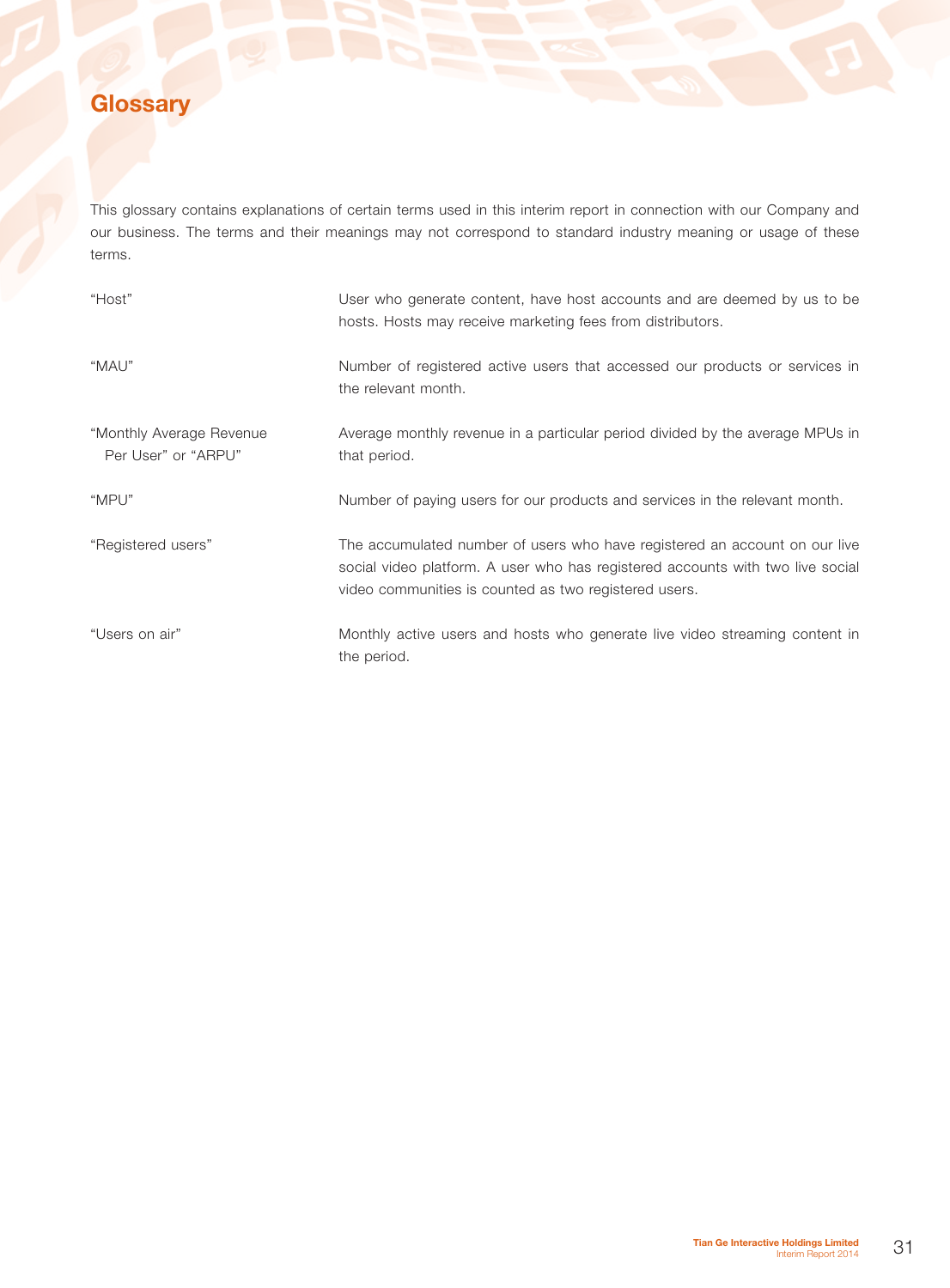# **Glossary**

This glossary contains explanations of certain terms used in this interim report in connection with our Company and our business. The terms and their meanings may not correspond to standard industry meaning or usage of these terms.

| "Host"                                          | User who generate content, have host accounts and are deemed by us to be<br>hosts. Hosts may receive marketing fees from distributors.                                                                                |
|-------------------------------------------------|-----------------------------------------------------------------------------------------------------------------------------------------------------------------------------------------------------------------------|
| "MAU"                                           | Number of registered active users that accessed our products or services in<br>the relevant month.                                                                                                                    |
| "Monthly Average Revenue<br>Per User" or "ARPU" | Average monthly revenue in a particular period divided by the average MPUs in<br>that period.                                                                                                                         |
| "MPU"                                           | Number of paying users for our products and services in the relevant month.                                                                                                                                           |
| "Registered users"                              | The accumulated number of users who have registered an account on our live<br>social video platform. A user who has registered accounts with two live social<br>video communities is counted as two registered users. |
| "Users on air"                                  | Monthly active users and hosts who generate live video streaming content in<br>the period.                                                                                                                            |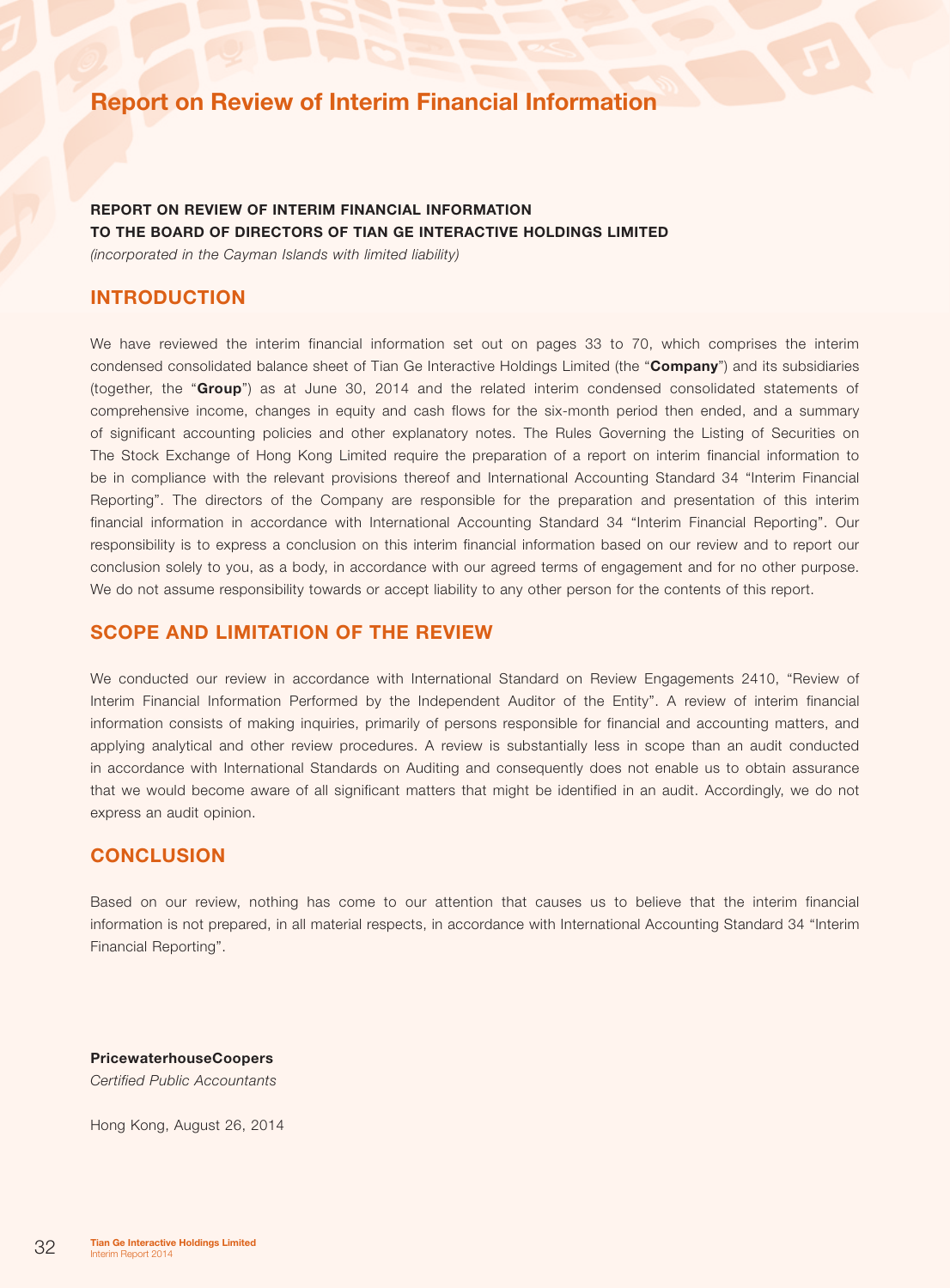# Report on Review of Interim Financial Information

## REPORT ON REVIEW OF INTERIM FINANCIAL INFORMATION TO THE BOARD OF DIRECTORS OF TIAN GE INTERACTIVE HOLDINGS LIMITED

*(incorporated in the Cayman Islands with limited liability)*

### **INTRODUCTION**

We have reviewed the interim financial information set out on pages 33 to 70, which comprises the interim condensed consolidated balance sheet of Tian Ge Interactive Holdings Limited (the "Company") and its subsidiaries (together, the "Group") as at June 30, 2014 and the related interim condensed consolidated statements of comprehensive income, changes in equity and cash flows for the six-month period then ended, and a summary of significant accounting policies and other explanatory notes. The Rules Governing the Listing of Securities on The Stock Exchange of Hong Kong Limited require the preparation of a report on interim financial information to be in compliance with the relevant provisions thereof and International Accounting Standard 34 "Interim Financial Reporting". The directors of the Company are responsible for the preparation and presentation of this interim financial information in accordance with International Accounting Standard 34 "Interim Financial Reporting". Our responsibility is to express a conclusion on this interim financial information based on our review and to report our conclusion solely to you, as a body, in accordance with our agreed terms of engagement and for no other purpose. We do not assume responsibility towards or accept liability to any other person for the contents of this report.

### Scope and limitation of the review

We conducted our review in accordance with International Standard on Review Engagements 2410, "Review of Interim Financial Information Performed by the Independent Auditor of the Entity". A review of interim financial information consists of making inquiries, primarily of persons responsible for financial and accounting matters, and applying analytical and other review procedures. A review is substantially less in scope than an audit conducted in accordance with International Standards on Auditing and consequently does not enable us to obtain assurance that we would become aware of all significant matters that might be identified in an audit. Accordingly, we do not express an audit opinion.

### **CONCLUSION**

Based on our review, nothing has come to our attention that causes us to believe that the interim financial information is not prepared, in all material respects, in accordance with International Accounting Standard 34 "Interim Financial Reporting".

PricewaterhouseCoopers *Certified Public Accountants*

Hong Kong, August 26, 2014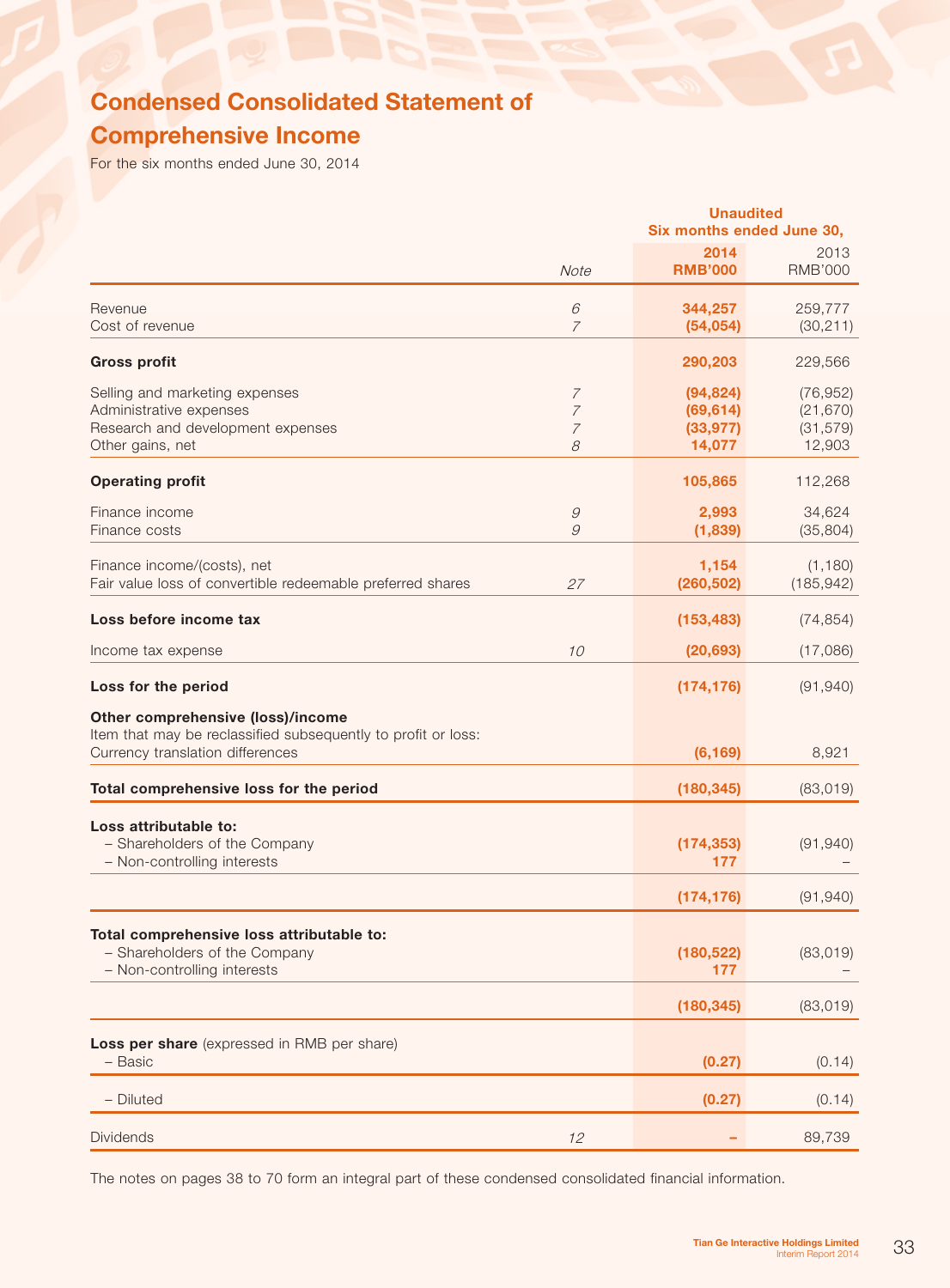# Condensed Consolidated Statement of Comprehensive Income

For the six months ended June 30, 2014

|                                                                                                                                        |                                                         | <b>Unaudited</b><br>Six months ended June 30, |                                               |
|----------------------------------------------------------------------------------------------------------------------------------------|---------------------------------------------------------|-----------------------------------------------|-----------------------------------------------|
|                                                                                                                                        | Note                                                    | 2014<br><b>RMB'000</b>                        | 2013<br><b>RMB'000</b>                        |
| Revenue<br>Cost of revenue                                                                                                             | 6<br>$\overline{7}$                                     | 344,257<br>(54, 054)                          | 259,777<br>(30, 211)                          |
| <b>Gross profit</b>                                                                                                                    |                                                         | 290,203                                       | 229,566                                       |
| Selling and marketing expenses<br>Administrative expenses<br>Research and development expenses<br>Other gains, net                     | $\overline{7}$<br>$\overline{7}$<br>$\overline{7}$<br>8 | (94, 824)<br>(69, 614)<br>(33, 977)<br>14,077 | (76, 952)<br>(21, 670)<br>(31, 579)<br>12,903 |
| <b>Operating profit</b>                                                                                                                |                                                         | 105,865                                       | 112,268                                       |
| Finance income<br>Finance costs                                                                                                        | $\mathcal G$<br>9                                       | 2,993<br>(1,839)                              | 34,624<br>(35, 804)                           |
| Finance income/(costs), net<br>Fair value loss of convertible redeemable preferred shares                                              | 27                                                      | 1,154<br>(260, 502)                           | (1, 180)<br>(185, 942)                        |
| Loss before income tax                                                                                                                 |                                                         | (153, 483)                                    | (74, 854)                                     |
| Income tax expense                                                                                                                     | 10                                                      | (20, 693)                                     | (17,086)                                      |
| Loss for the period                                                                                                                    |                                                         | (174, 176)                                    | (91, 940)                                     |
| Other comprehensive (loss)/income<br>Item that may be reclassified subsequently to profit or loss:<br>Currency translation differences |                                                         | (6, 169)                                      | 8,921                                         |
| Total comprehensive loss for the period                                                                                                |                                                         | (180, 345)                                    | (83,019)                                      |
| Loss attributable to:<br>- Shareholders of the Company<br>- Non-controlling interests                                                  |                                                         | (174, 353)<br>177                             | (91, 940)                                     |
|                                                                                                                                        |                                                         | (174, 176)                                    | (91, 940)                                     |
| Total comprehensive loss attributable to:<br>- Shareholders of the Company<br>- Non-controlling interests                              |                                                         | (180, 522)<br>177                             | (83,019)                                      |
|                                                                                                                                        |                                                         | (180, 345)                                    | (83, 019)                                     |
| Loss per share (expressed in RMB per share)<br>- Basic                                                                                 |                                                         | (0.27)                                        | (0.14)                                        |
| - Diluted                                                                                                                              |                                                         | (0.27)                                        | (0.14)                                        |
| <b>Dividends</b>                                                                                                                       | 12                                                      |                                               | 89,739                                        |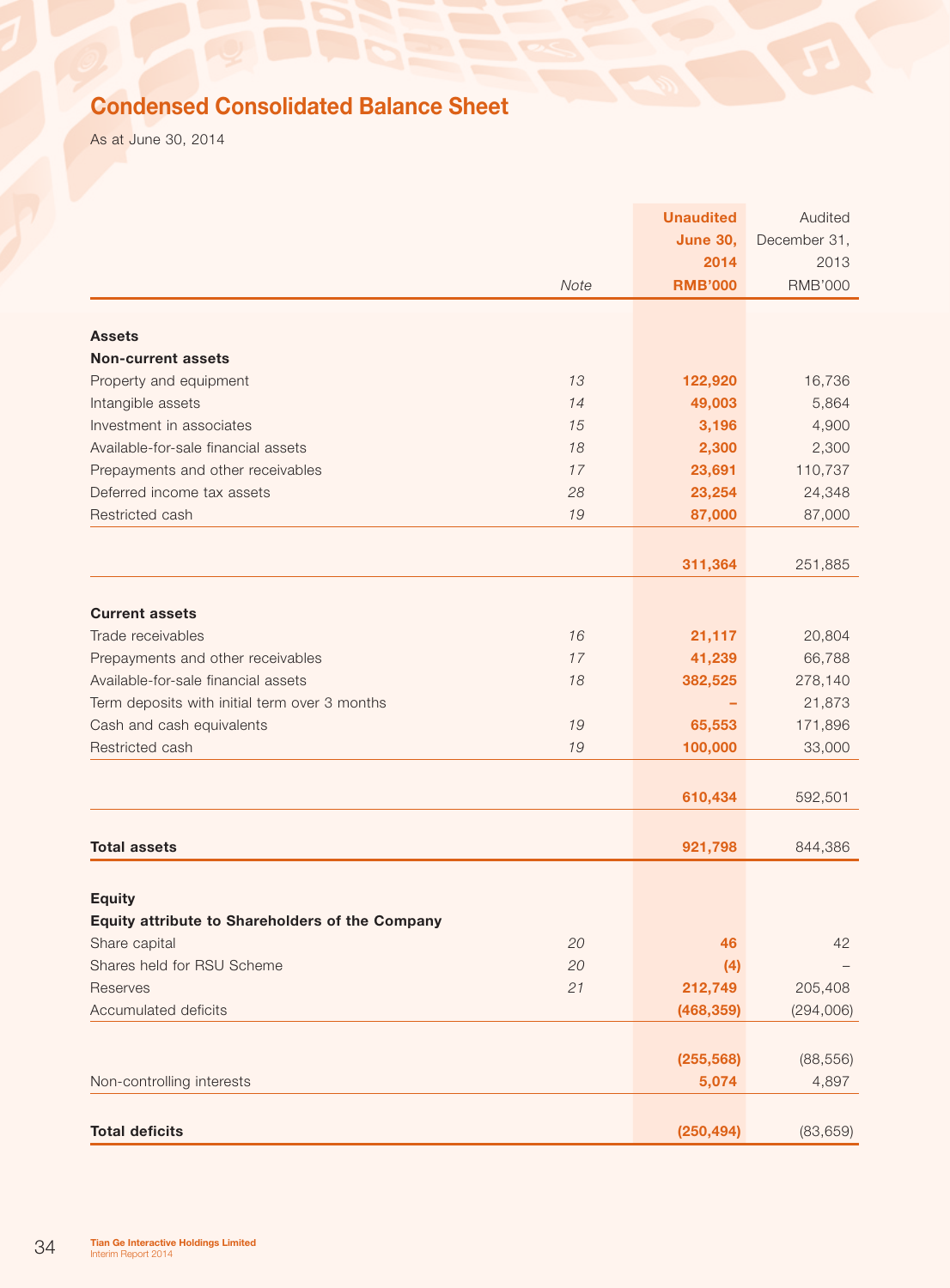# Condensed Consolidated Balance Sheet

As at June 30, 2014

|                                                 |      | <b>Unaudited</b> | Audited        |
|-------------------------------------------------|------|------------------|----------------|
|                                                 |      | <b>June 30,</b>  | December 31,   |
|                                                 |      | 2014             | 2013           |
|                                                 | Note | <b>RMB'000</b>   | <b>RMB'000</b> |
|                                                 |      |                  |                |
| <b>Assets</b>                                   |      |                  |                |
| <b>Non-current assets</b>                       |      |                  |                |
| Property and equipment                          | 13   | 122,920          | 16,736         |
| Intangible assets                               | 14   | 49,003           | 5,864          |
| Investment in associates                        | 15   | 3,196            | 4,900          |
| Available-for-sale financial assets             | 18   | 2,300            | 2,300          |
| Prepayments and other receivables               | 17   | 23,691           | 110,737        |
| Deferred income tax assets                      | 28   | 23,254           | 24,348         |
| Restricted cash                                 | 19   | 87,000           | 87,000         |
|                                                 |      |                  |                |
|                                                 |      | 311,364          | 251,885        |
|                                                 |      |                  |                |
| <b>Current assets</b>                           |      |                  |                |
| Trade receivables                               | 16   | 21,117           | 20,804         |
| Prepayments and other receivables               | 17   | 41,239           | 66,788         |
| Available-for-sale financial assets             | 18   | 382,525          | 278,140        |
| Term deposits with initial term over 3 months   |      |                  | 21,873         |
| Cash and cash equivalents                       | 19   | 65,553           | 171,896        |
| Restricted cash                                 | 19   | 100,000          | 33,000         |
|                                                 |      |                  |                |
|                                                 |      | 610,434          | 592,501        |
|                                                 |      |                  |                |
| <b>Total assets</b>                             |      | 921,798          | 844,386        |
|                                                 |      |                  |                |
| <b>Equity</b>                                   |      |                  |                |
| Equity attribute to Shareholders of the Company |      |                  |                |
| Share capital                                   | 20   | 46               | 42             |
| Shares held for RSU Scheme                      | 20   | (4)              |                |
| Reserves                                        | 21   | 212,749          | 205,408        |
| Accumulated deficits                            |      | (468, 359)       | (294,006)      |
|                                                 |      |                  |                |
|                                                 |      | (255, 568)       | (88, 556)      |
| Non-controlling interests                       |      | 5,074            | 4,897          |
|                                                 |      |                  |                |
| <b>Total deficits</b>                           |      | (250, 494)       | (83, 659)      |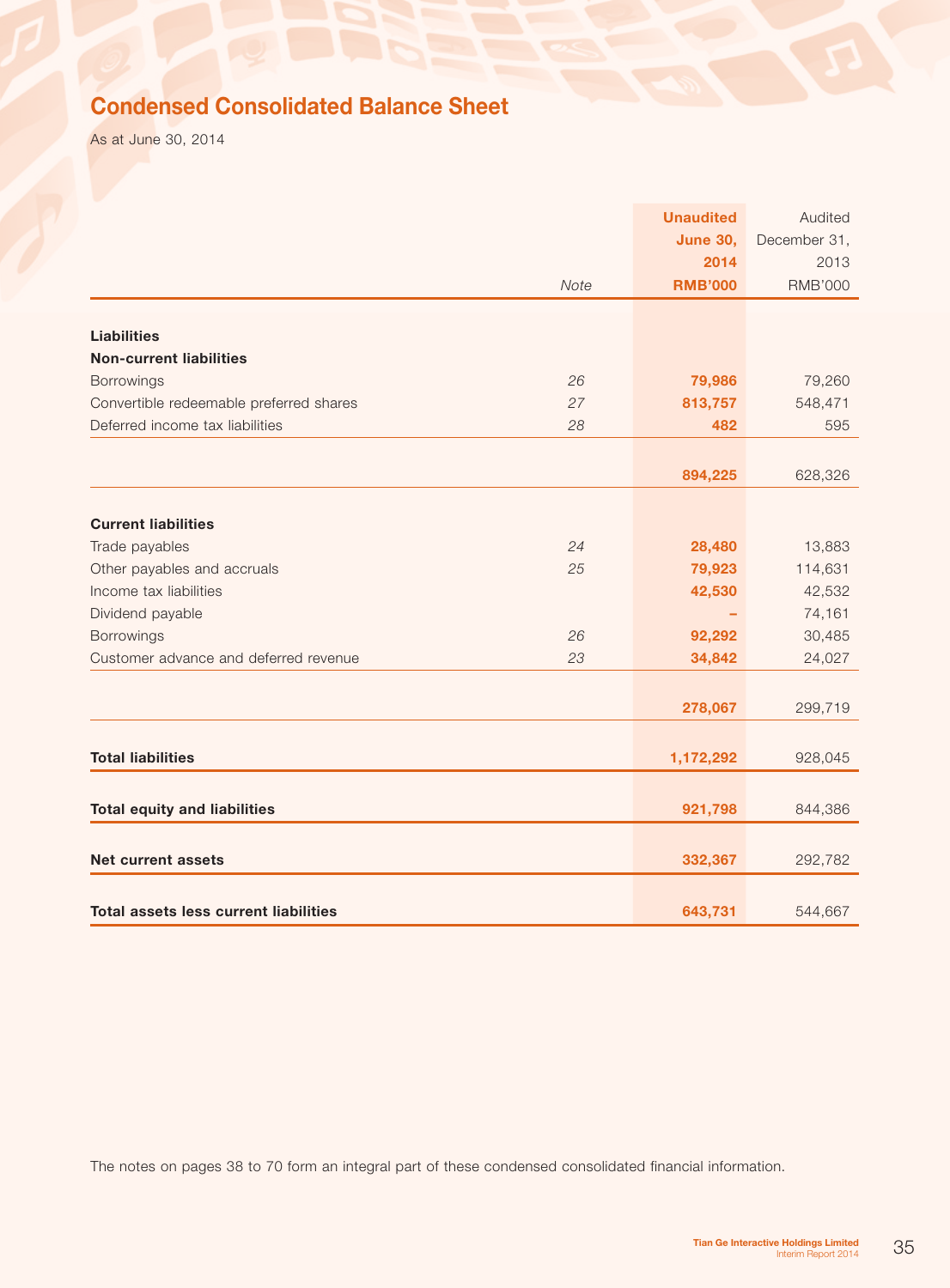# Condensed Consolidated Balance Sheet

As at June 30, 2014

|                                              |      | <b>Unaudited</b> | Audited        |
|----------------------------------------------|------|------------------|----------------|
|                                              |      | <b>June 30,</b>  | December 31,   |
|                                              |      | 2014             | 2013           |
|                                              | Note | <b>RMB'000</b>   | <b>RMB'000</b> |
|                                              |      |                  |                |
| <b>Liabilities</b>                           |      |                  |                |
| <b>Non-current liabilities</b>               |      |                  |                |
| Borrowings                                   | 26   | 79,986           | 79,260         |
| Convertible redeemable preferred shares      | 27   | 813,757          | 548,471        |
| Deferred income tax liabilities              | 28   | 482              | 595            |
|                                              |      |                  |                |
|                                              |      | 894,225          | 628,326        |
|                                              |      |                  |                |
| <b>Current liabilities</b>                   |      |                  |                |
| Trade payables                               | 24   | 28,480           | 13,883         |
| Other payables and accruals                  | 25   | 79,923           | 114,631        |
| Income tax liabilities                       |      | 42,530           | 42,532         |
| Dividend payable                             |      |                  | 74,161         |
| Borrowings                                   | 26   | 92,292           | 30,485         |
| Customer advance and deferred revenue        | 23   | 34,842           | 24,027         |
|                                              |      |                  |                |
|                                              |      | 278,067          | 299,719        |
|                                              |      |                  |                |
| <b>Total liabilities</b>                     |      | 1,172,292        | 928,045        |
|                                              |      |                  |                |
| <b>Total equity and liabilities</b>          |      | 921,798          | 844,386        |
|                                              |      |                  |                |
| <b>Net current assets</b>                    |      | 332,367          | 292,782        |
|                                              |      |                  |                |
| <b>Total assets less current liabilities</b> |      | 643,731          | 544,667        |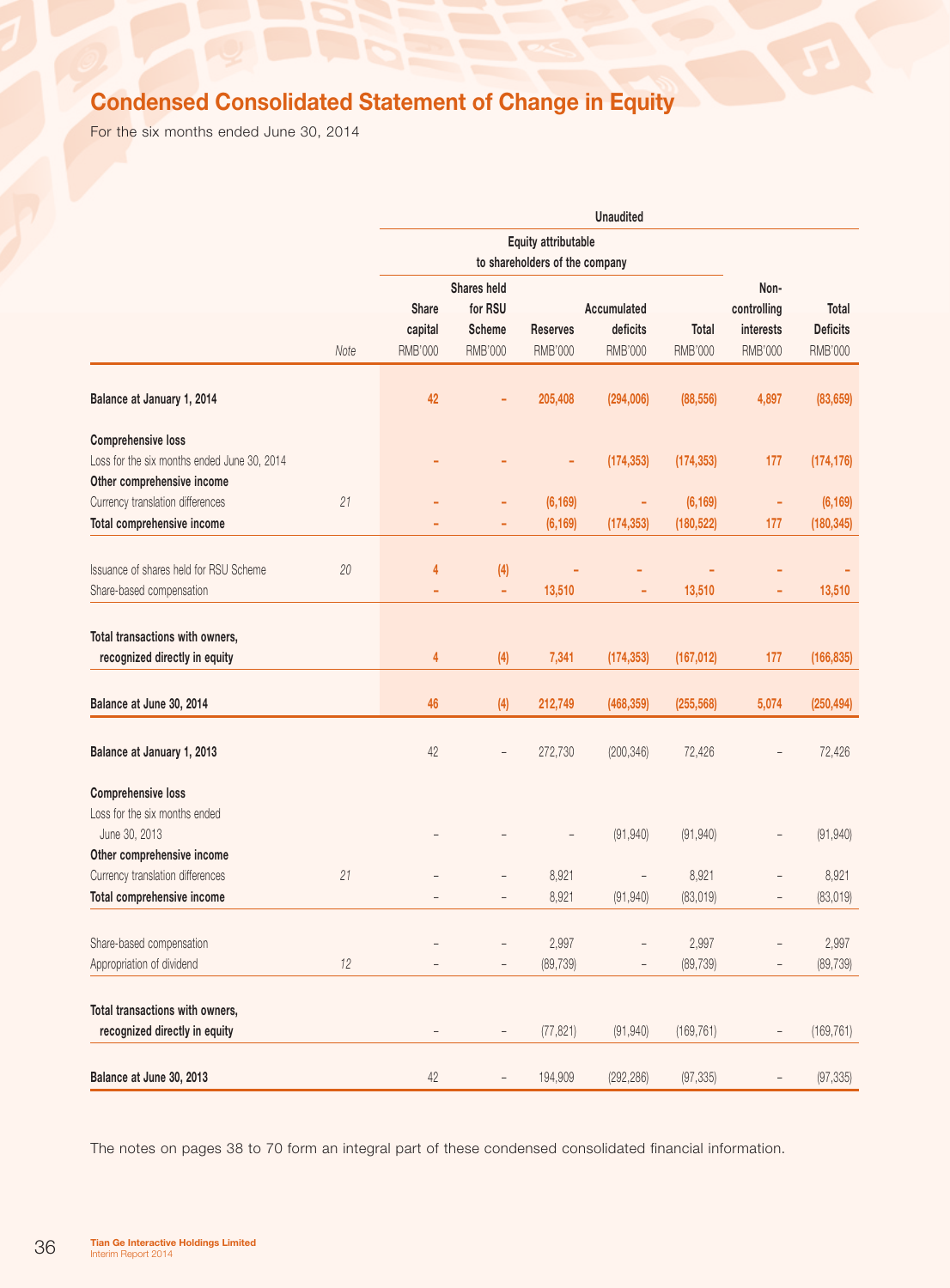# Condensed Consolidated Statement of Change in Equity

For the six months ended June 30, 2014

|                                                                                                        |      |                                    |                                                           |                            | <b>Unaudited</b>                   |                        |                                                    |                                                   |
|--------------------------------------------------------------------------------------------------------|------|------------------------------------|-----------------------------------------------------------|----------------------------|------------------------------------|------------------------|----------------------------------------------------|---------------------------------------------------|
|                                                                                                        |      |                                    | Equity attributable<br>to shareholders of the company     |                            |                                    |                        |                                                    |                                                   |
|                                                                                                        | Note | Share<br>capital<br><b>RMB'000</b> | Shares held<br>for RSU<br><b>Scheme</b><br><b>RMB'000</b> | <b>Reserves</b><br>RMB'000 | Accumulated<br>deficits<br>RMB'000 | Total<br>RMB'000       | Non-<br>controlling<br>interests<br><b>RMB'000</b> | <b>Total</b><br><b>Deficits</b><br><b>RMB'000</b> |
| Balance at January 1, 2014                                                                             |      | 42                                 |                                                           | 205,408                    | (294,006)                          | (88, 556)              | 4,897                                              | (83, 659)                                         |
| <b>Comprehensive loss</b><br>Loss for the six months ended June 30, 2014<br>Other comprehensive income |      |                                    |                                                           |                            | (174, 353)                         | (174, 353)             | 177                                                | (174, 176)                                        |
| Currency translation differences<br>Total comprehensive income                                         | 21   |                                    | ÷<br>۰                                                    | (6, 169)<br>(6, 169)       | ٠<br>(174, 353)                    | (6, 169)<br>(180, 522) | ٠<br>177                                           | (6, 169)<br>(180, 345)                            |
| Issuance of shares held for RSU Scheme<br>Share-based compensation                                     | 20   | 4                                  | (4)<br>٠                                                  | 13,510                     | ÷                                  | 13,510                 | ÷                                                  | 13,510                                            |
| Total transactions with owners,<br>recognized directly in equity                                       |      | 4                                  | (4)                                                       | 7,341                      | (174, 353)                         | (167, 012)             | 177                                                | (166, 835)                                        |
| Balance at June 30, 2014                                                                               |      | 46                                 | (4)                                                       | 212,749                    | (468, 359)                         | (255, 568)             | 5,074                                              | (250, 494)                                        |
| Balance at January 1, 2013                                                                             |      | 42                                 | $\overline{\phantom{a}}$                                  | 272,730                    | (200, 346)                         | 72,426                 |                                                    | 72,426                                            |
| <b>Comprehensive loss</b><br>Loss for the six months ended<br>June 30, 2013                            |      |                                    |                                                           |                            | (91, 940)                          | (91, 940)              |                                                    | (91, 940)                                         |
| Other comprehensive income<br>Currency translation differences                                         | 21   |                                    |                                                           | 8,921                      | $\overline{\phantom{a}}$           | 8,921                  |                                                    | 8,921                                             |
| Total comprehensive income                                                                             |      |                                    |                                                           | 8,921                      | (91, 940)                          | (83, 019)              |                                                    | (83, 019)                                         |
| Share-based compensation<br>Appropriation of dividend                                                  | 12   |                                    |                                                           | 2,997<br>(89, 739)         |                                    | 2,997<br>(89, 739)     |                                                    | 2,997<br>(89, 739)                                |
| Total transactions with owners,<br>recognized directly in equity                                       |      |                                    |                                                           | (77, 821)                  | (91, 940)                          | (169, 761)             |                                                    | (169, 761)                                        |
| Balance at June 30, 2013                                                                               |      | $42\,$                             | $\qquad \qquad -$                                         | 194,909                    | (292, 286)                         | (97, 335)              | $\overline{\phantom{0}}$                           | (97, 335)                                         |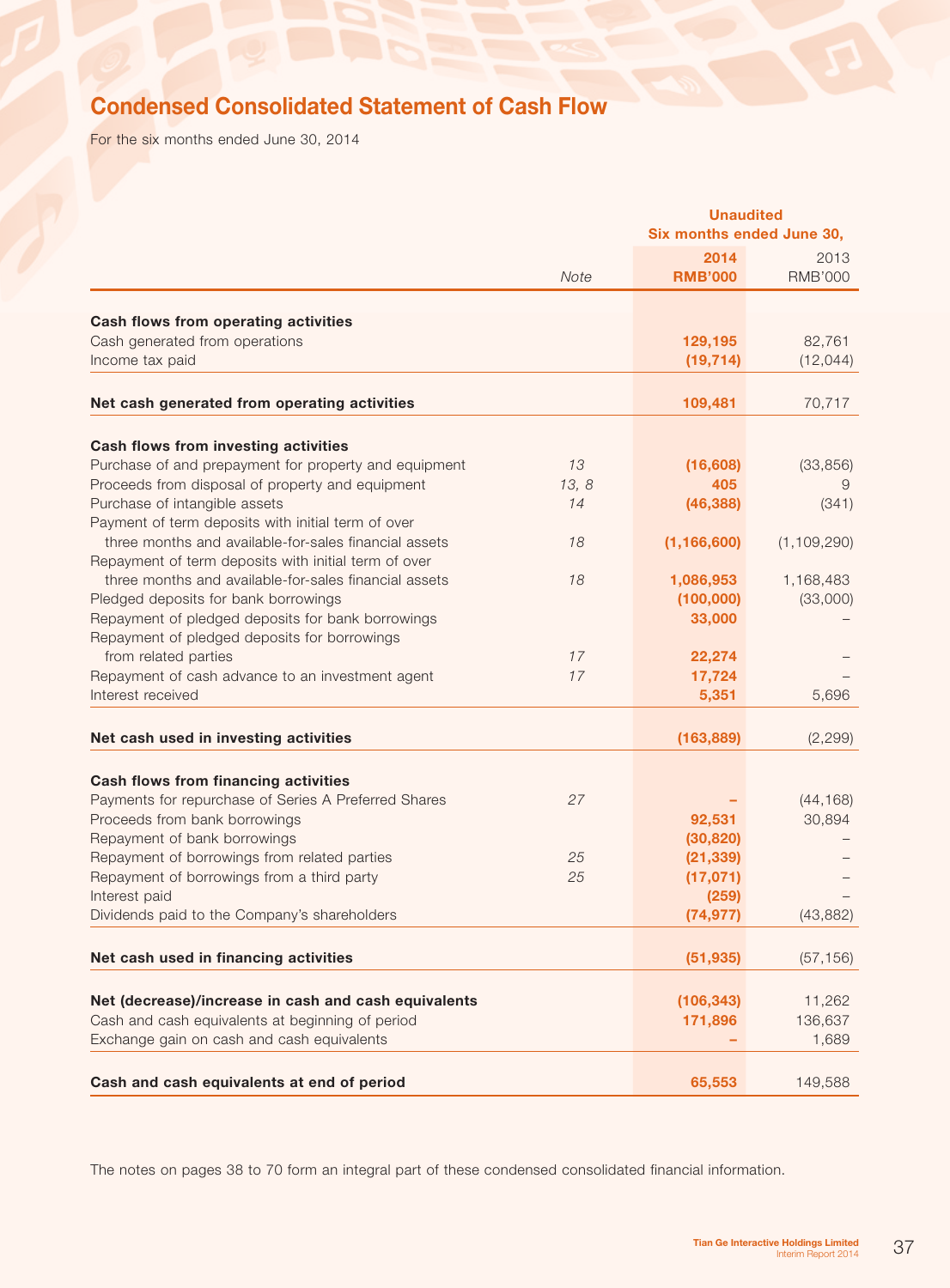# Condensed Consolidated Statement of Cash Flow

For the six months ended June 30, 2014

|                                                                              |          |                        | <b>Unaudited</b><br>Six months ended June 30, |  |
|------------------------------------------------------------------------------|----------|------------------------|-----------------------------------------------|--|
|                                                                              |          | 2014                   | 2013                                          |  |
|                                                                              | Note     | <b>RMB'000</b>         | <b>RMB'000</b>                                |  |
|                                                                              |          |                        |                                               |  |
| Cash flows from operating activities                                         |          |                        |                                               |  |
| Cash generated from operations                                               |          | 129,195<br>(19, 714)   | 82,761                                        |  |
| Income tax paid                                                              |          |                        | (12, 044)                                     |  |
| Net cash generated from operating activities                                 |          | 109,481                | 70,717                                        |  |
| Cash flows from investing activities                                         |          |                        |                                               |  |
| Purchase of and prepayment for property and equipment                        | 13       | (16, 608)              | (33, 856)                                     |  |
| Proceeds from disposal of property and equipment                             | 13, 8    | 405                    | 9                                             |  |
| Purchase of intangible assets                                                | 14       | (46, 388)              | (341)                                         |  |
| Payment of term deposits with initial term of over                           |          |                        |                                               |  |
| three months and available-for-sales financial assets                        | 18       | (1, 166, 600)          | (1, 109, 290)                                 |  |
| Repayment of term deposits with initial term of over                         |          |                        |                                               |  |
| three months and available-for-sales financial assets                        | 18       | 1,086,953              | 1,168,483                                     |  |
| Pledged deposits for bank borrowings                                         |          | (100,000)              | (33,000)                                      |  |
| Repayment of pledged deposits for bank borrowings                            |          | 33,000                 |                                               |  |
| Repayment of pledged deposits for borrowings                                 |          |                        |                                               |  |
| from related parties                                                         | 17       | 22,274                 |                                               |  |
| Repayment of cash advance to an investment agent                             | 17       | 17,724                 |                                               |  |
| Interest received                                                            |          | 5,351                  | 5,696                                         |  |
| Net cash used in investing activities                                        |          | (163, 889)             | (2, 299)                                      |  |
|                                                                              |          |                        |                                               |  |
| Cash flows from financing activities                                         |          |                        |                                               |  |
| Payments for repurchase of Series A Preferred Shares                         | 27       |                        | (44, 168)                                     |  |
| Proceeds from bank borrowings                                                |          | 92,531                 | 30,894                                        |  |
| Repayment of bank borrowings<br>Repayment of borrowings from related parties |          | (30, 820)              |                                               |  |
| Repayment of borrowings from a third party                                   | 25<br>25 | (21, 339)<br>(17, 071) |                                               |  |
| Interest paid                                                                |          | (259)                  |                                               |  |
| Dividends paid to the Company's shareholders                                 |          | (74, 977)              | (43, 882)                                     |  |
|                                                                              |          |                        |                                               |  |
| Net cash used in financing activities                                        |          | (51, 935)              | (57, 156)                                     |  |
| Net (decrease)/increase in cash and cash equivalents                         |          | (106, 343)             | 11,262                                        |  |
| Cash and cash equivalents at beginning of period                             |          | 171,896                | 136,637                                       |  |
| Exchange gain on cash and cash equivalents                                   |          |                        | 1,689                                         |  |
|                                                                              |          |                        |                                               |  |
| Cash and cash equivalents at end of period                                   |          | 65,553                 | 149,588                                       |  |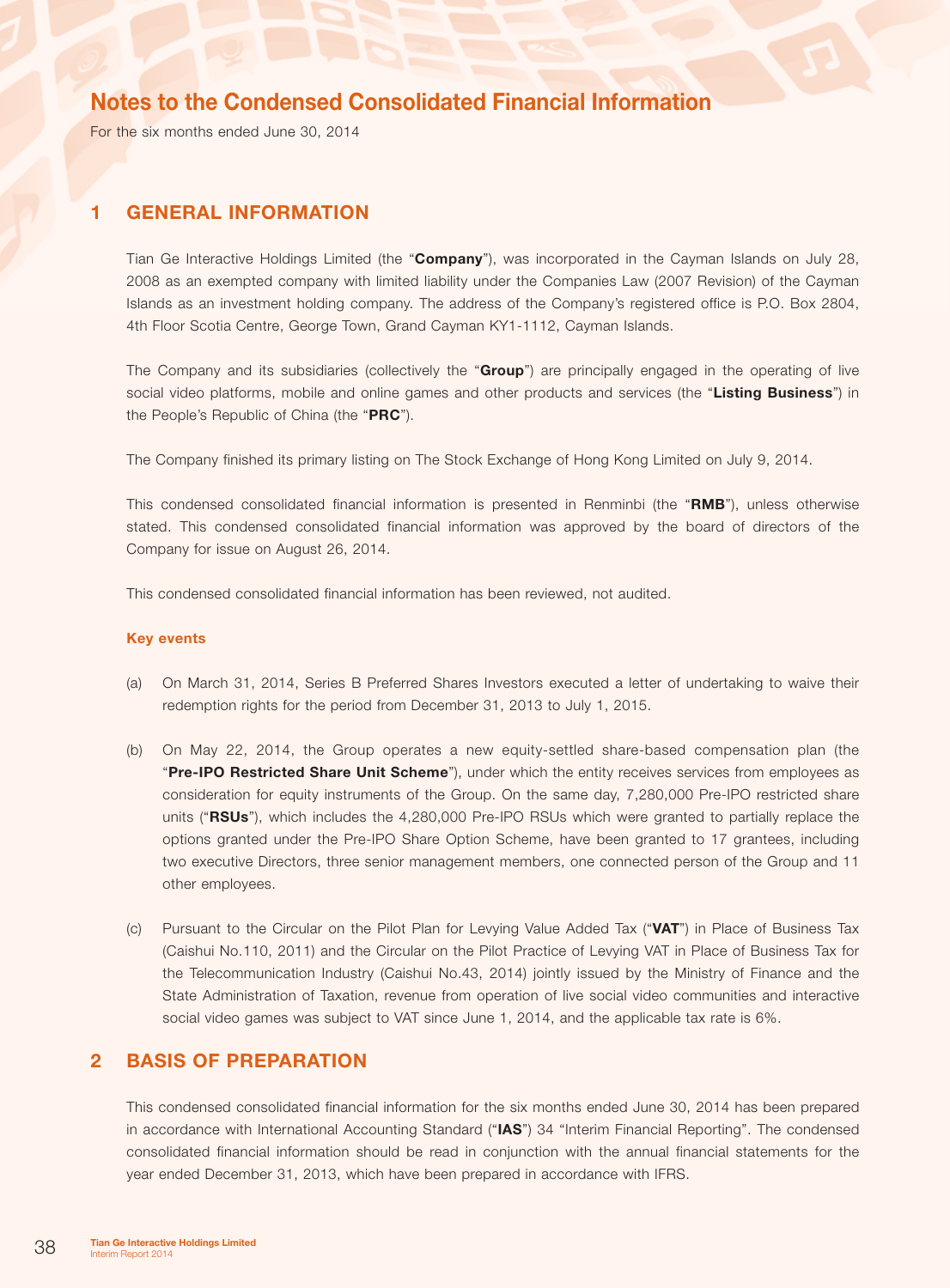For the six months ended June 30, 2014

### 1 General information

Tian Ge Interactive Holdings Limited (the "Company"), was incorporated in the Cayman Islands on July 28, 2008 as an exempted company with limited liability under the Companies Law (2007 Revision) of the Cayman Islands as an investment holding company. The address of the Company's registered office is P.O. Box 2804, 4th Floor Scotia Centre, George Town, Grand Cayman KY1-1112, Cayman Islands.

The Company and its subsidiaries (collectively the "Group") are principally engaged in the operating of live social video platforms, mobile and online games and other products and services (the "Listing Business") in the People's Republic of China (the "PRC").

The Company finished its primary listing on The Stock Exchange of Hong Kong Limited on July 9, 2014.

This condensed consolidated financial information is presented in Renminbi (the "RMB"), unless otherwise stated. This condensed consolidated financial information was approved by the board of directors of the Company for issue on August 26, 2014.

This condensed consolidated financial information has been reviewed, not audited.

#### Key events

- (a) On March 31, 2014, Series B Preferred Shares Investors executed a letter of undertaking to waive their redemption rights for the period from December 31, 2013 to July 1, 2015.
- (b) On May 22, 2014, the Group operates a new equity-settled share-based compensation plan (the "Pre-IPO Restricted Share Unit Scheme"), under which the entity receives services from employees as consideration for equity instruments of the Group. On the same day, 7,280,000 Pre-IPO restricted share units ("RSUs"), which includes the 4,280,000 Pre-IPO RSUs which were granted to partially replace the options granted under the Pre-IPO Share Option Scheme, have been granted to 17 grantees, including two executive Directors, three senior management members, one connected person of the Group and 11 other employees.
- (c) Pursuant to the Circular on the Pilot Plan for Levying Value Added Tax ("VAT") in Place of Business Tax (Caishui No.110, 2011) and the Circular on the Pilot Practice of Levying VAT in Place of Business Tax for the Telecommunication Industry (Caishui No.43, 2014) jointly issued by the Ministry of Finance and the State Administration of Taxation, revenue from operation of live social video communities and interactive social video games was subject to VAT since June 1, 2014, and the applicable tax rate is 6%.

### 2 Basis of preparation

This condensed consolidated financial information for the six months ended June 30, 2014 has been prepared in accordance with International Accounting Standard ("IAS") 34 "Interim Financial Reporting". The condensed consolidated financial information should be read in conjunction with the annual financial statements for the year ended December 31, 2013, which have been prepared in accordance with IFRS.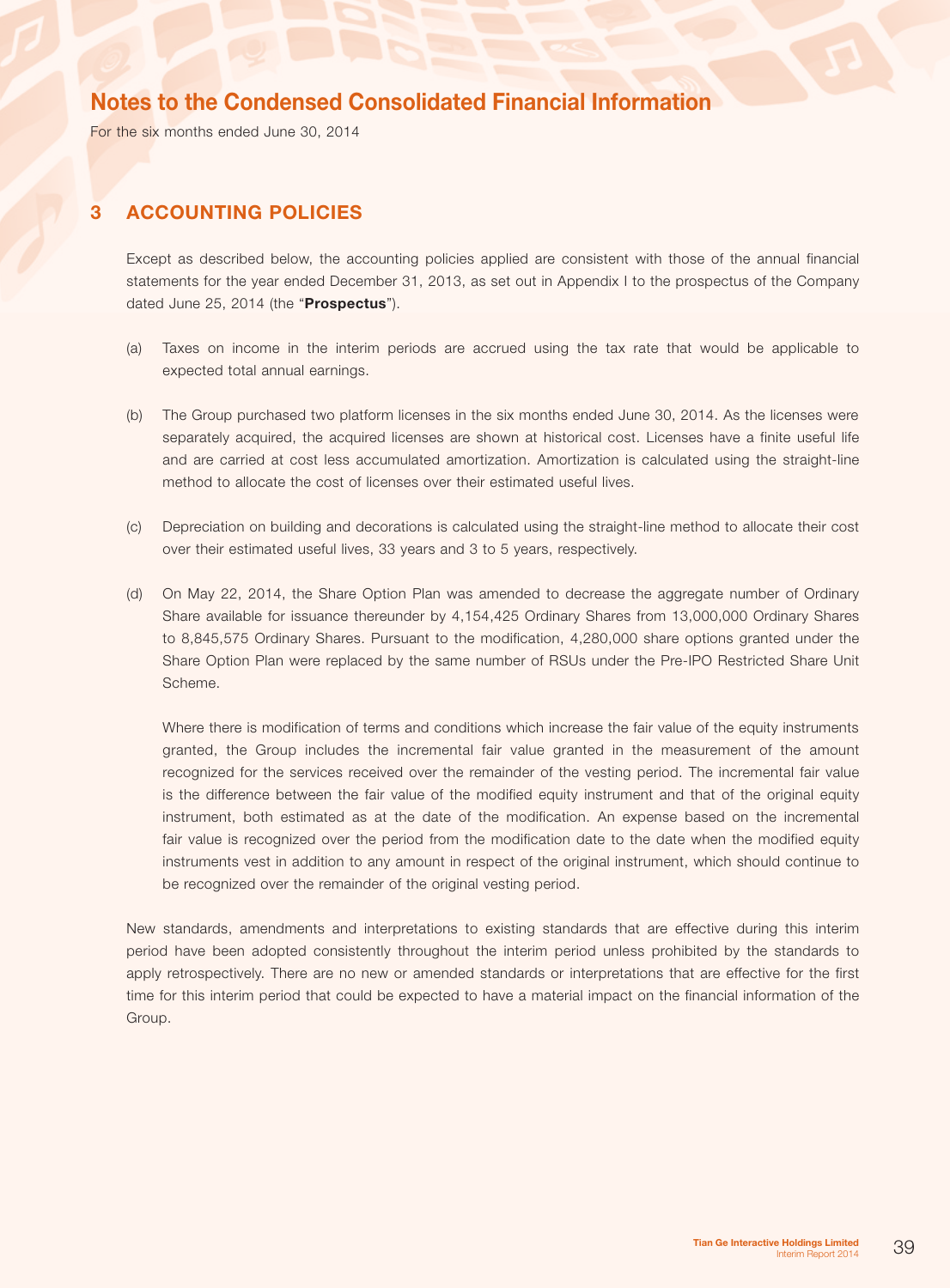For the six months ended June 30, 2014

## 3 Accounting policies

Except as described below, the accounting policies applied are consistent with those of the annual financial statements for the year ended December 31, 2013, as set out in Appendix I to the prospectus of the Company dated June 25, 2014 (the "Prospectus").

- (a) Taxes on income in the interim periods are accrued using the tax rate that would be applicable to expected total annual earnings.
- (b) The Group purchased two platform licenses in the six months ended June 30, 2014. As the licenses were separately acquired, the acquired licenses are shown at historical cost. Licenses have a finite useful life and are carried at cost less accumulated amortization. Amortization is calculated using the straight-line method to allocate the cost of licenses over their estimated useful lives.
- (c) Depreciation on building and decorations is calculated using the straight-line method to allocate their cost over their estimated useful lives, 33 years and 3 to 5 years, respectively.
- (d) On May 22, 2014, the Share Option Plan was amended to decrease the aggregate number of Ordinary Share available for issuance thereunder by 4,154,425 Ordinary Shares from 13,000,000 Ordinary Shares to 8,845,575 Ordinary Shares. Pursuant to the modification, 4,280,000 share options granted under the Share Option Plan were replaced by the same number of RSUs under the Pre-IPO Restricted Share Unit Scheme.

Where there is modification of terms and conditions which increase the fair value of the equity instruments granted, the Group includes the incremental fair value granted in the measurement of the amount recognized for the services received over the remainder of the vesting period. The incremental fair value is the difference between the fair value of the modified equity instrument and that of the original equity instrument, both estimated as at the date of the modification. An expense based on the incremental fair value is recognized over the period from the modification date to the date when the modified equity instruments vest in addition to any amount in respect of the original instrument, which should continue to be recognized over the remainder of the original vesting period.

New standards, amendments and interpretations to existing standards that are effective during this interim period have been adopted consistently throughout the interim period unless prohibited by the standards to apply retrospectively. There are no new or amended standards or interpretations that are effective for the first time for this interim period that could be expected to have a material impact on the financial information of the Group.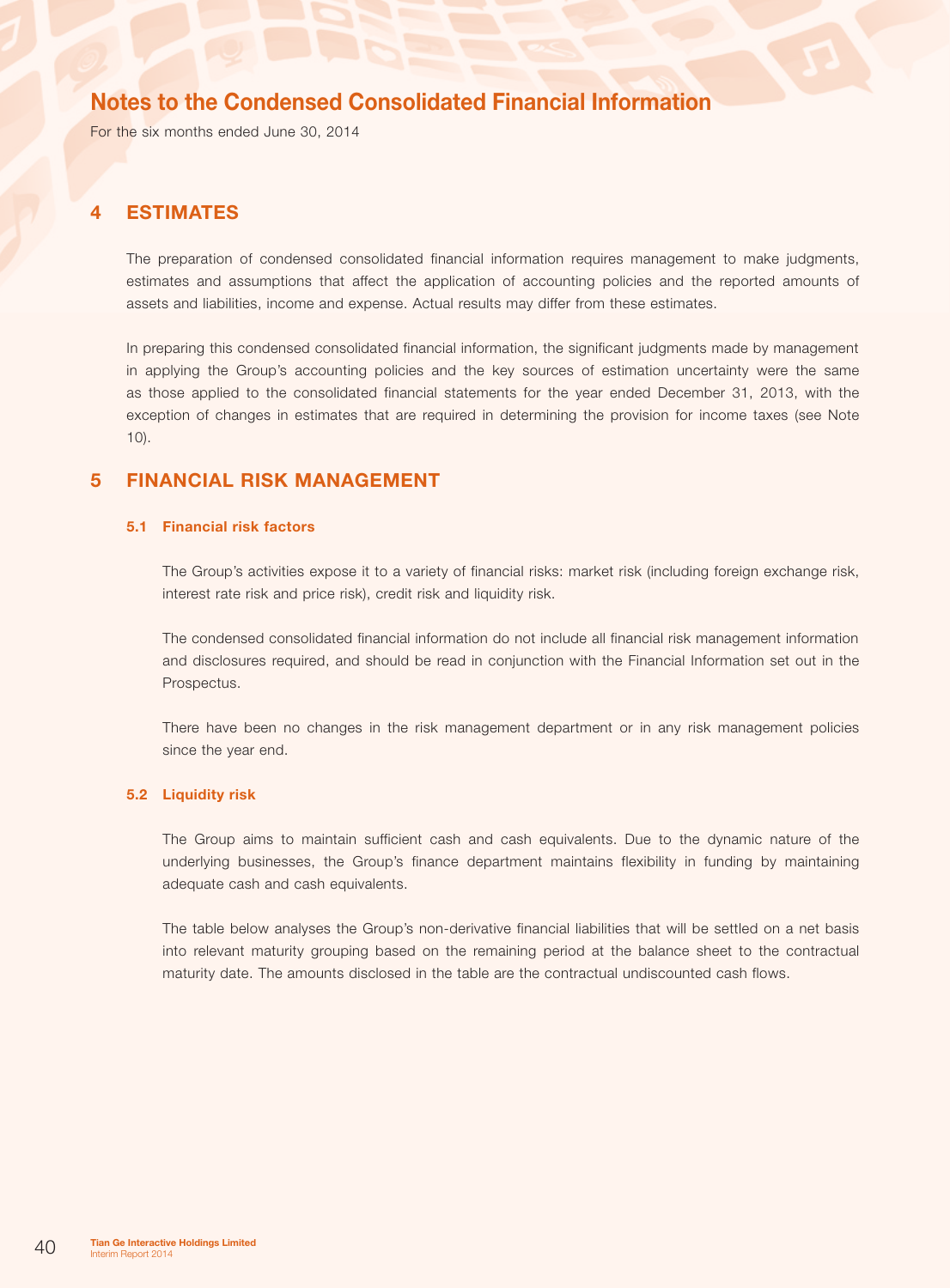For the six months ended June 30, 2014

### 4 Estimates

The preparation of condensed consolidated financial information requires management to make judgments, estimates and assumptions that affect the application of accounting policies and the reported amounts of assets and liabilities, income and expense. Actual results may differ from these estimates.

In preparing this condensed consolidated financial information, the significant judgments made by management in applying the Group's accounting policies and the key sources of estimation uncertainty were the same as those applied to the consolidated financial statements for the year ended December 31, 2013, with the exception of changes in estimates that are required in determining the provision for income taxes (see Note 10).

## 5 Financial risk management

#### 5.1 Financial risk factors

The Group's activities expose it to a variety of financial risks: market risk (including foreign exchange risk, interest rate risk and price risk), credit risk and liquidity risk.

The condensed consolidated financial information do not include all financial risk management information and disclosures required, and should be read in conjunction with the Financial Information set out in the Prospectus.

There have been no changes in the risk management department or in any risk management policies since the year end.

### 5.2 Liquidity risk

The Group aims to maintain sufficient cash and cash equivalents. Due to the dynamic nature of the underlying businesses, the Group's finance department maintains flexibility in funding by maintaining adequate cash and cash equivalents.

The table below analyses the Group's non-derivative financial liabilities that will be settled on a net basis into relevant maturity grouping based on the remaining period at the balance sheet to the contractual maturity date. The amounts disclosed in the table are the contractual undiscounted cash flows.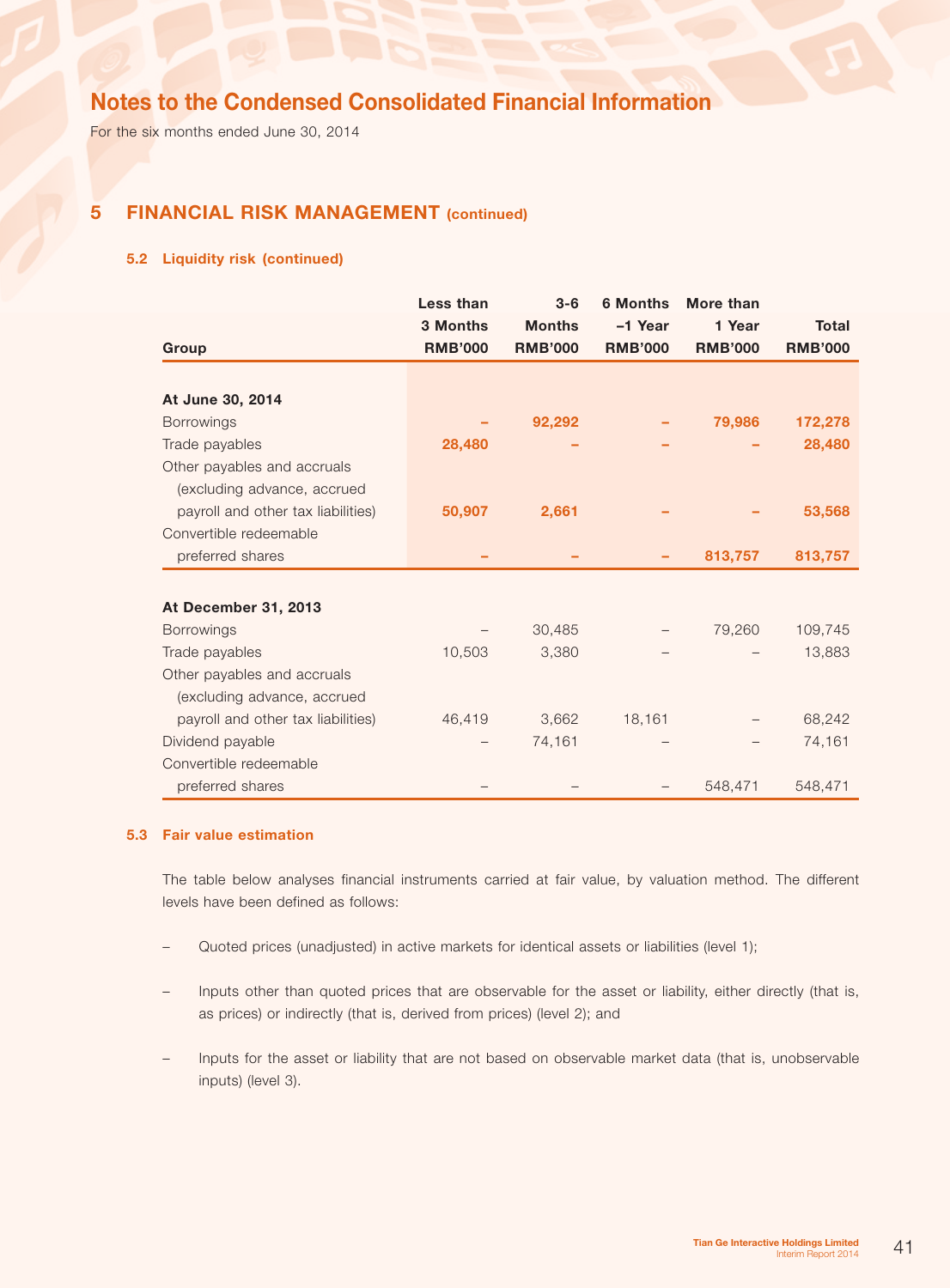For the six months ended June 30, 2014

## 5 Financial risk management (continued)

### 5.2 Liquidity risk (continued)

|                                    | Less than      | $3-6$          | <b>6 Months</b> | More than      |                |
|------------------------------------|----------------|----------------|-----------------|----------------|----------------|
|                                    | 3 Months       | <b>Months</b>  | -1 Year         | 1 Year         | Total          |
| Group                              | <b>RMB'000</b> | <b>RMB'000</b> | <b>RMB'000</b>  | <b>RMB'000</b> | <b>RMB'000</b> |
|                                    |                |                |                 |                |                |
| At June 30, 2014                   |                |                |                 |                |                |
| <b>Borrowings</b>                  |                | 92,292         |                 | 79,986         | 172,278        |
| Trade payables                     | 28,480         |                |                 |                | 28,480         |
| Other payables and accruals        |                |                |                 |                |                |
| (excluding advance, accrued        |                |                |                 |                |                |
| payroll and other tax liabilities) | 50,907         | 2,661          |                 |                | 53,568         |
| Convertible redeemable             |                |                |                 |                |                |
| preferred shares                   |                |                |                 | 813,757        | 813,757        |
|                                    |                |                |                 |                |                |
| At December 31, 2013               |                |                |                 |                |                |
| <b>Borrowings</b>                  |                | 30,485         |                 | 79,260         | 109,745        |
| Trade payables                     | 10,503         | 3,380          |                 |                | 13,883         |
| Other payables and accruals        |                |                |                 |                |                |
| (excluding advance, accrued        |                |                |                 |                |                |
| payroll and other tax liabilities) | 46,419         | 3,662          | 18,161          |                | 68,242         |
| Dividend payable                   |                | 74,161         |                 |                | 74,161         |
| Convertible redeemable             |                |                |                 |                |                |
| preferred shares                   |                |                |                 | 548,471        | 548,471        |

### 5.3 Fair value estimation

The table below analyses financial instruments carried at fair value, by valuation method. The different levels have been defined as follows:

- Quoted prices (unadjusted) in active markets for identical assets or liabilities (level 1);
- Inputs other than quoted prices that are observable for the asset or liability, either directly (that is, as prices) or indirectly (that is, derived from prices) (level 2); and
- Inputs for the asset or liability that are not based on observable market data (that is, unobservable inputs) (level 3).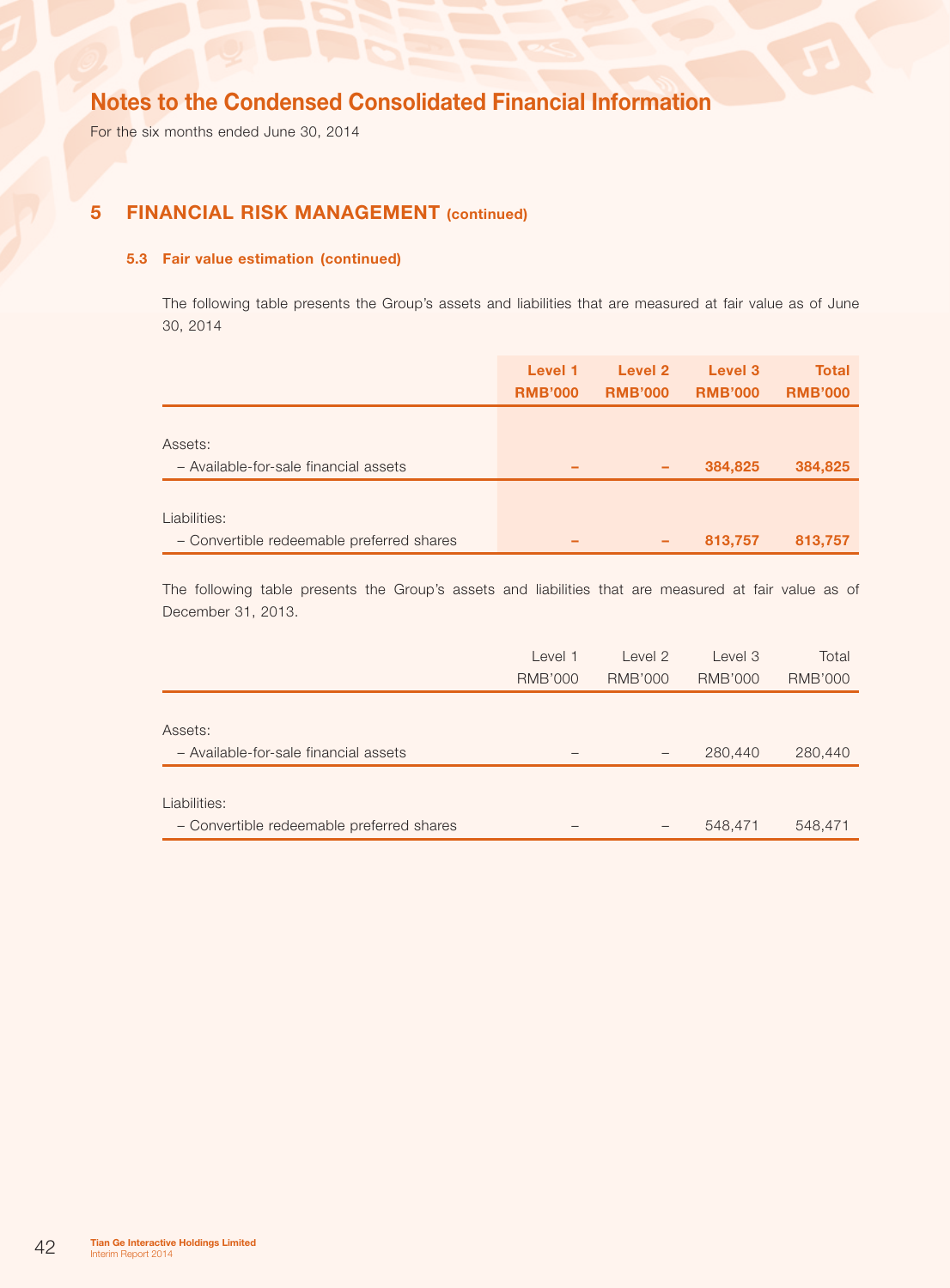For the six months ended June 30, 2014

## **5 FINANCIAL RISK MANAGEMENT** (continued)

### 5.3 Fair value estimation (continued)

The following table presents the Group's assets and liabilities that are measured at fair value as of June 30, 2014

|                                                           | Level 1<br><b>RMB'000</b> | Level 2<br><b>RMB'000</b> | Level 3<br><b>RMB'000</b> | <b>Total</b><br><b>RMB'000</b> |
|-----------------------------------------------------------|---------------------------|---------------------------|---------------------------|--------------------------------|
| Assets:<br>- Available-for-sale financial assets          | -                         |                           | 384,825                   | 384,825                        |
| Liabilities:<br>- Convertible redeemable preferred shares | -                         | -                         | 813,757                   | 813,757                        |

The following table presents the Group's assets and liabilities that are measured at fair value as of December 31, 2013.

|                                           | Level 1        | Level 2                  | Level 3        | Total          |
|-------------------------------------------|----------------|--------------------------|----------------|----------------|
|                                           | <b>RMB'000</b> | <b>RMB'000</b>           | <b>RMB'000</b> | <b>RMB'000</b> |
|                                           |                |                          |                |                |
| Assets:                                   |                |                          |                |                |
| - Available-for-sale financial assets     |                | $\overline{\phantom{0}}$ | 280,440        | 280,440        |
|                                           |                |                          |                |                |
| Liabilities:                              |                |                          |                |                |
| - Convertible redeemable preferred shares |                |                          | 548,471        | 548,471        |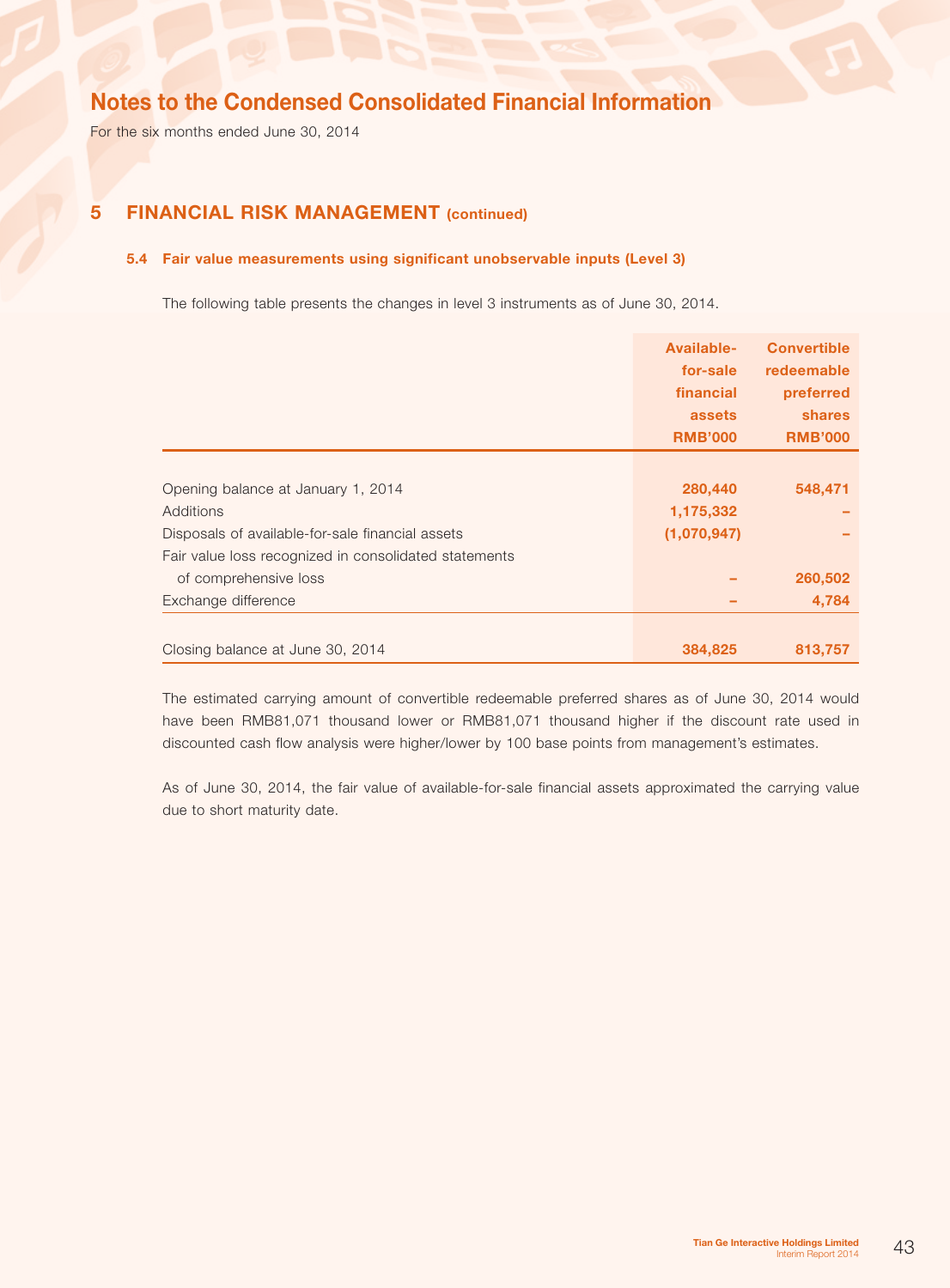For the six months ended June 30, 2014

## 5 Financial risk management (continued)

### 5.4 Fair value measurements using significant unobservable inputs (Level 3)

The following table presents the changes in level 3 instruments as of June 30, 2014.

|                                                       | Available-<br>for-sale<br>financial<br>assets | <b>Convertible</b><br>redeemable<br>preferred<br><b>shares</b> |
|-------------------------------------------------------|-----------------------------------------------|----------------------------------------------------------------|
|                                                       | <b>RMB'000</b>                                | <b>RMB'000</b>                                                 |
|                                                       |                                               |                                                                |
| Opening balance at January 1, 2014                    | 280,440                                       | 548,471                                                        |
| Additions                                             | 1,175,332                                     |                                                                |
| Disposals of available-for-sale financial assets      | (1,070,947)                                   |                                                                |
| Fair value loss recognized in consolidated statements |                                               |                                                                |
| of comprehensive loss                                 |                                               | 260,502                                                        |
| Exchange difference                                   |                                               | 4,784                                                          |
|                                                       |                                               |                                                                |
| Closing balance at June 30, 2014                      | 384,825                                       | 813,757                                                        |

The estimated carrying amount of convertible redeemable preferred shares as of June 30, 2014 would have been RMB81,071 thousand lower or RMB81,071 thousand higher if the discount rate used in discounted cash flow analysis were higher/lower by 100 base points from management's estimates.

As of June 30, 2014, the fair value of available-for-sale financial assets approximated the carrying value due to short maturity date.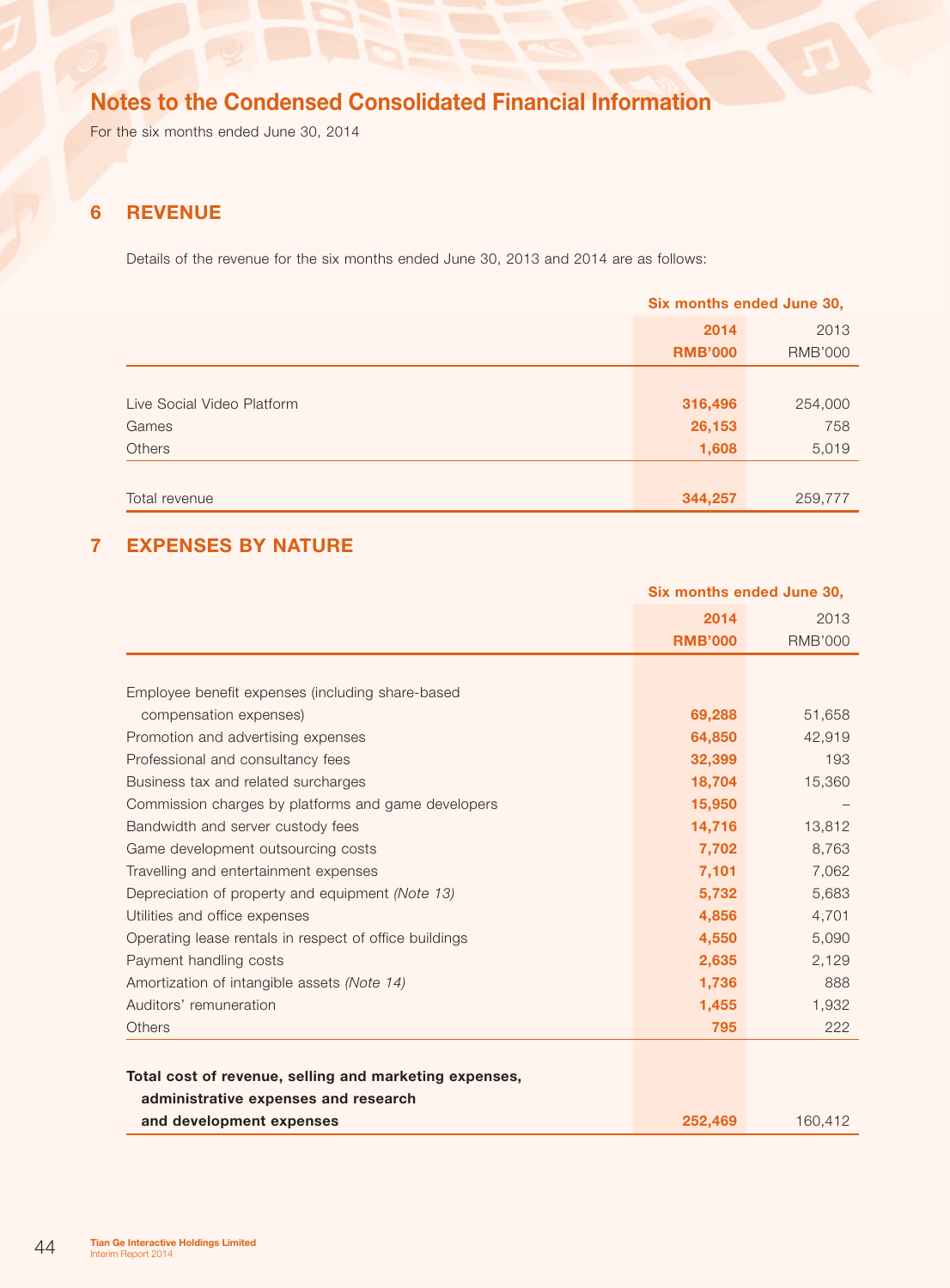For the six months ended June 30, 2014

## 6 Revenue

Details of the revenue for the six months ended June 30, 2013 and 2014 are as follows:

|                            | Six months ended June 30, |                |  |
|----------------------------|---------------------------|----------------|--|
|                            | 2014                      | 2013           |  |
|                            | <b>RMB'000</b>            | <b>RMB'000</b> |  |
|                            |                           |                |  |
| Live Social Video Platform | 316,496                   | 254,000        |  |
| Games                      | 26,153                    | 758            |  |
| <b>Others</b>              | 1,608                     | 5,019          |  |
|                            |                           |                |  |
| Total revenue              | 344,257                   | 259,777        |  |

## 7 Expenses by nature

|                                                        | Six months ended June 30, |                |
|--------------------------------------------------------|---------------------------|----------------|
|                                                        | 2014                      | 2013           |
|                                                        | <b>RMB'000</b>            | <b>RMB'000</b> |
|                                                        |                           |                |
| Employee benefit expenses (including share-based       |                           |                |
| compensation expenses)                                 | 69,288                    | 51,658         |
| Promotion and advertising expenses                     | 64,850                    | 42,919         |
| Professional and consultancy fees                      | 32,399                    | 193            |
| Business tax and related surcharges                    | 18,704                    | 15,360         |
| Commission charges by platforms and game developers    | 15,950                    |                |
| Bandwidth and server custody fees                      | 14,716                    | 13,812         |
| Game development outsourcing costs                     | 7,702                     | 8,763          |
| Travelling and entertainment expenses                  | 7,101                     | 7,062          |
| Depreciation of property and equipment (Note 13)       | 5,732                     | 5,683          |
| Utilities and office expenses                          | 4,856                     | 4,701          |
| Operating lease rentals in respect of office buildings | 4,550                     | 5,090          |
| Payment handling costs                                 | 2,635                     | 2,129          |
| Amortization of intangible assets (Note 14)            | 1,736                     | 888            |
| Auditors' remuneration                                 | 1,455                     | 1,932          |
| <b>Others</b>                                          | 795                       | 222            |
|                                                        |                           |                |
| Total cost of revenue, selling and marketing expenses, |                           |                |
| administrative expenses and research                   |                           |                |
| and development expenses                               | 252.469                   | 160,412        |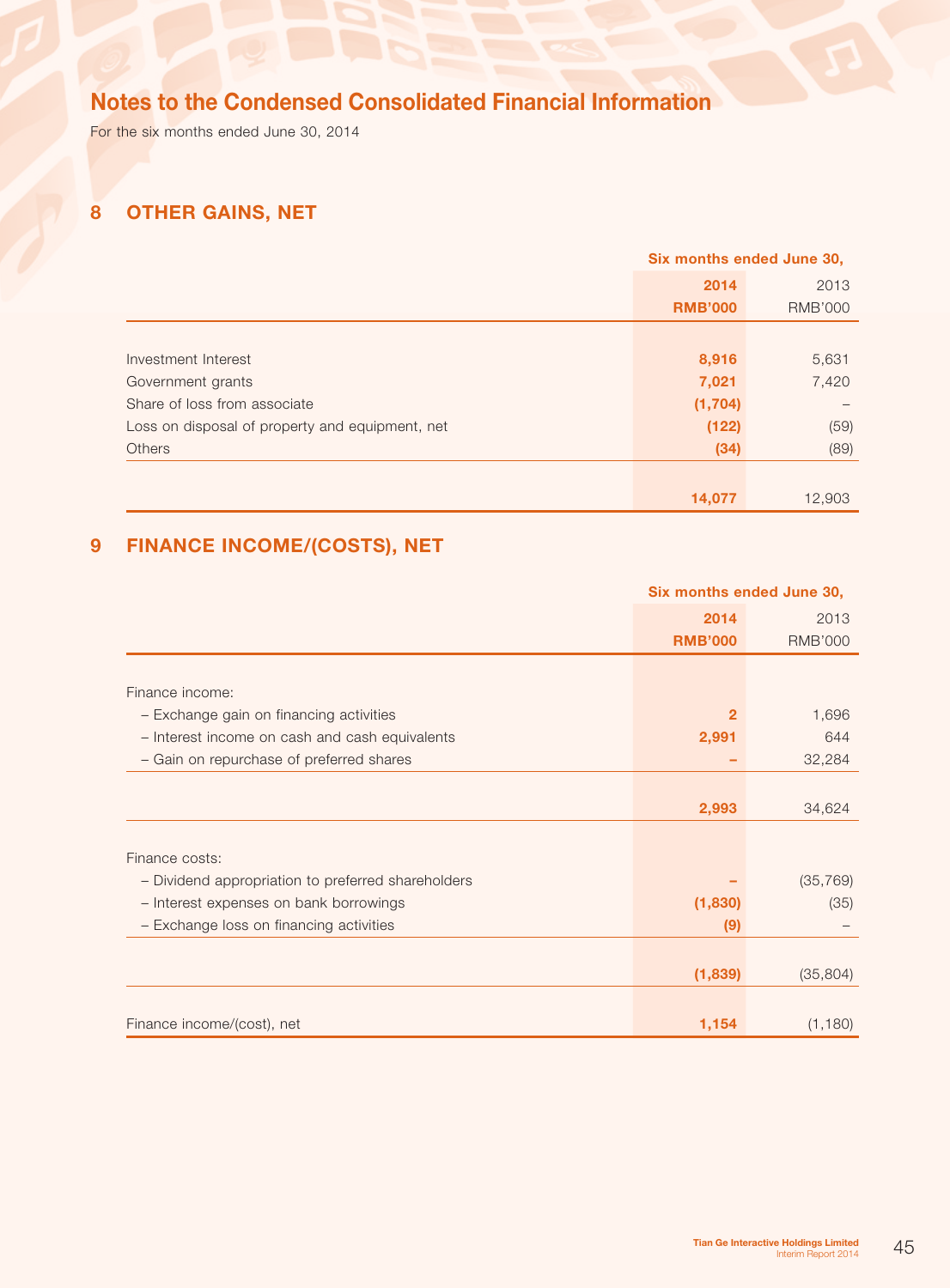For the six months ended June 30, 2014

# 8 Other gains, net

|                                                 | Six months ended June 30, |                |
|-------------------------------------------------|---------------------------|----------------|
|                                                 | 2014                      | 2013           |
|                                                 | <b>RMB'000</b>            | <b>RMB'000</b> |
|                                                 |                           |                |
| Investment Interest                             | 8,916                     | 5,631          |
| Government grants                               | 7,021                     | 7,420          |
| Share of loss from associate                    | (1, 704)                  |                |
| Loss on disposal of property and equipment, net | (122)                     | (59)           |
| <b>Others</b>                                   | (34)                      | (89)           |
|                                                 |                           |                |
|                                                 | 14,077                    | 12,903         |

# 9 Finance income/(costs), net

|                                                    | Six months ended June 30, |                |
|----------------------------------------------------|---------------------------|----------------|
|                                                    | 2014                      | 2013           |
|                                                    | <b>RMB'000</b>            | <b>RMB'000</b> |
|                                                    |                           |                |
| Finance income:                                    |                           |                |
| - Exchange gain on financing activities            | 2                         | 1,696          |
| - Interest income on cash and cash equivalents     | 2,991                     | 644            |
| - Gain on repurchase of preferred shares           |                           | 32,284         |
|                                                    |                           |                |
|                                                    | 2,993                     | 34,624         |
|                                                    |                           |                |
| Finance costs:                                     |                           |                |
| - Dividend appropriation to preferred shareholders |                           | (35, 769)      |
| - Interest expenses on bank borrowings             | (1,830)                   | (35)           |
| - Exchange loss on financing activities            | (9)                       |                |
|                                                    |                           |                |
|                                                    | (1,839)                   | (35, 804)      |
|                                                    |                           |                |
| Finance income/(cost), net                         | 1,154                     | (1, 180)       |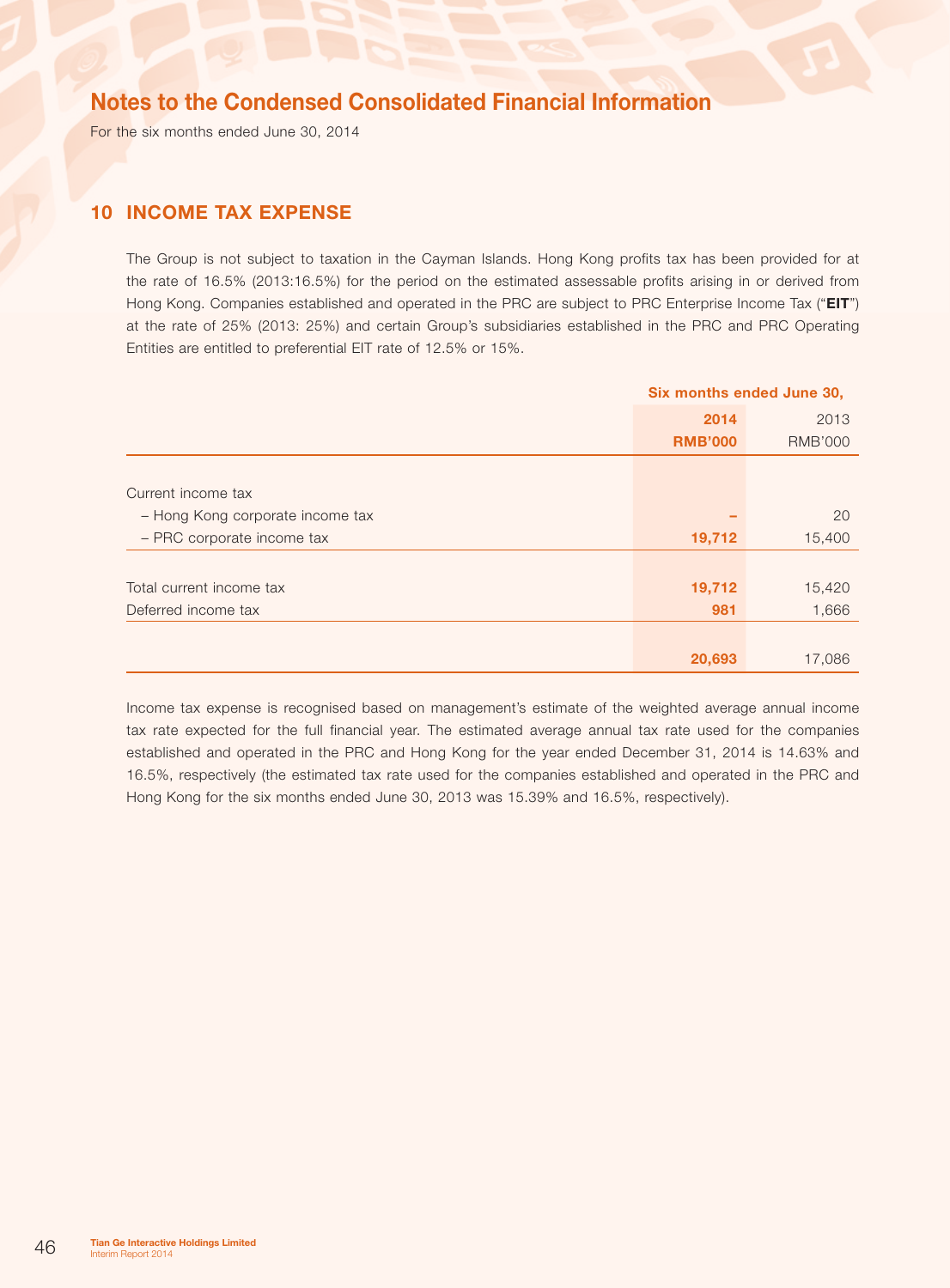For the six months ended June 30, 2014

## 10 Income tax expense

The Group is not subject to taxation in the Cayman Islands. Hong Kong profits tax has been provided for at the rate of 16.5% (2013:16.5%) for the period on the estimated assessable profits arising in or derived from Hong Kong. Companies established and operated in the PRC are subject to PRC Enterprise Income Tax ("EIT") at the rate of 25% (2013: 25%) and certain Group's subsidiaries established in the PRC and PRC Operating Entities are entitled to preferential EIT rate of 12.5% or 15%.

|                                  | Six months ended June 30, |                |  |
|----------------------------------|---------------------------|----------------|--|
|                                  | 2014                      | 2013           |  |
|                                  | <b>RMB'000</b>            | <b>RMB'000</b> |  |
|                                  |                           |                |  |
| Current income tax               |                           |                |  |
| - Hong Kong corporate income tax |                           | 20             |  |
| - PRC corporate income tax       | 19,712                    | 15,400         |  |
|                                  |                           |                |  |
| Total current income tax         | 19,712                    | 15,420         |  |
| Deferred income tax              | 981                       | 1,666          |  |
|                                  |                           |                |  |
|                                  | 20,693                    | 17,086         |  |

Income tax expense is recognised based on management's estimate of the weighted average annual income tax rate expected for the full financial year. The estimated average annual tax rate used for the companies established and operated in the PRC and Hong Kong for the year ended December 31, 2014 is 14.63% and 16.5%, respectively (the estimated tax rate used for the companies established and operated in the PRC and Hong Kong for the six months ended June 30, 2013 was 15.39% and 16.5%, respectively).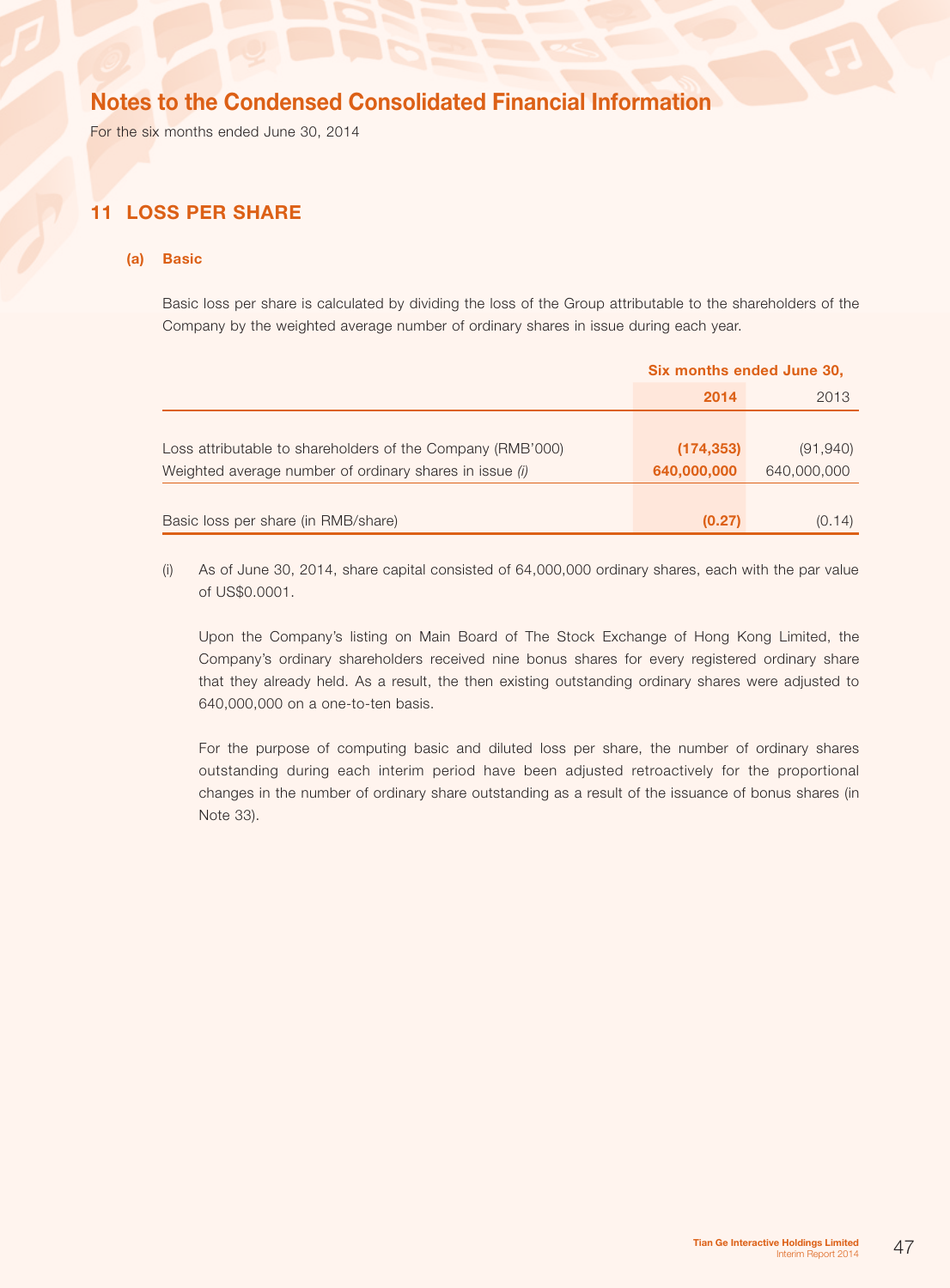For the six months ended June 30, 2014

## 11 Loss per share

### (a) Basic

Basic loss per share is calculated by dividing the loss of the Group attributable to the shareholders of the Company by the weighted average number of ordinary shares in issue during each year.

|                                                            | Six months ended June 30, |             |  |
|------------------------------------------------------------|---------------------------|-------------|--|
|                                                            | 2014                      | 2013        |  |
|                                                            |                           |             |  |
| Loss attributable to shareholders of the Company (RMB'000) | (174, 353)                | (91, 940)   |  |
| Weighted average number of ordinary shares in issue (i)    | 640,000,000               | 640,000,000 |  |
|                                                            |                           |             |  |
| Basic loss per share (in RMB/share)                        | (0.27)                    | (0.14)      |  |

(i) As of June 30, 2014, share capital consisted of 64,000,000 ordinary shares, each with the par value of US\$0.0001.

Upon the Company's listing on Main Board of The Stock Exchange of Hong Kong Limited, the Company's ordinary shareholders received nine bonus shares for every registered ordinary share that they already held. As a result, the then existing outstanding ordinary shares were adjusted to 640,000,000 on a one-to-ten basis.

For the purpose of computing basic and diluted loss per share, the number of ordinary shares outstanding during each interim period have been adjusted retroactively for the proportional changes in the number of ordinary share outstanding as a result of the issuance of bonus shares (in Note 33).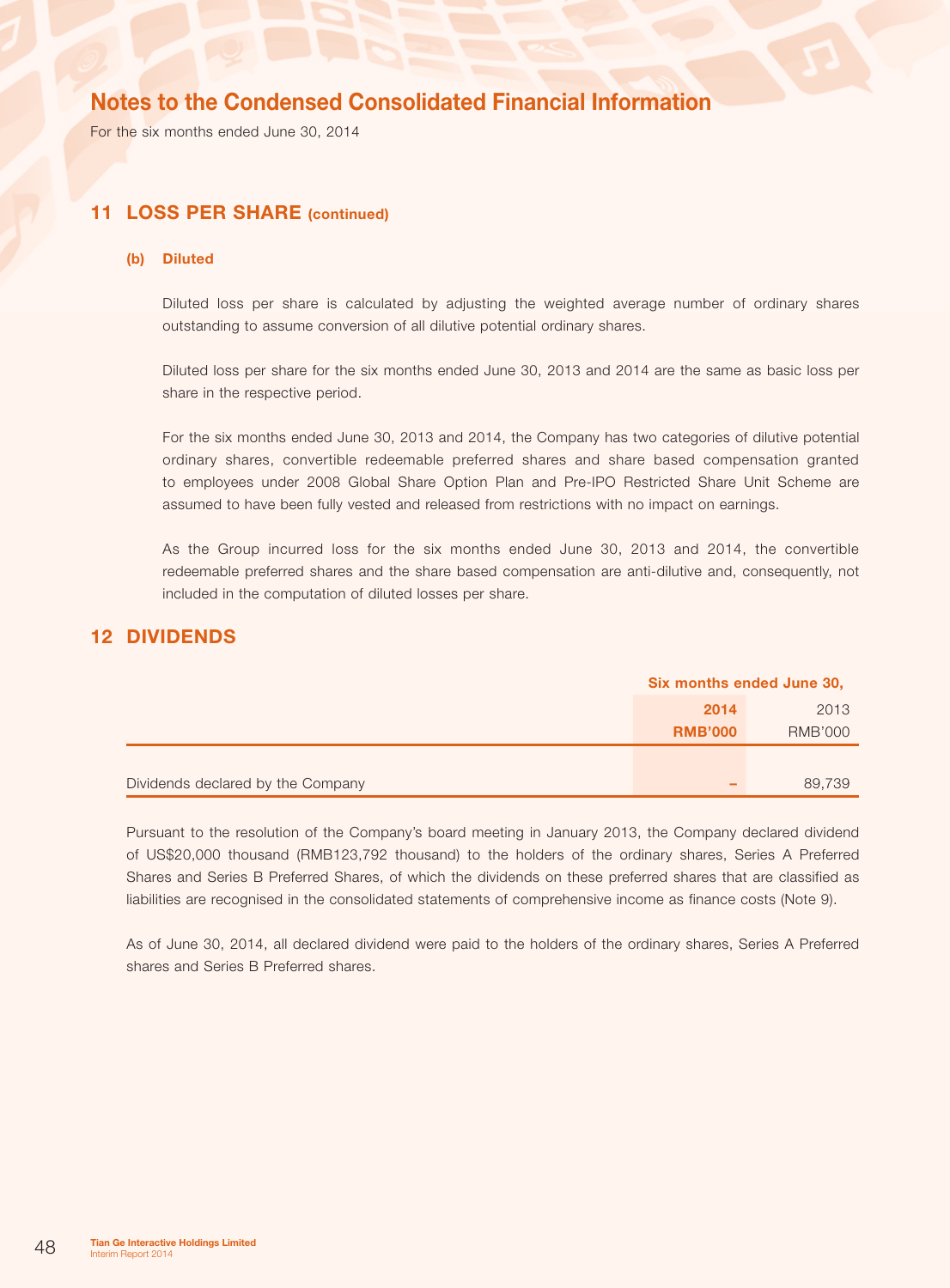For the six months ended June 30, 2014

### 11 LOSS PER SHARE (continued)

### (b) Diluted

Diluted loss per share is calculated by adjusting the weighted average number of ordinary shares outstanding to assume conversion of all dilutive potential ordinary shares.

Diluted loss per share for the six months ended June 30, 2013 and 2014 are the same as basic loss per share in the respective period.

For the six months ended June 30, 2013 and 2014, the Company has two categories of dilutive potential ordinary shares, convertible redeemable preferred shares and share based compensation granted to employees under 2008 Global Share Option Plan and Pre-IPO Restricted Share Unit Scheme are assumed to have been fully vested and released from restrictions with no impact on earnings.

As the Group incurred loss for the six months ended June 30, 2013 and 2014, the convertible redeemable preferred shares and the share based compensation are anti-dilutive and, consequently, not included in the computation of diluted losses per share.

### 12 Dividends

|                                   | Six months ended June 30, |                |
|-----------------------------------|---------------------------|----------------|
|                                   | 2014                      | 2013           |
|                                   | <b>RMB'000</b>            | <b>RMB'000</b> |
|                                   |                           |                |
| Dividends declared by the Company | -                         | 89,739         |

Pursuant to the resolution of the Company's board meeting in January 2013, the Company declared dividend of US\$20,000 thousand (RMB123,792 thousand) to the holders of the ordinary shares, Series A Preferred Shares and Series B Preferred Shares, of which the dividends on these preferred shares that are classified as liabilities are recognised in the consolidated statements of comprehensive income as finance costs (Note 9).

As of June 30, 2014, all declared dividend were paid to the holders of the ordinary shares, Series A Preferred shares and Series B Preferred shares.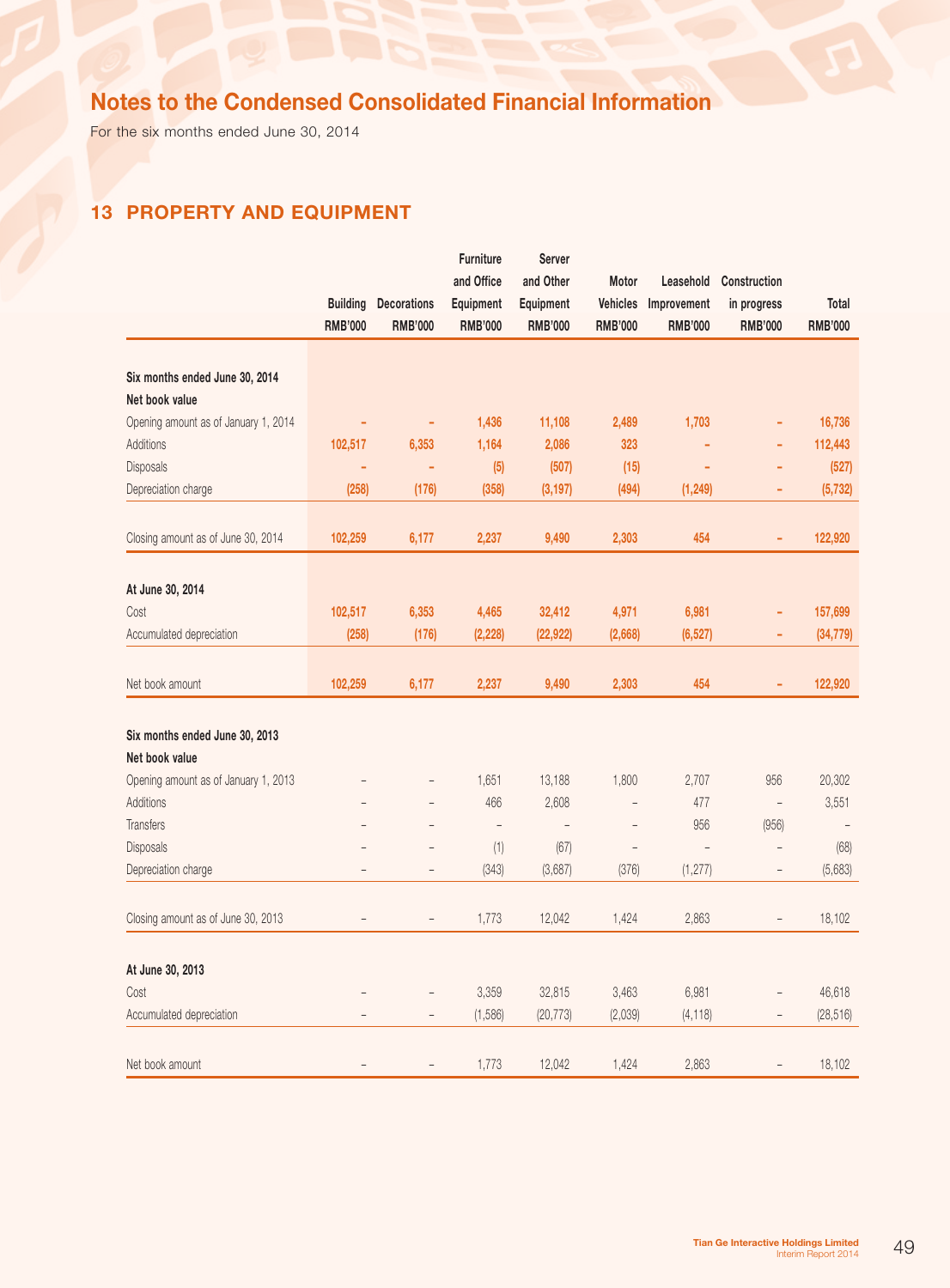For the six months ended June 30, 2014

# 13 Property and equipment

|                                                  | <b>Building</b><br><b>RMB'000</b> | <b>Decorations</b><br><b>RMB'000</b> | Furniture<br>and Office<br>Equipment<br><b>RMB'000</b> | <b>Server</b><br>and Other<br>Equipment<br><b>RMB'000</b> | Motor<br><b>Vehicles</b><br><b>RMB'000</b> | Leasehold<br>Improvement<br><b>RMB'000</b> | Construction<br>in progress<br><b>RMB'000</b> | Total<br><b>RMB'000</b>  |
|--------------------------------------------------|-----------------------------------|--------------------------------------|--------------------------------------------------------|-----------------------------------------------------------|--------------------------------------------|--------------------------------------------|-----------------------------------------------|--------------------------|
|                                                  |                                   |                                      |                                                        |                                                           |                                            |                                            |                                               |                          |
| Six months ended June 30, 2014                   |                                   |                                      |                                                        |                                                           |                                            |                                            |                                               |                          |
| Net book value                                   |                                   |                                      |                                                        |                                                           |                                            |                                            |                                               |                          |
| Opening amount as of January 1, 2014             | ÷                                 | ÷                                    | 1,436                                                  | 11,108                                                    | 2,489                                      | 1,703                                      | ۰                                             | 16,736                   |
| Additions                                        | 102,517                           | 6,353                                | 1,164                                                  | 2,086                                                     | 323                                        | ٠                                          | ÷                                             | 112,443                  |
| <b>Disposals</b>                                 | ۰                                 |                                      | (5)                                                    | (507)                                                     | (15)                                       | ٠                                          | ۳                                             | (527)                    |
| Depreciation charge                              | (258)                             | (176)                                | (358)                                                  | (3, 197)                                                  | (494)                                      | (1, 249)                                   | ۰                                             | (5, 732)                 |
| Closing amount as of June 30, 2014               | 102,259                           | 6,177                                | 2,237                                                  | 9,490                                                     | 2,303                                      | 454                                        | ÷,                                            | 122,920                  |
|                                                  |                                   |                                      |                                                        |                                                           |                                            |                                            |                                               |                          |
| At June 30, 2014                                 |                                   |                                      |                                                        |                                                           |                                            |                                            |                                               |                          |
| Cost                                             | 102,517                           | 6,353                                | 4,465                                                  | 32,412                                                    | 4,971                                      | 6,981                                      | ä,                                            | 157,699                  |
| Accumulated depreciation                         | (258)                             | (176)                                | (2, 228)                                               | (22, 922)                                                 | (2,668)                                    | (6, 527)                                   | ÷                                             | (34, 779)                |
| Net book amount                                  | 102,259                           | 6,177                                | 2,237                                                  | 9,490                                                     | 2,303                                      | 454                                        | ä,                                            | 122,920                  |
|                                                  |                                   |                                      |                                                        |                                                           |                                            |                                            |                                               |                          |
| Six months ended June 30, 2013<br>Net book value |                                   |                                      |                                                        |                                                           |                                            |                                            |                                               |                          |
| Opening amount as of January 1, 2013             |                                   | $\overline{\phantom{0}}$             | 1,651                                                  | 13,188                                                    | 1,800                                      | 2,707                                      | 956                                           | 20,302                   |
| Additions                                        |                                   | $\overline{a}$                       | 466                                                    | 2,608                                                     | $\overline{a}$                             | 477                                        | $\overline{a}$                                | 3,551                    |
| <b>Transfers</b>                                 |                                   | $\overline{a}$                       | $\overline{a}$                                         | $\overline{a}$                                            | $\overline{\phantom{0}}$                   | 956                                        | (956)                                         | $\overline{\phantom{m}}$ |
| Disposals                                        |                                   | $\overline{a}$                       | (1)                                                    | (67)                                                      | $\overline{a}$                             | $\overline{\phantom{0}}$                   | $\overline{a}$                                | (68)                     |
| Depreciation charge                              | $\overline{a}$                    | $\overline{\phantom{a}}$             | (343)                                                  | (3,687)                                                   | (376)                                      | (1, 277)                                   | $\overline{\phantom{0}}$                      | (5,683)                  |
| Closing amount as of June 30, 2013               | $\overline{a}$                    | $\qquad \qquad -$                    | 1,773                                                  | 12,042                                                    | 1,424                                      | 2,863                                      | $\overline{\phantom{0}}$                      | 18,102                   |
|                                                  |                                   |                                      |                                                        |                                                           |                                            |                                            |                                               |                          |
| At June 30, 2013                                 |                                   |                                      |                                                        |                                                           |                                            |                                            |                                               |                          |
| Cost                                             | $\overline{a}$                    | $\overline{\phantom{a}}$             | 3,359                                                  | 32,815                                                    | 3,463                                      | 6,981                                      | $\overline{a}$                                | 46,618                   |
| Accumulated depreciation                         | $\overline{a}$                    | $\overline{\phantom{a}}$             | (1,586)                                                | (20, 773)                                                 | (2,039)                                    | (4, 118)                                   | $\overline{a}$                                | (28, 516)                |
| Net book amount                                  | $\overline{a}$                    | $\qquad \qquad -$                    | 1,773                                                  | 12,042                                                    | 1,424                                      | 2,863                                      | $\overline{a}$                                | 18,102                   |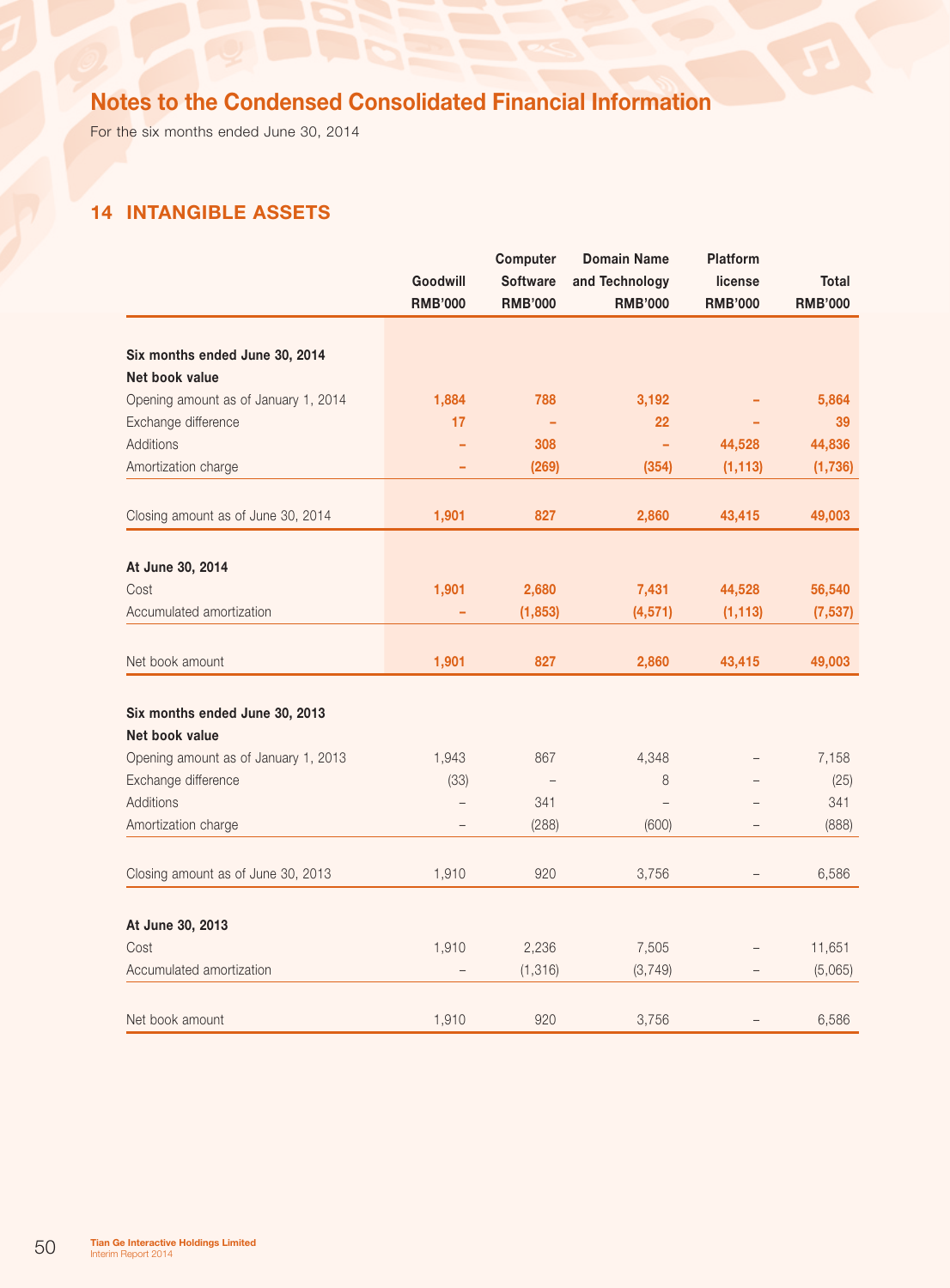For the six months ended June 30, 2014

# 14 Intangible assets

|                                      |                | Computer        | <b>Domain Name</b> | <b>Platform</b> |                |
|--------------------------------------|----------------|-----------------|--------------------|-----------------|----------------|
|                                      | Goodwill       | <b>Software</b> | and Technology     | license         | Total          |
|                                      | <b>RMB'000</b> | <b>RMB'000</b>  | <b>RMB'000</b>     | <b>RMB'000</b>  | <b>RMB'000</b> |
| Six months ended June 30, 2014       |                |                 |                    |                 |                |
| Net book value                       |                |                 |                    |                 |                |
| Opening amount as of January 1, 2014 | 1,884          | 788             | 3,192              |                 | 5,864          |
| Exchange difference                  | 17             |                 | 22                 |                 | 39             |
| <b>Additions</b>                     |                | 308             | ÷                  | 44,528          | 44,836         |
| Amortization charge                  |                | (269)           | (354)              | (1, 113)        | (1,736)        |
|                                      |                |                 |                    |                 |                |
| Closing amount as of June 30, 2014   | 1,901          | 827             | 2,860              | 43,415          | 49,003         |
| At June 30, 2014                     |                |                 |                    |                 |                |
| Cost                                 | 1,901          | 2,680           | 7,431              | 44,528          | 56,540         |
| Accumulated amortization             |                | (1, 853)        | (4, 571)           | (1, 113)        | (7, 537)       |
| Net book amount                      | 1,901          | 827             | 2,860              | 43,415          | 49,003         |
|                                      |                |                 |                    |                 |                |
| Six months ended June 30, 2013       |                |                 |                    |                 |                |
| Net book value                       |                |                 |                    |                 |                |
| Opening amount as of January 1, 2013 | 1,943          | 867             | 4,348              |                 | 7,158          |
| Exchange difference                  | (33)           |                 | 8                  |                 | (25)           |
| <b>Additions</b>                     |                | 341             |                    |                 | 341            |
| Amortization charge                  |                | (288)           | (600)              |                 | (888)          |
| Closing amount as of June 30, 2013   | 1,910          | 920             | 3,756              |                 | 6,586          |
| At June 30, 2013                     |                |                 |                    |                 |                |
| Cost                                 | 1,910          | 2,236           | 7,505              |                 | 11,651         |
| Accumulated amortization             |                | (1, 316)        | (3, 749)           |                 | (5,065)        |
| Net book amount                      | 1,910          | 920             | 3,756              |                 | 6,586          |
|                                      |                |                 |                    |                 |                |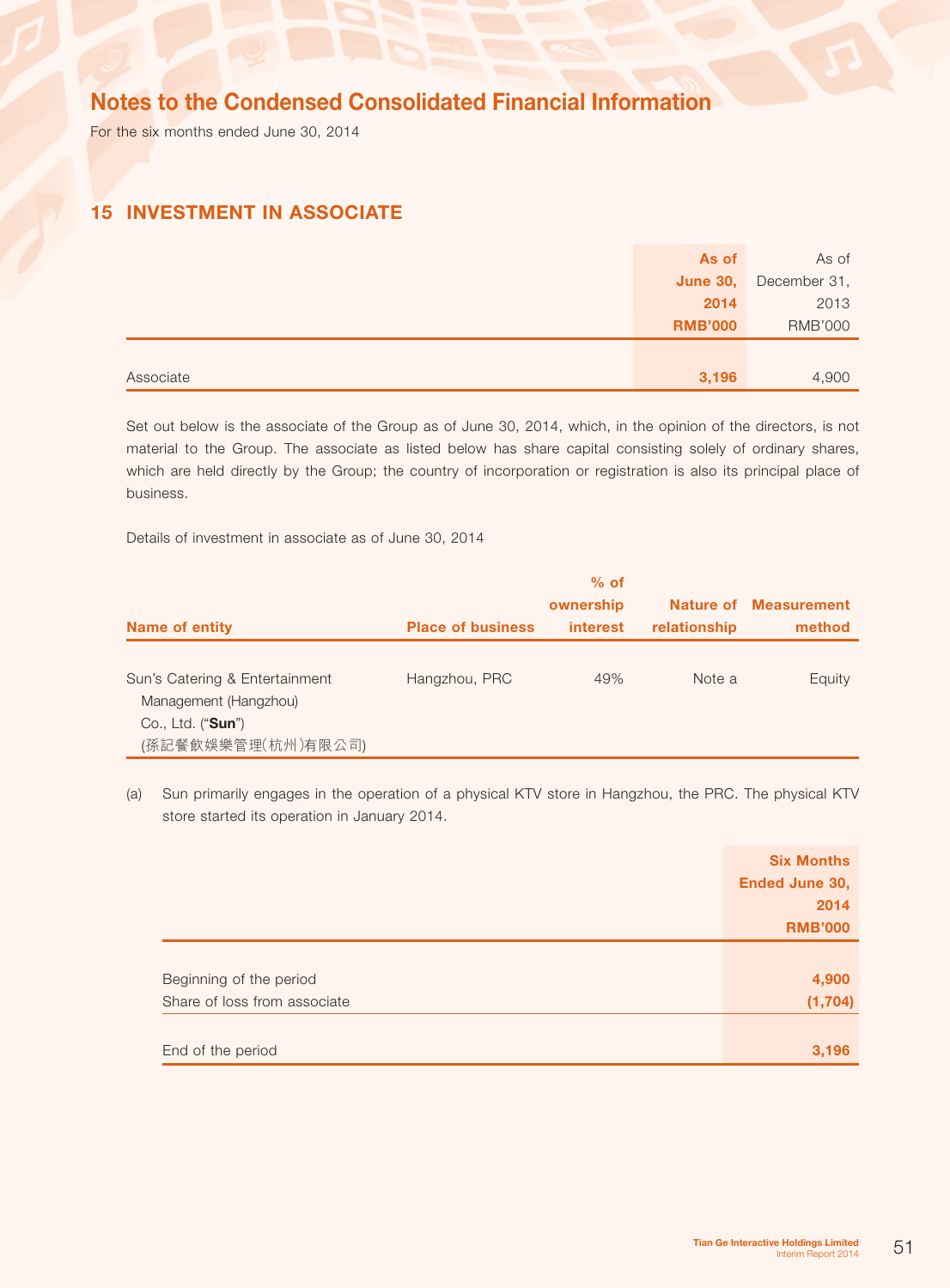For the six months ended June 30, 2014

## 15 Investment in associate

|           | As of           | As of          |
|-----------|-----------------|----------------|
|           | <b>June 30,</b> | December 31,   |
|           | 2014            | 2013           |
|           | <b>RMB'000</b>  | <b>RMB'000</b> |
|           |                 |                |
| Associate | 3,196           | 4,900          |

Set out below is the associate of the Group as of June 30, 2014, which, in the opinion of the directors, is not material to the Group. The associate as listed below has share capital consisting solely of ordinary shares, which are held directly by the Group; the country of incorporation or registration is also its principal place of business.

Details of investment in associate as of June 30, 2014

| <b>Name of entity</b>                                                                                       | <b>Place of business</b> | $%$ of<br>ownership<br><i>interest</i> | relationship | <b>Nature of Measurement</b><br>method |
|-------------------------------------------------------------------------------------------------------------|--------------------------|----------------------------------------|--------------|----------------------------------------|
| Sun's Catering & Entertainment<br>Management (Hangzhou)<br>Co., Ltd. (" <b>Sun</b> ")<br>(孫記餐飲娛樂管理(杭州)有限公司) | Hangzhou, PRC            | 49%                                    | Note a       | Equity                                 |

(a) Sun primarily engages in the operation of a physical KTV store in Hangzhou, the PRC. The physical KTV store started its operation in January 2014.

|                              | <b>Six Months</b> |
|------------------------------|-------------------|
|                              | Ended June 30,    |
|                              | 2014              |
|                              | <b>RMB'000</b>    |
|                              |                   |
| Beginning of the period      | 4,900             |
| Share of loss from associate | (1, 704)          |
|                              |                   |
| End of the period            | 3,196             |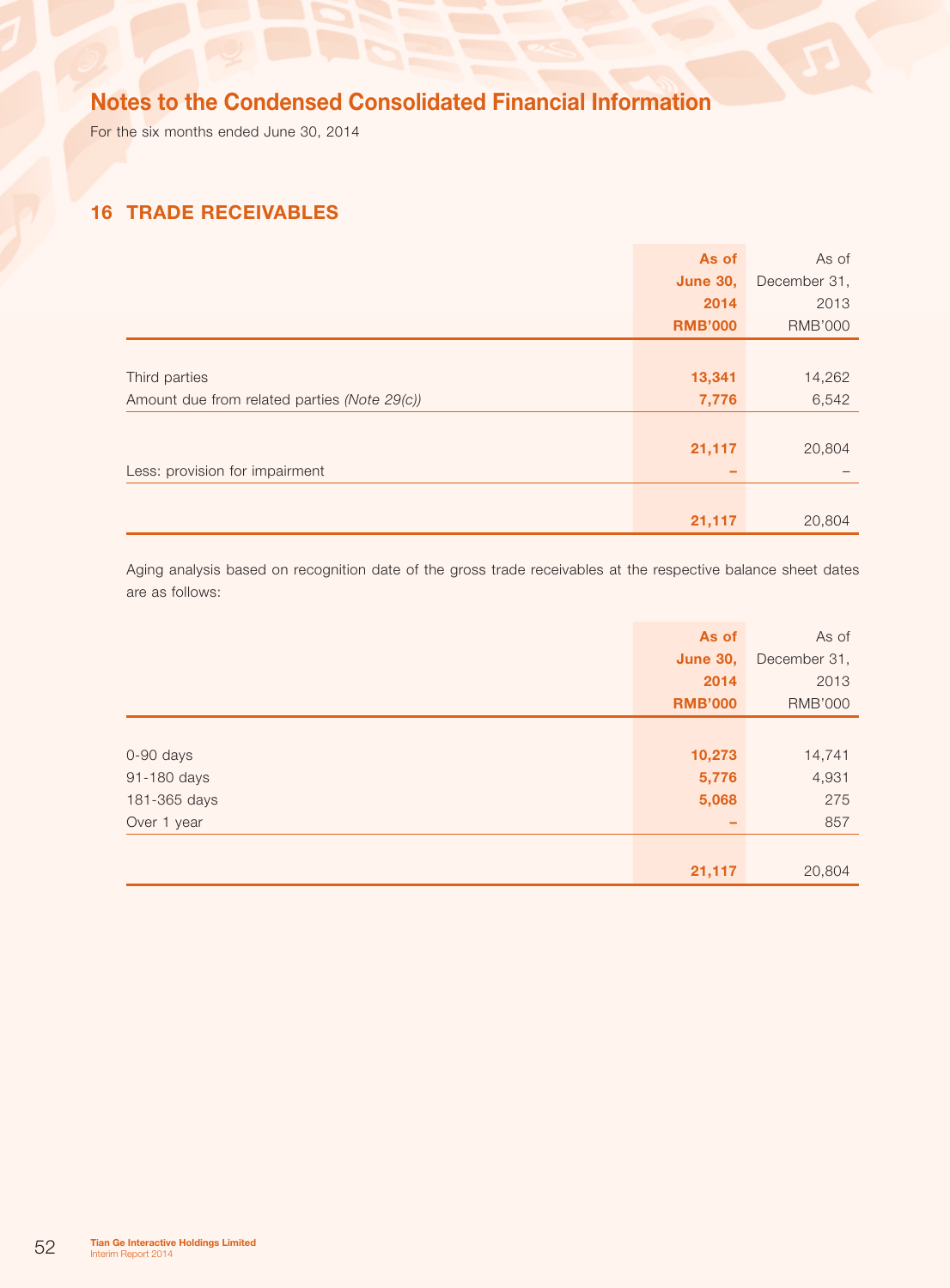For the six months ended June 30, 2014

## 16 Trade receivables

|                                              | As of           | As of          |
|----------------------------------------------|-----------------|----------------|
|                                              | <b>June 30,</b> | December 31,   |
|                                              | 2014            | 2013           |
|                                              | <b>RMB'000</b>  | <b>RMB'000</b> |
|                                              |                 |                |
| Third parties                                | 13,341          | 14,262         |
| Amount due from related parties (Note 29(c)) | 7,776           | 6,542          |
|                                              |                 |                |
|                                              | 21,117          | 20,804         |
| Less: provision for impairment               |                 |                |
|                                              |                 |                |
|                                              | 21,117          | 20,804         |

Aging analysis based on recognition date of the gross trade receivables at the respective balance sheet dates are as follows:

|              | As of           | As of          |
|--------------|-----------------|----------------|
|              | <b>June 30,</b> | December 31,   |
|              | 2014            | 2013           |
|              | <b>RMB'000</b>  | <b>RMB'000</b> |
|              |                 |                |
| 0-90 days    | 10,273          | 14,741         |
| 91-180 days  | 5,776           | 4,931          |
| 181-365 days | 5,068           | 275            |
| Over 1 year  | -               | 857            |
|              |                 |                |
|              | 21,117          | 20,804         |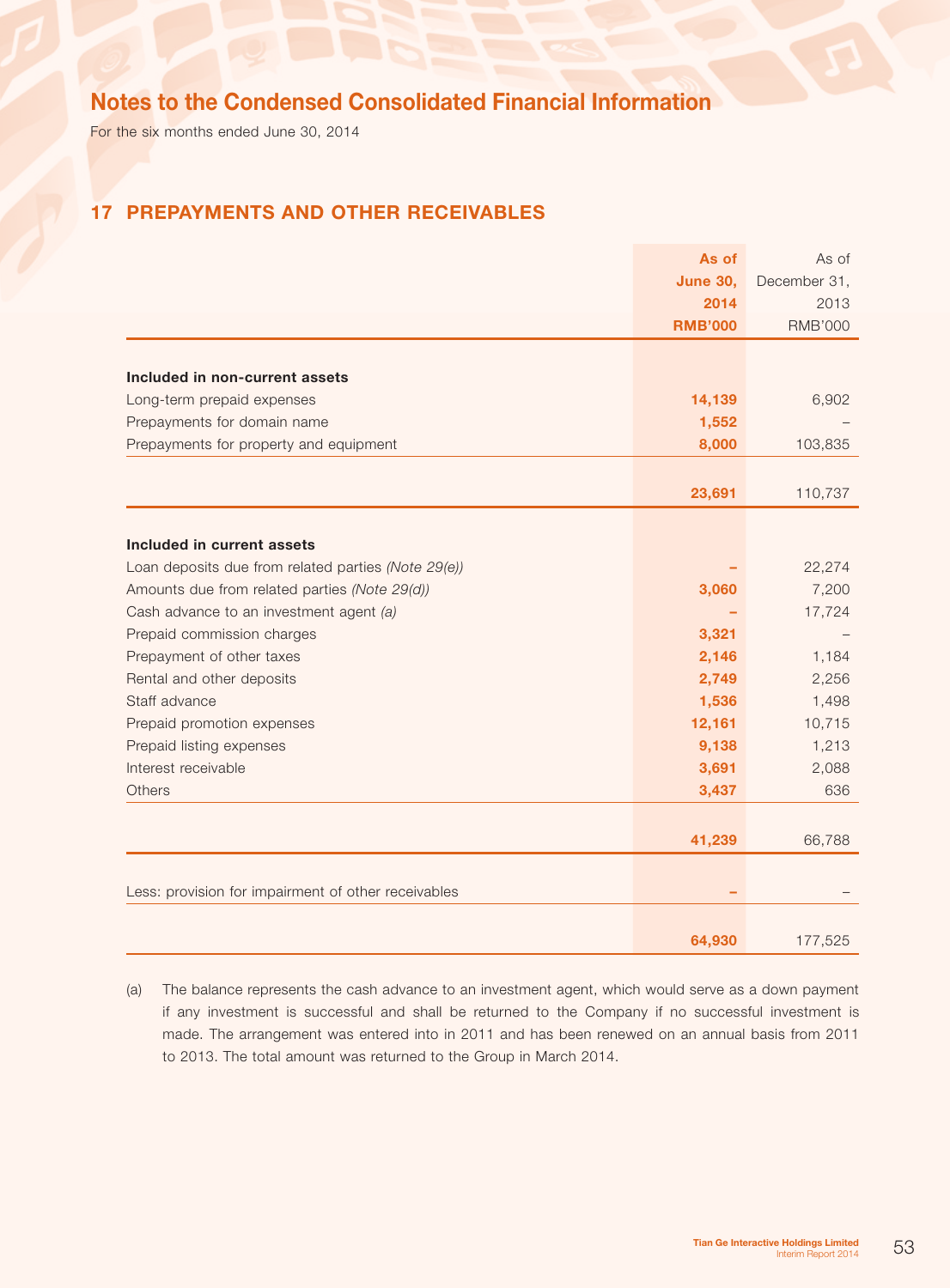For the six months ended June 30, 2014

## 17 Prepayments and other receivables

|                                                     | As of           | As of          |
|-----------------------------------------------------|-----------------|----------------|
|                                                     | <b>June 30,</b> | December 31,   |
|                                                     | 2014            | 2013           |
|                                                     | <b>RMB'000</b>  | <b>RMB'000</b> |
|                                                     |                 |                |
| Included in non-current assets                      |                 |                |
| Long-term prepaid expenses                          | 14,139          | 6,902          |
| Prepayments for domain name                         | 1,552           |                |
| Prepayments for property and equipment              | 8,000           | 103,835        |
|                                                     |                 |                |
|                                                     | 23,691          | 110,737        |
|                                                     |                 |                |
| Included in current assets                          |                 |                |
| Loan deposits due from related parties (Note 29(e)) |                 | 22,274         |
| Amounts due from related parties (Note 29(d))       | 3,060           | 7,200          |
| Cash advance to an investment agent (a)             |                 | 17,724         |
| Prepaid commission charges                          | 3,321           |                |
| Prepayment of other taxes                           | 2,146           | 1,184          |
| Rental and other deposits                           | 2,749           | 2,256          |
| Staff advance                                       | 1,536           | 1,498          |
| Prepaid promotion expenses                          | 12,161          | 10,715         |
| Prepaid listing expenses                            | 9,138           | 1,213          |
| Interest receivable                                 | 3,691           | 2,088          |
| Others                                              | 3,437           | 636            |
|                                                     |                 |                |
|                                                     | 41,239          | 66,788         |
|                                                     |                 |                |
| Less: provision for impairment of other receivables |                 |                |
|                                                     |                 |                |
|                                                     | 64,930          | 177,525        |

(a) The balance represents the cash advance to an investment agent, which would serve as a down payment if any investment is successful and shall be returned to the Company if no successful investment is made. The arrangement was entered into in 2011 and has been renewed on an annual basis from 2011 to 2013. The total amount was returned to the Group in March 2014.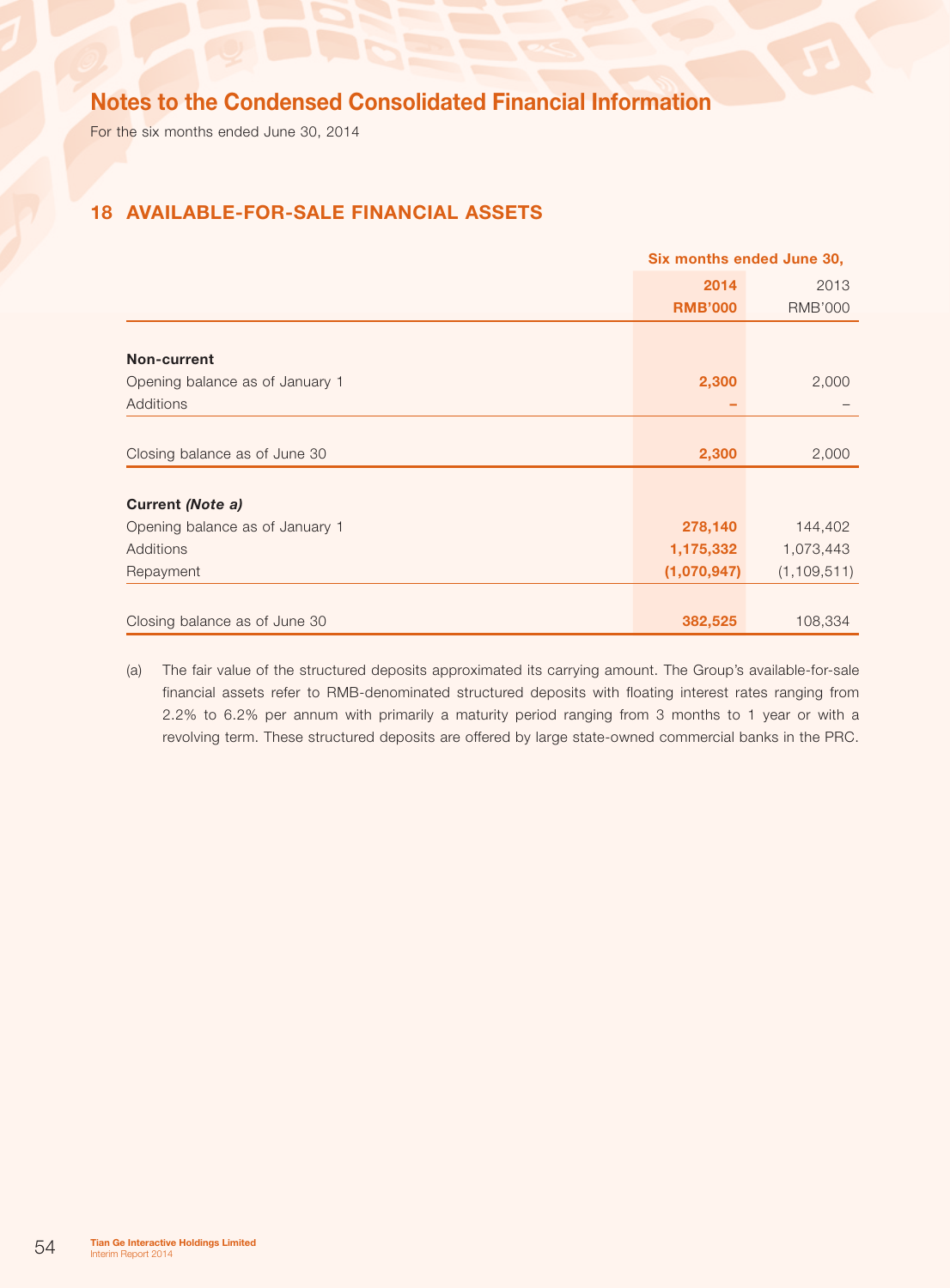For the six months ended June 30, 2014

## 18 Available-for-sale financial assets

|                                 | Six months ended June 30, |                |  |
|---------------------------------|---------------------------|----------------|--|
|                                 | 2014                      | 2013           |  |
|                                 | <b>RMB'000</b>            | <b>RMB'000</b> |  |
|                                 |                           |                |  |
| Non-current                     |                           |                |  |
| Opening balance as of January 1 | 2,300                     | 2,000          |  |
| Additions                       |                           |                |  |
|                                 |                           |                |  |
| Closing balance as of June 30   | 2,300                     | 2,000          |  |
|                                 |                           |                |  |
| Current (Note a)                |                           |                |  |
| Opening balance as of January 1 | 278,140                   | 144,402        |  |
| Additions                       | 1,175,332                 | 1,073,443      |  |
| Repayment                       | (1,070,947)               | (1, 109, 511)  |  |
|                                 |                           |                |  |
| Closing balance as of June 30   | 382,525                   | 108,334        |  |

(a) The fair value of the structured deposits approximated its carrying amount. The Group's available-for-sale financial assets refer to RMB-denominated structured deposits with floating interest rates ranging from 2.2% to 6.2% per annum with primarily a maturity period ranging from 3 months to 1 year or with a revolving term. These structured deposits are offered by large state-owned commercial banks in the PRC.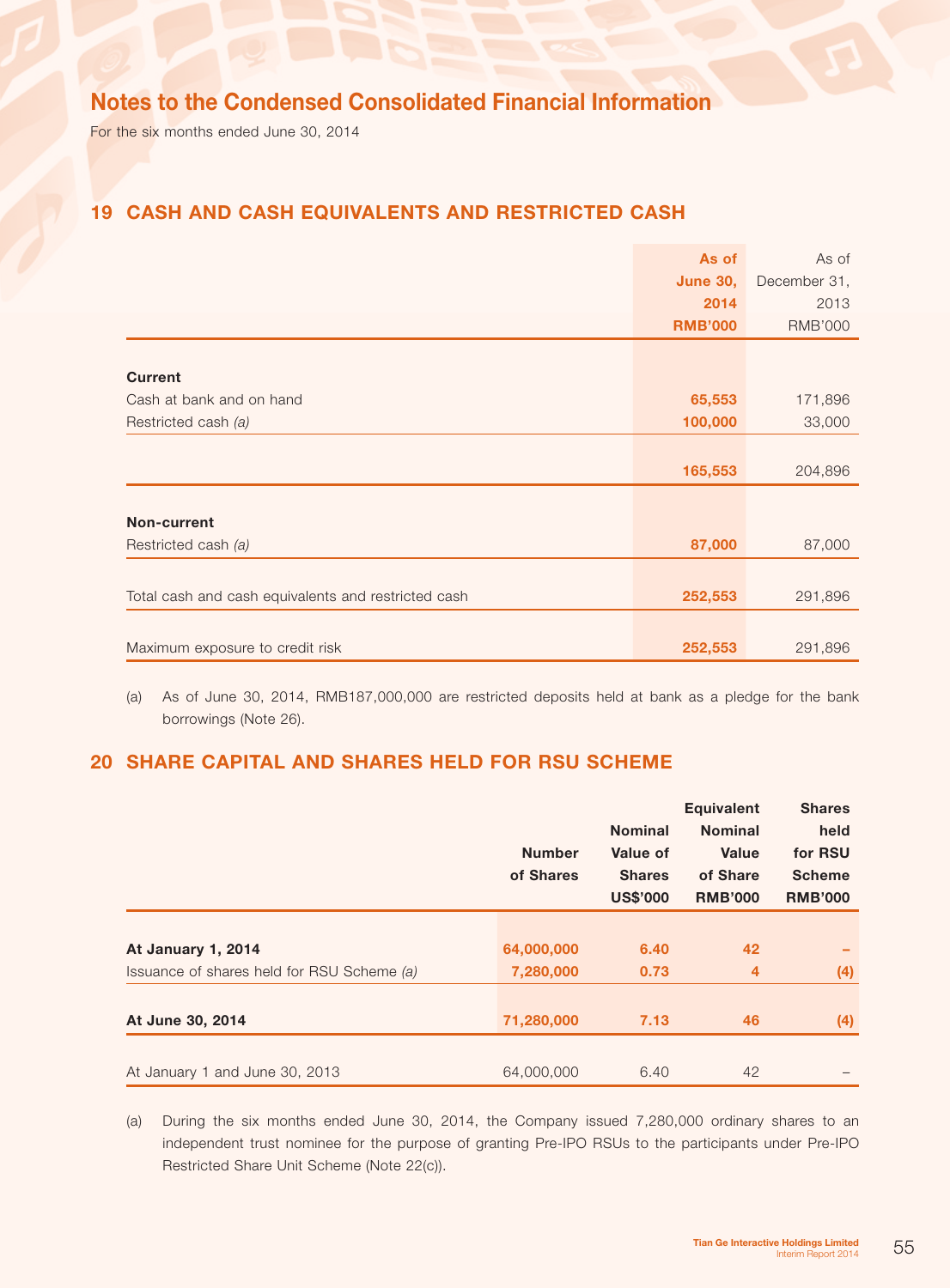For the six months ended June 30, 2014

## 19 Cash and cash equivalents and restricted cash

|                                                     | As of           | As of          |
|-----------------------------------------------------|-----------------|----------------|
|                                                     | <b>June 30,</b> | December 31,   |
|                                                     | 2014            | 2013           |
|                                                     | <b>RMB'000</b>  | <b>RMB'000</b> |
|                                                     |                 |                |
| <b>Current</b>                                      |                 |                |
| Cash at bank and on hand                            | 65,553          | 171,896        |
| Restricted cash (a)                                 | 100,000         | 33,000         |
|                                                     |                 |                |
|                                                     | 165,553         | 204,896        |
|                                                     |                 |                |
| Non-current                                         |                 |                |
| Restricted cash (a)                                 | 87,000          | 87,000         |
|                                                     |                 |                |
| Total cash and cash equivalents and restricted cash | 252,553         | 291,896        |
|                                                     |                 |                |
| Maximum exposure to credit risk                     | 252,553         | 291,896        |

(a) As of June 30, 2014, RMB187,000,000 are restricted deposits held at bank as a pledge for the bank borrowings (Note 26).

## 20 Share capital and Shares held for RSU Scheme

|                                            | <b>Number</b><br>of Shares | <b>Nominal</b><br><b>Value of</b><br><b>Shares</b><br><b>US\$'000</b> | <b>Equivalent</b><br><b>Nominal</b><br><b>Value</b><br>of Share<br><b>RMB'000</b> | <b>Shares</b><br>held<br>for RSU<br><b>Scheme</b><br><b>RMB'000</b> |
|--------------------------------------------|----------------------------|-----------------------------------------------------------------------|-----------------------------------------------------------------------------------|---------------------------------------------------------------------|
| At January 1, 2014                         | 64,000,000                 | 6.40                                                                  | 42                                                                                |                                                                     |
| Issuance of shares held for RSU Scheme (a) | 7,280,000                  | 0.73                                                                  | $\overline{4}$                                                                    | (4)                                                                 |
|                                            |                            |                                                                       |                                                                                   |                                                                     |
| At June 30, 2014                           | 71,280,000                 | 7.13                                                                  | 46                                                                                | (4)                                                                 |
| At January 1 and June 30, 2013             | 64,000,000                 | 6.40                                                                  | 42                                                                                |                                                                     |

(a) During the six months ended June 30, 2014, the Company issued 7,280,000 ordinary shares to an independent trust nominee for the purpose of granting Pre-IPO RSUs to the participants under Pre-IPO Restricted Share Unit Scheme (Note 22(c)).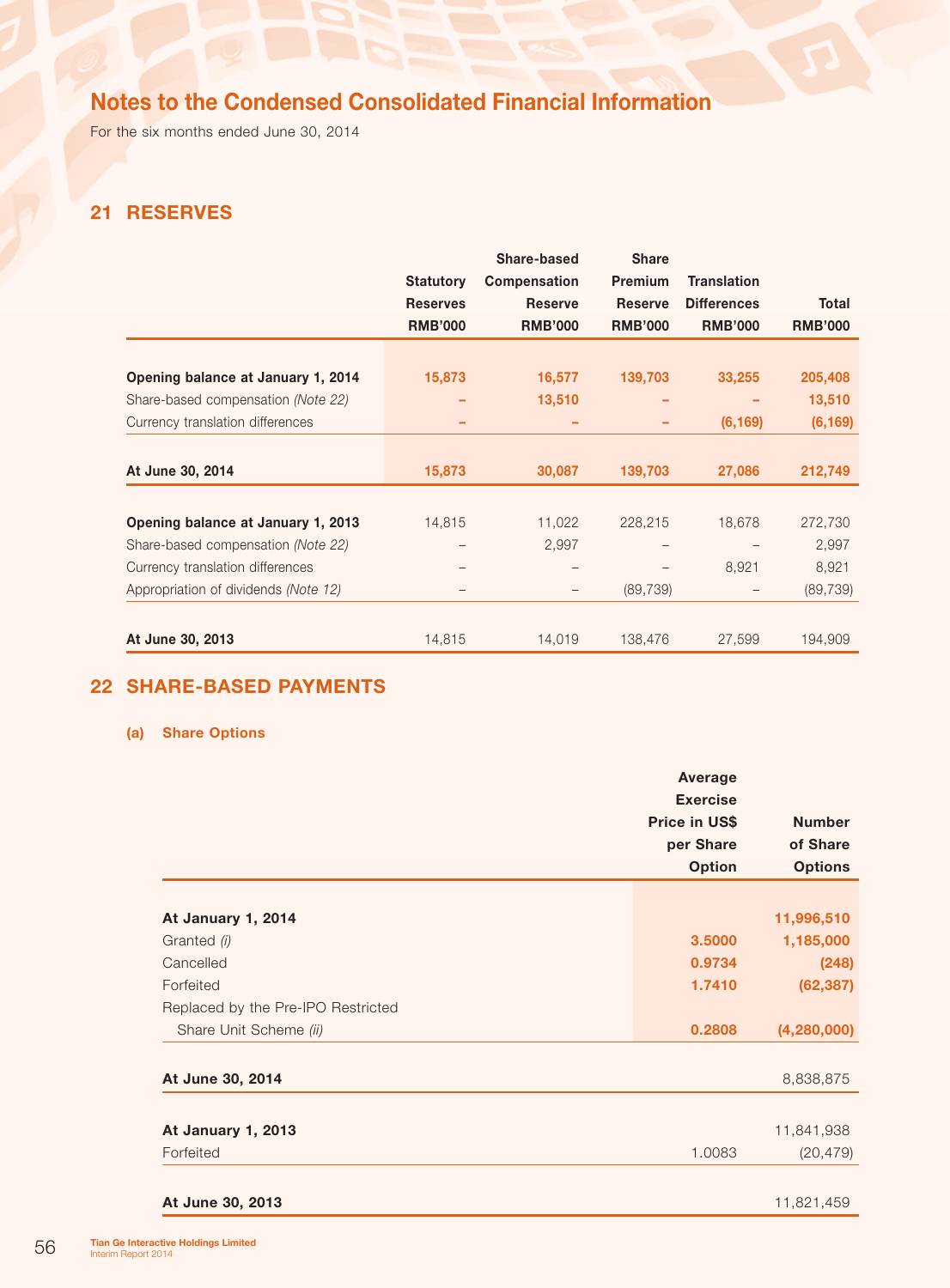For the six months ended June 30, 2014

## 21 Reserves

|                                      |                  | Share-based    | <b>Share</b>   |                    |                |
|--------------------------------------|------------------|----------------|----------------|--------------------|----------------|
|                                      | <b>Statutory</b> | Compensation   | Premium        | <b>Translation</b> |                |
|                                      | <b>Reserves</b>  | <b>Reserve</b> | <b>Reserve</b> | <b>Differences</b> | <b>Total</b>   |
|                                      | <b>RMB'000</b>   | <b>RMB'000</b> | <b>RMB'000</b> | <b>RMB'000</b>     | <b>RMB'000</b> |
|                                      |                  |                |                |                    |                |
| Opening balance at January 1, 2014   | 15,873           | 16,577         | 139,703        | 33,255             | 205,408        |
| Share-based compensation (Note 22)   |                  | 13,510         |                |                    | 13,510         |
| Currency translation differences     |                  |                |                | (6, 169)           | (6, 169)       |
|                                      |                  |                |                |                    |                |
| At June 30, 2014                     | 15,873           | 30,087         | 139,703        | 27,086             | 212,749        |
|                                      |                  |                |                |                    |                |
| Opening balance at January 1, 2013   | 14,815           | 11,022         | 228,215        | 18,678             | 272,730        |
| Share-based compensation (Note 22)   |                  | 2,997          |                |                    | 2,997          |
| Currency translation differences     |                  |                |                | 8,921              | 8,921          |
| Appropriation of dividends (Note 12) |                  |                | (89, 739)      |                    | (89, 739)      |
|                                      |                  |                |                |                    |                |
| At June 30, 2013                     | 14,815           | 14,019         | 138,476        | 27,599             | 194,909        |

## 22 SHARE-BASED PAYMENTS

### (a) Share Options

|                                    |               | Average         |                |
|------------------------------------|---------------|-----------------|----------------|
|                                    |               | <b>Exercise</b> |                |
|                                    | Price in US\$ |                 | <b>Number</b>  |
|                                    |               | per Share       | of Share       |
|                                    |               | <b>Option</b>   | <b>Options</b> |
|                                    |               |                 |                |
| At January 1, 2014                 |               |                 | 11,996,510     |
| Granted (i)                        |               | 3.5000          | 1,185,000      |
| Cancelled                          |               | 0.9734          | (248)          |
| Forfeited                          |               | 1.7410          | (62, 387)      |
| Replaced by the Pre-IPO Restricted |               |                 |                |
| Share Unit Scheme (ii)             |               | 0.2808          | (4,280,000)    |
|                                    |               |                 |                |
| At June 30, 2014                   |               |                 | 8,838,875      |
|                                    |               |                 |                |
| At January 1, 2013                 |               |                 | 11,841,938     |
| Forfeited                          |               | 1.0083          | (20, 479)      |
|                                    |               |                 |                |
| At June 30, 2013                   |               |                 | 11,821,459     |
|                                    |               |                 |                |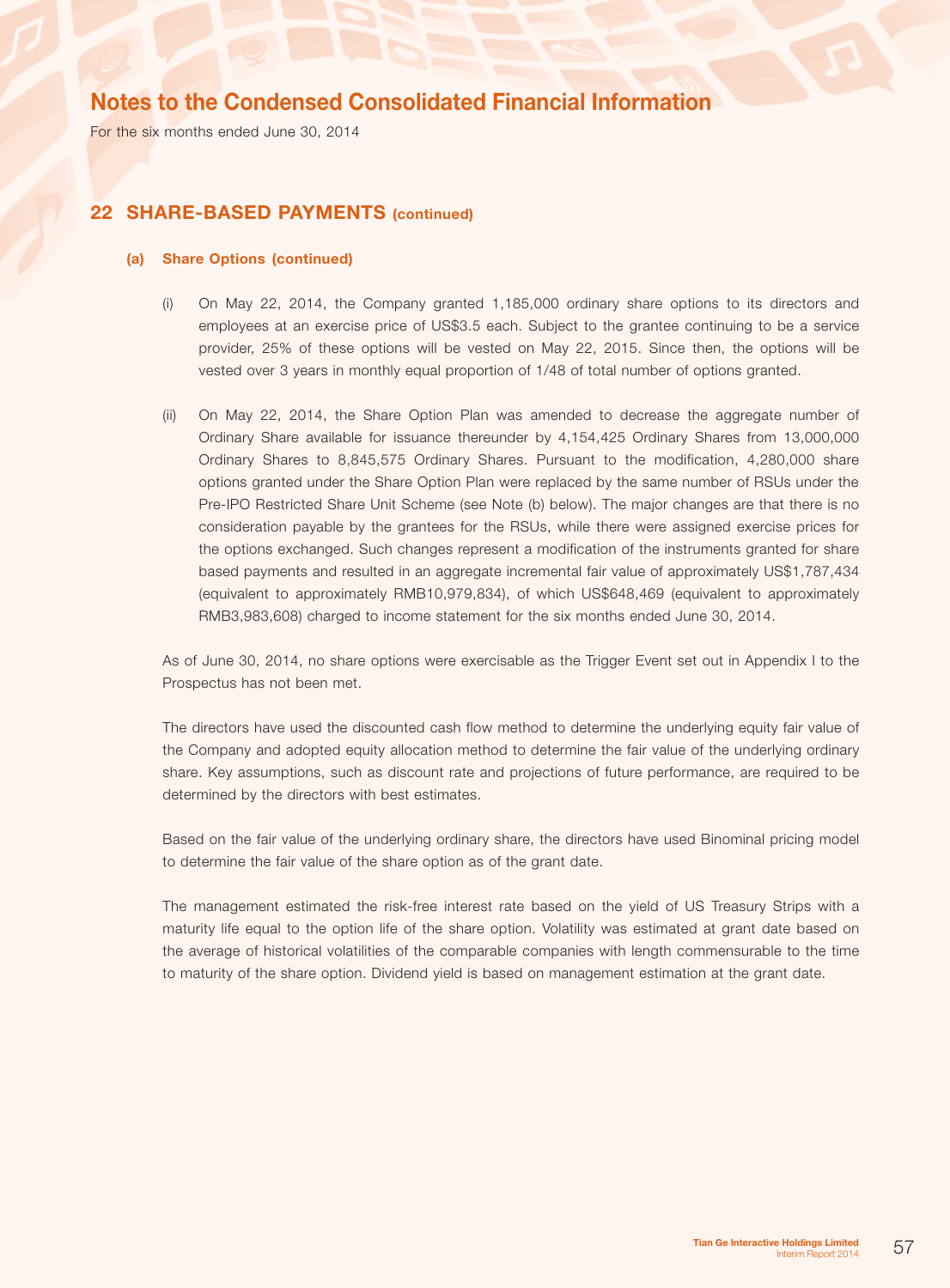For the six months ended June 30, 2014

### 22 SHARE-BASED PAYMENTS (continued)

#### (a) Share Options (continued)

- (i) On May 22, 2014, the Company granted 1,185,000 ordinary share options to its directors and employees at an exercise price of US\$3.5 each. Subject to the grantee continuing to be a service provider, 25% of these options will be vested on May 22, 2015. Since then, the options will be vested over 3 years in monthly equal proportion of 1/48 of total number of options granted.
- (ii) On May 22, 2014, the Share Option Plan was amended to decrease the aggregate number of Ordinary Share available for issuance thereunder by 4,154,425 Ordinary Shares from 13,000,000 Ordinary Shares to 8,845,575 Ordinary Shares. Pursuant to the modification, 4,280,000 share options granted under the Share Option Plan were replaced by the same number of RSUs under the Pre-IPO Restricted Share Unit Scheme (see Note (b) below). The major changes are that there is no consideration payable by the grantees for the RSUs, while there were assigned exercise prices for the options exchanged. Such changes represent a modification of the instruments granted for share based payments and resulted in an aggregate incremental fair value of approximately US\$1,787,434 (equivalent to approximately RMB10,979,834), of which US\$648,469 (equivalent to approximately RMB3,983,608) charged to income statement for the six months ended June 30, 2014.

As of June 30, 2014, no share options were exercisable as the Trigger Event set out in Appendix I to the Prospectus has not been met.

The directors have used the discounted cash flow method to determine the underlying equity fair value of the Company and adopted equity allocation method to determine the fair value of the underlying ordinary share. Key assumptions, such as discount rate and projections of future performance, are required to be determined by the directors with best estimates.

Based on the fair value of the underlying ordinary share, the directors have used Binominal pricing model to determine the fair value of the share option as of the grant date.

The management estimated the risk-free interest rate based on the yield of US Treasury Strips with a maturity life equal to the option life of the share option. Volatility was estimated at grant date based on the average of historical volatilities of the comparable companies with length commensurable to the time to maturity of the share option. Dividend yield is based on management estimation at the grant date.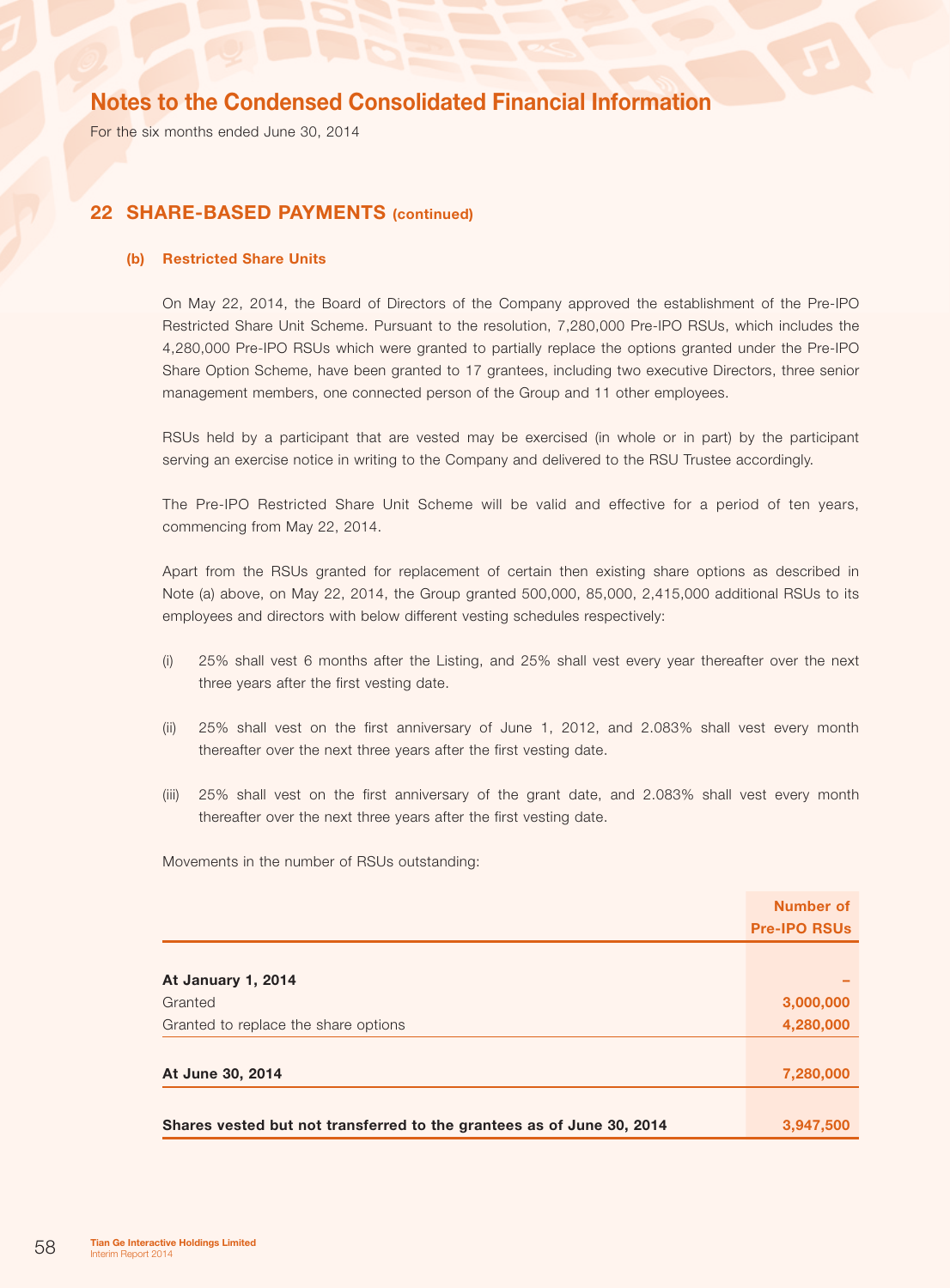For the six months ended June 30, 2014

### 22 SHARE-BASED PAYMENTS (continued)

### (b) Restricted Share Units

On May 22, 2014, the Board of Directors of the Company approved the establishment of the Pre-IPO Restricted Share Unit Scheme. Pursuant to the resolution, 7,280,000 Pre-IPO RSUs, which includes the 4,280,000 Pre-IPO RSUs which were granted to partially replace the options granted under the Pre-IPO Share Option Scheme, have been granted to 17 grantees, including two executive Directors, three senior management members, one connected person of the Group and 11 other employees.

RSUs held by a participant that are vested may be exercised (in whole or in part) by the participant serving an exercise notice in writing to the Company and delivered to the RSU Trustee accordingly.

The Pre-IPO Restricted Share Unit Scheme will be valid and effective for a period of ten years, commencing from May 22, 2014.

Apart from the RSUs granted for replacement of certain then existing share options as described in Note (a) above, on May 22, 2014, the Group granted 500,000, 85,000, 2,415,000 additional RSUs to its employees and directors with below different vesting schedules respectively:

- (i) 25% shall vest 6 months after the Listing, and 25% shall vest every year thereafter over the next three years after the first vesting date.
- (ii) 25% shall vest on the first anniversary of June 1, 2012, and 2.083% shall vest every month thereafter over the next three years after the first vesting date.
- (iii) 25% shall vest on the first anniversary of the grant date, and 2.083% shall vest every month thereafter over the next three years after the first vesting date.

Movements in the number of RSUs outstanding:

|                                                                       | Number of           |
|-----------------------------------------------------------------------|---------------------|
|                                                                       | <b>Pre-IPO RSUs</b> |
|                                                                       |                     |
| <b>At January 1, 2014</b>                                             |                     |
| Granted                                                               | 3,000,000           |
| Granted to replace the share options                                  | 4,280,000           |
|                                                                       |                     |
| At June 30, 2014                                                      | 7,280,000           |
|                                                                       |                     |
| Shares vested but not transferred to the grantees as of June 30, 2014 | 3,947,500           |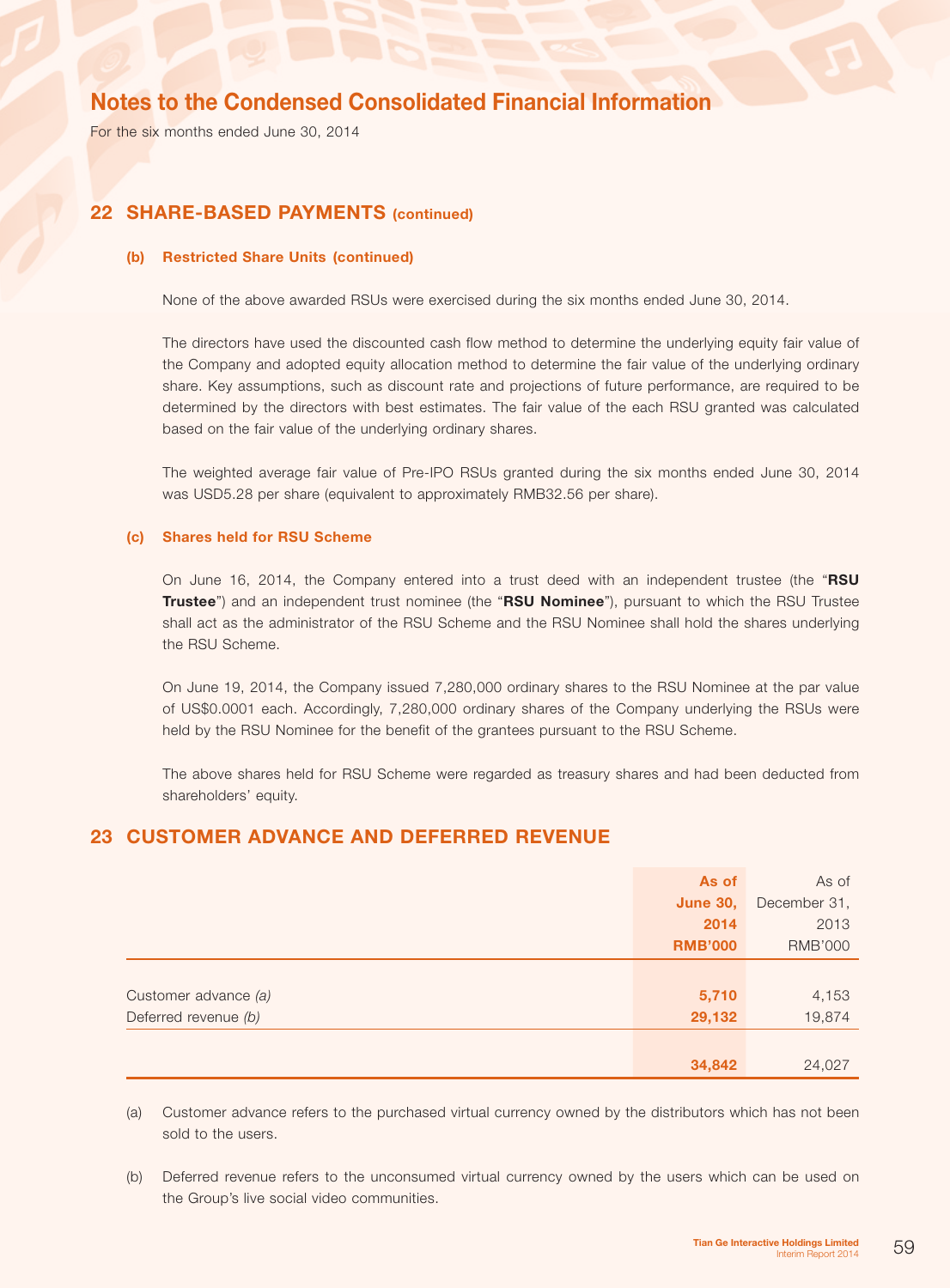For the six months ended June 30, 2014

## 22 SHARE-BASED PAYMENTS (continued)

#### (b) Restricted Share Units (continued)

None of the above awarded RSUs were exercised during the six months ended June 30, 2014.

The directors have used the discounted cash flow method to determine the underlying equity fair value of the Company and adopted equity allocation method to determine the fair value of the underlying ordinary share. Key assumptions, such as discount rate and projections of future performance, are required to be determined by the directors with best estimates. The fair value of the each RSU granted was calculated based on the fair value of the underlying ordinary shares.

The weighted average fair value of Pre-IPO RSUs granted during the six months ended June 30, 2014 was USD5.28 per share (equivalent to approximately RMB32.56 per share).

### (c) Shares held for RSU Scheme

On June 16, 2014, the Company entered into a trust deed with an independent trustee (the "RSU Trustee") and an independent trust nominee (the "RSU Nominee"), pursuant to which the RSU Trustee shall act as the administrator of the RSU Scheme and the RSU Nominee shall hold the shares underlying the RSU Scheme.

On June 19, 2014, the Company issued 7,280,000 ordinary shares to the RSU Nominee at the par value of US\$0.0001 each. Accordingly, 7,280,000 ordinary shares of the Company underlying the RSUs were held by the RSU Nominee for the benefit of the grantees pursuant to the RSU Scheme.

The above shares held for RSU Scheme were regarded as treasury shares and had been deducted from shareholders' equity.

## 23 Customer advance and deferred revenue

|                      | As of           | As of          |
|----------------------|-----------------|----------------|
|                      | <b>June 30,</b> | December 31,   |
|                      | 2014            | 2013           |
|                      | <b>RMB'000</b>  | <b>RMB'000</b> |
|                      |                 |                |
| Customer advance (a) | 5,710           | 4,153          |
| Deferred revenue (b) | 29,132          | 19,874         |
|                      |                 |                |
|                      | 34,842          | 24,027         |

(a) Customer advance refers to the purchased virtual currency owned by the distributors which has not been sold to the users.

(b) Deferred revenue refers to the unconsumed virtual currency owned by the users which can be used on the Group's live social video communities.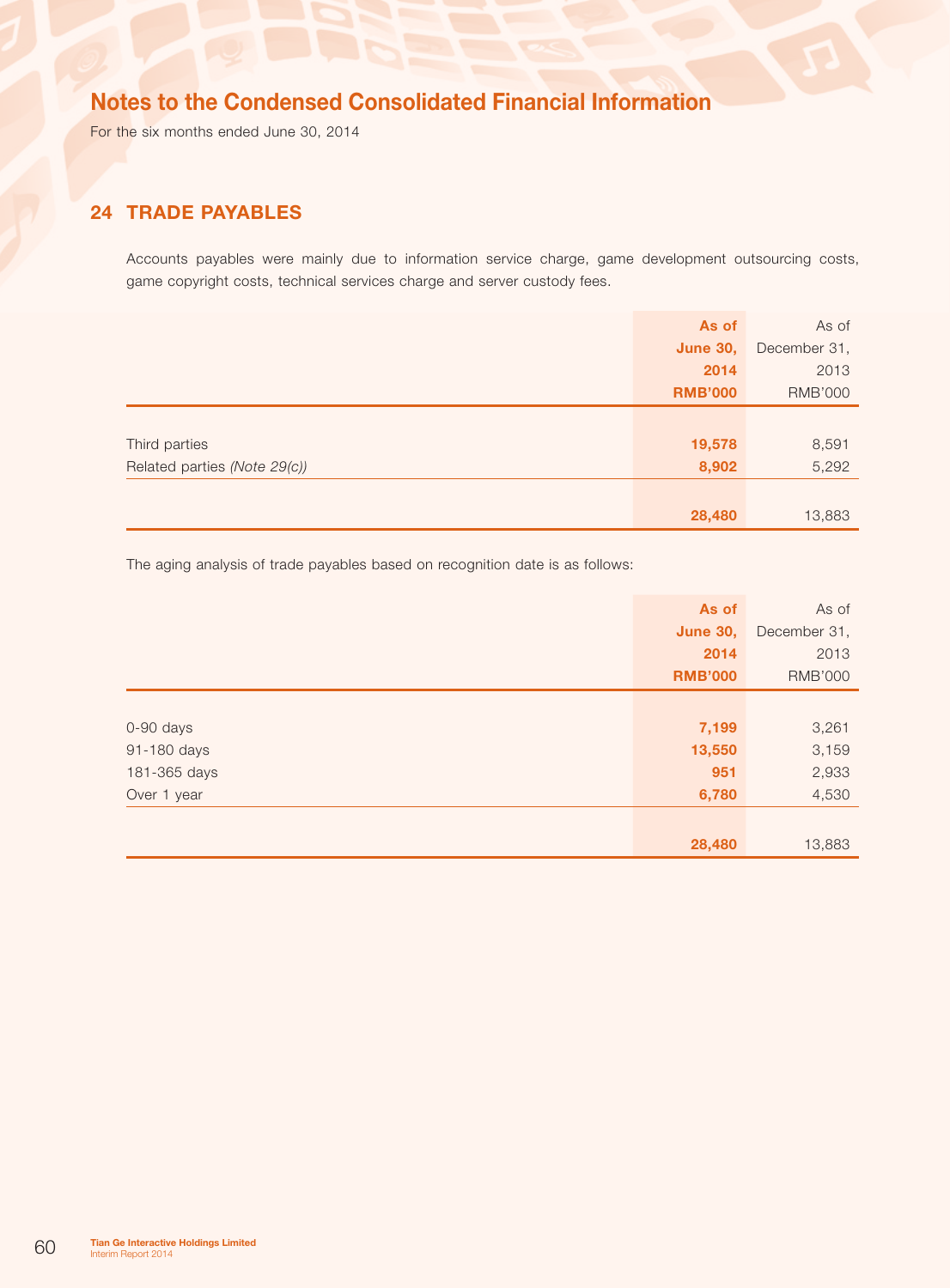For the six months ended June 30, 2014

## 24 TRADE PAYABLES

Accounts payables were mainly due to information service charge, game development outsourcing costs, game copyright costs, technical services charge and server custody fees.

|                              | As of           | As of          |
|------------------------------|-----------------|----------------|
|                              | <b>June 30,</b> | December 31,   |
|                              | 2014            | 2013           |
|                              | <b>RMB'000</b>  | <b>RMB'000</b> |
|                              |                 |                |
| Third parties                | 19,578          | 8,591          |
| Related parties (Note 29(c)) | 8,902           | 5,292          |
|                              |                 |                |
|                              | 28,480          | 13,883         |

The aging analysis of trade payables based on recognition date is as follows:

|              | As of           | As of          |
|--------------|-----------------|----------------|
|              | <b>June 30,</b> | December 31,   |
|              | 2014            | 2013           |
|              | <b>RMB'000</b>  | <b>RMB'000</b> |
|              |                 |                |
| 0-90 days    | 7,199           | 3,261          |
| 91-180 days  | 13,550          | 3,159          |
| 181-365 days | 951             | 2,933          |
| Over 1 year  | 6,780           | 4,530          |
|              |                 |                |
|              | 28,480          | 13,883         |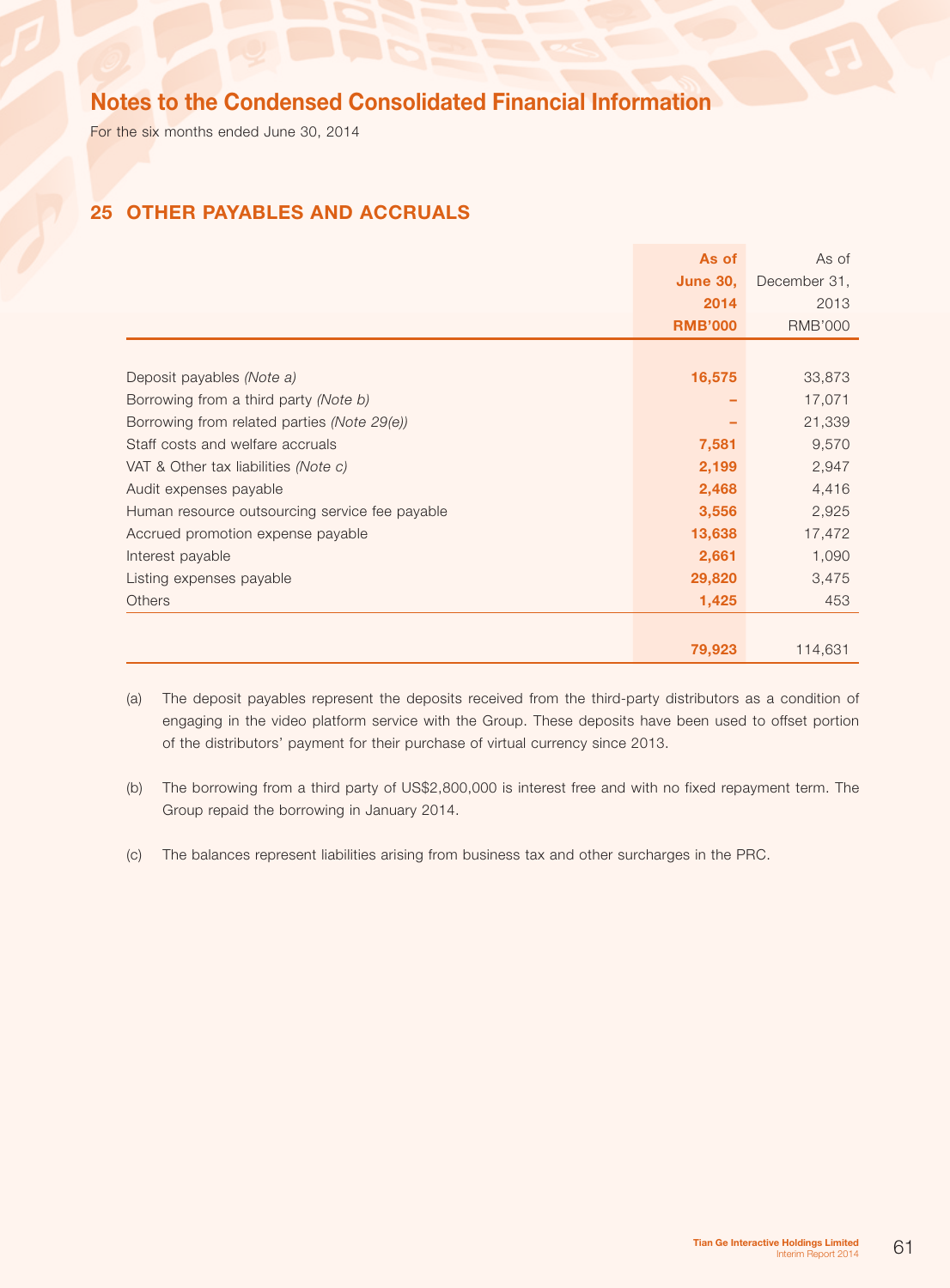For the six months ended June 30, 2014

## 25 Other payables and accruals

|                                                | As of           | As of          |
|------------------------------------------------|-----------------|----------------|
|                                                | <b>June 30,</b> | December 31,   |
|                                                | 2014            | 2013           |
|                                                | <b>RMB'000</b>  | <b>RMB'000</b> |
|                                                |                 |                |
| Deposit payables (Note a)                      | 16,575          | 33,873         |
| Borrowing from a third party (Note b)          |                 | 17,071         |
| Borrowing from related parties (Note 29(e))    |                 | 21,339         |
| Staff costs and welfare accruals               | 7,581           | 9,570          |
| VAT & Other tax liabilities (Note c)           | 2,199           | 2,947          |
| Audit expenses payable                         | 2,468           | 4,416          |
| Human resource outsourcing service fee payable | 3,556           | 2,925          |
| Accrued promotion expense payable              | 13,638          | 17,472         |
| Interest payable                               | 2,661           | 1,090          |
| Listing expenses payable                       | 29,820          | 3,475          |
| Others                                         | 1,425           | 453            |
|                                                |                 |                |
|                                                | 79,923          | 114,631        |

(a) The deposit payables represent the deposits received from the third-party distributors as a condition of engaging in the video platform service with the Group. These deposits have been used to offset portion of the distributors' payment for their purchase of virtual currency since 2013.

- (b) The borrowing from a third party of US\$2,800,000 is interest free and with no fixed repayment term. The Group repaid the borrowing in January 2014.
- (c) The balances represent liabilities arising from business tax and other surcharges in the PRC.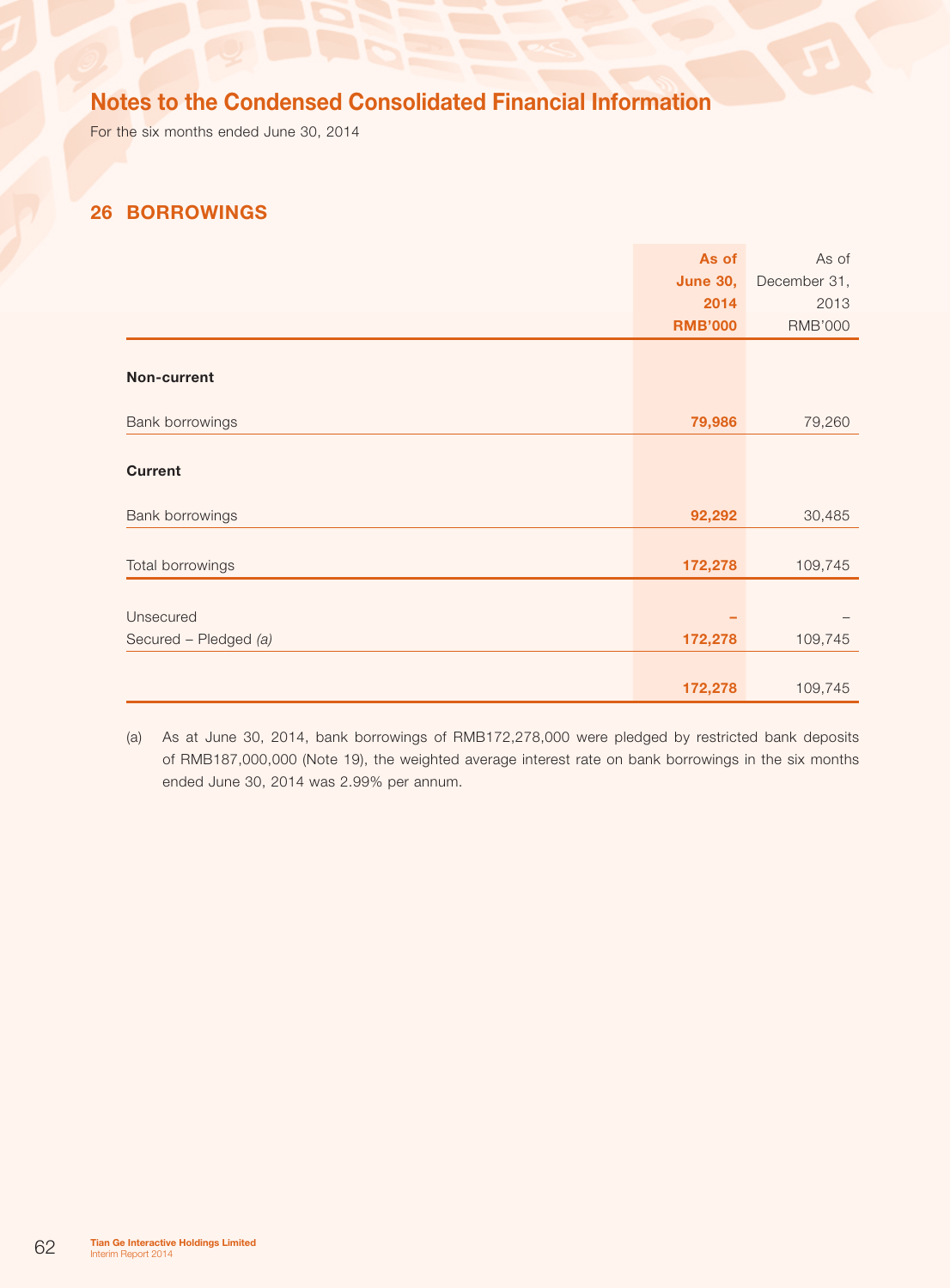For the six months ended June 30, 2014

## 26 Borrowings

|                       | As of           | As of          |
|-----------------------|-----------------|----------------|
|                       | <b>June 30,</b> | December 31,   |
|                       | 2014            | 2013           |
|                       | <b>RMB'000</b>  | <b>RMB'000</b> |
|                       |                 |                |
| Non-current           |                 |                |
|                       |                 |                |
| Bank borrowings       | 79,986          | 79,260         |
|                       |                 |                |
| <b>Current</b>        |                 |                |
|                       |                 |                |
| Bank borrowings       | 92,292          | 30,485         |
|                       |                 |                |
| Total borrowings      | 172,278         | 109,745        |
|                       |                 |                |
| Unsecured             |                 |                |
| Secured - Pledged (a) | 172,278         | 109,745        |
|                       |                 |                |
|                       | 172,278         | 109,745        |

(a) As at June 30, 2014, bank borrowings of RMB172,278,000 were pledged by restricted bank deposits of RMB187,000,000 (Note 19), the weighted average interest rate on bank borrowings in the six months ended June 30, 2014 was 2.99% per annum.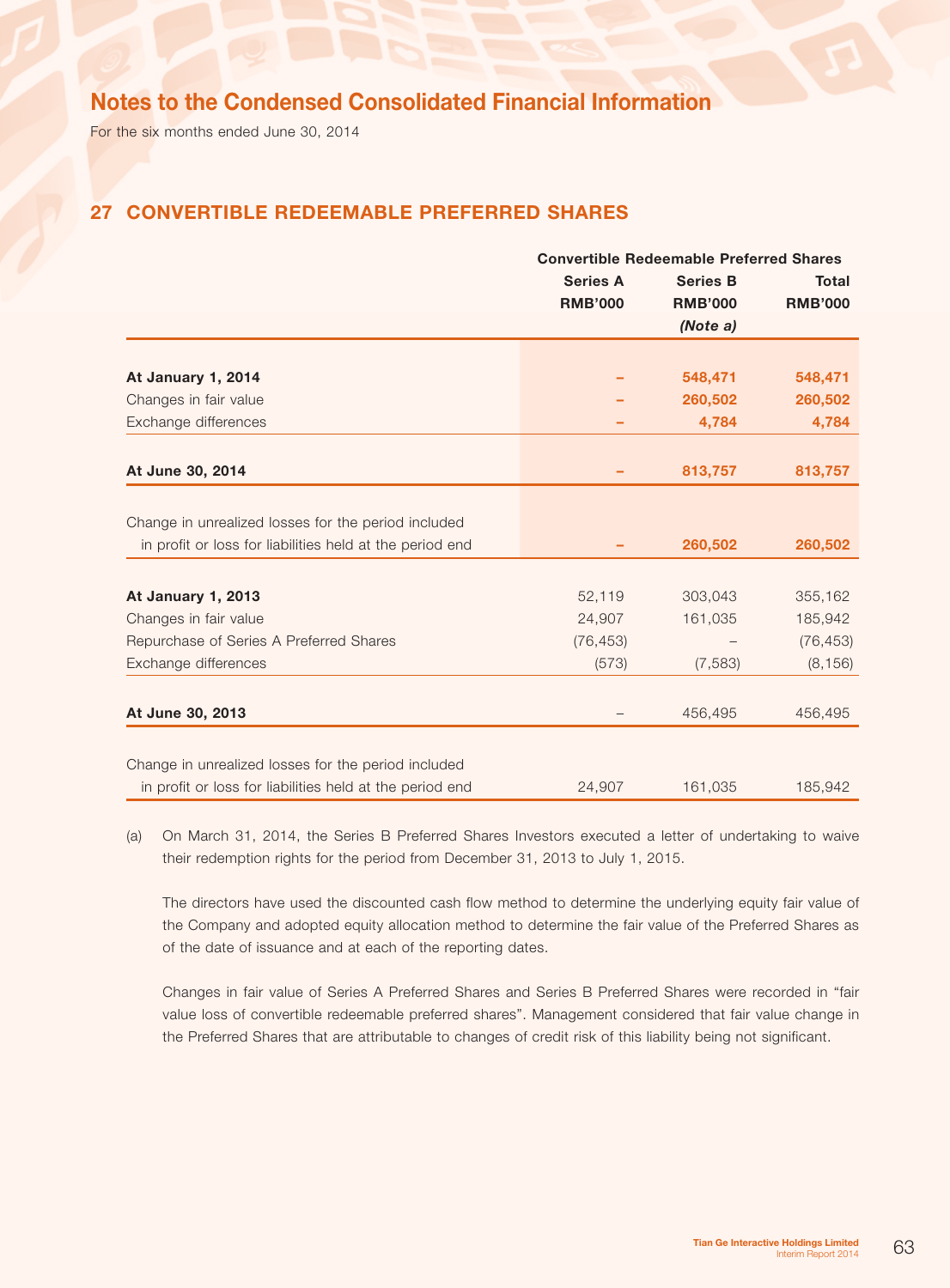For the six months ended June 30, 2014

## 27 Convertible redeemable preferred shares

|                                                          | <b>Convertible Redeemable Preferred Shares</b> |                |                |
|----------------------------------------------------------|------------------------------------------------|----------------|----------------|
|                                                          | <b>Series A</b><br><b>Series B</b>             |                | <b>Total</b>   |
|                                                          | <b>RMB'000</b>                                 | <b>RMB'000</b> | <b>RMB'000</b> |
|                                                          |                                                | (Note a)       |                |
|                                                          |                                                |                |                |
| At January 1, 2014                                       |                                                | 548,471        | 548,471        |
| Changes in fair value                                    |                                                | 260,502        | 260,502        |
| Exchange differences                                     |                                                | 4,784          | 4,784          |
| At June 30, 2014                                         |                                                | 813,757        | 813,757        |
|                                                          |                                                |                |                |
| Change in unrealized losses for the period included      |                                                |                |                |
| in profit or loss for liabilities held at the period end |                                                | 260,502        | 260,502        |
|                                                          |                                                |                |                |
| At January 1, 2013                                       | 52,119                                         | 303,043        | 355,162        |
| Changes in fair value                                    | 24,907                                         | 161,035        | 185,942        |
| Repurchase of Series A Preferred Shares                  | (76, 453)                                      |                | (76, 453)      |
| Exchange differences                                     | (573)                                          | (7, 583)       | (8, 156)       |
| At June 30, 2013                                         |                                                | 456,495        | 456,495        |
|                                                          |                                                |                |                |
| Change in unrealized losses for the period included      |                                                |                |                |
| in profit or loss for liabilities held at the period end | 24,907                                         | 161,035        | 185,942        |

(a) On March 31, 2014, the Series B Preferred Shares Investors executed a letter of undertaking to waive their redemption rights for the period from December 31, 2013 to July 1, 2015.

The directors have used the discounted cash flow method to determine the underlying equity fair value of the Company and adopted equity allocation method to determine the fair value of the Preferred Shares as of the date of issuance and at each of the reporting dates.

Changes in fair value of Series A Preferred Shares and Series B Preferred Shares were recorded in "fair value loss of convertible redeemable preferred shares". Management considered that fair value change in the Preferred Shares that are attributable to changes of credit risk of this liability being not significant.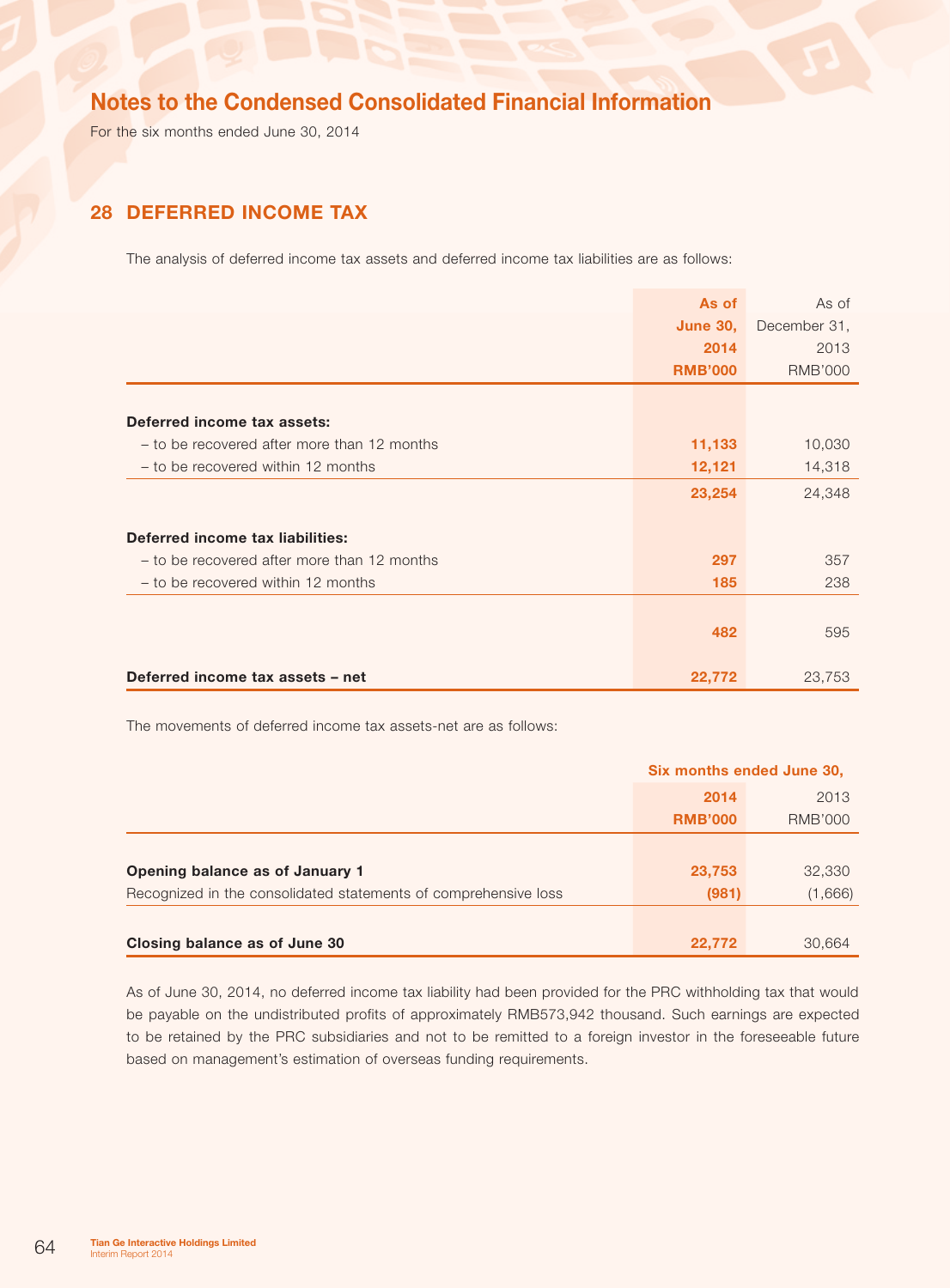For the six months ended June 30, 2014

## 28 Deferred income tax

The analysis of deferred income tax assets and deferred income tax liabilities are as follows:

|                                             | As of           | As of          |
|---------------------------------------------|-----------------|----------------|
|                                             | <b>June 30,</b> | December 31,   |
|                                             | 2014            | 2013           |
|                                             | <b>RMB'000</b>  | <b>RMB'000</b> |
|                                             |                 |                |
| Deferred income tax assets:                 |                 |                |
| - to be recovered after more than 12 months | 11,133          | 10,030         |
| - to be recovered within 12 months          | 12,121          | 14,318         |
|                                             | 23,254          | 24,348         |
|                                             |                 |                |
| Deferred income tax liabilities:            |                 |                |
| - to be recovered after more than 12 months | 297             | 357            |
| - to be recovered within 12 months          | 185             | 238            |
|                                             |                 |                |
|                                             | 482             | 595            |
|                                             |                 |                |
| Deferred income tax assets - net            | 22,772          | 23,753         |

The movements of deferred income tax assets-net are as follows:

|                                                                 | Six months ended June 30, |                |
|-----------------------------------------------------------------|---------------------------|----------------|
|                                                                 | 2014                      | 2013           |
|                                                                 | <b>RMB'000</b>            | <b>RMB'000</b> |
|                                                                 |                           |                |
| Opening balance as of January 1                                 | 23,753                    | 32,330         |
| Recognized in the consolidated statements of comprehensive loss | (981)                     | (1,666)        |
|                                                                 |                           |                |
| Closing balance as of June 30                                   | 22,772                    | 30,664         |

As of June 30, 2014, no deferred income tax liability had been provided for the PRC withholding tax that would be payable on the undistributed profits of approximately RMB573,942 thousand. Such earnings are expected to be retained by the PRC subsidiaries and not to be remitted to a foreign investor in the foreseeable future based on management's estimation of overseas funding requirements.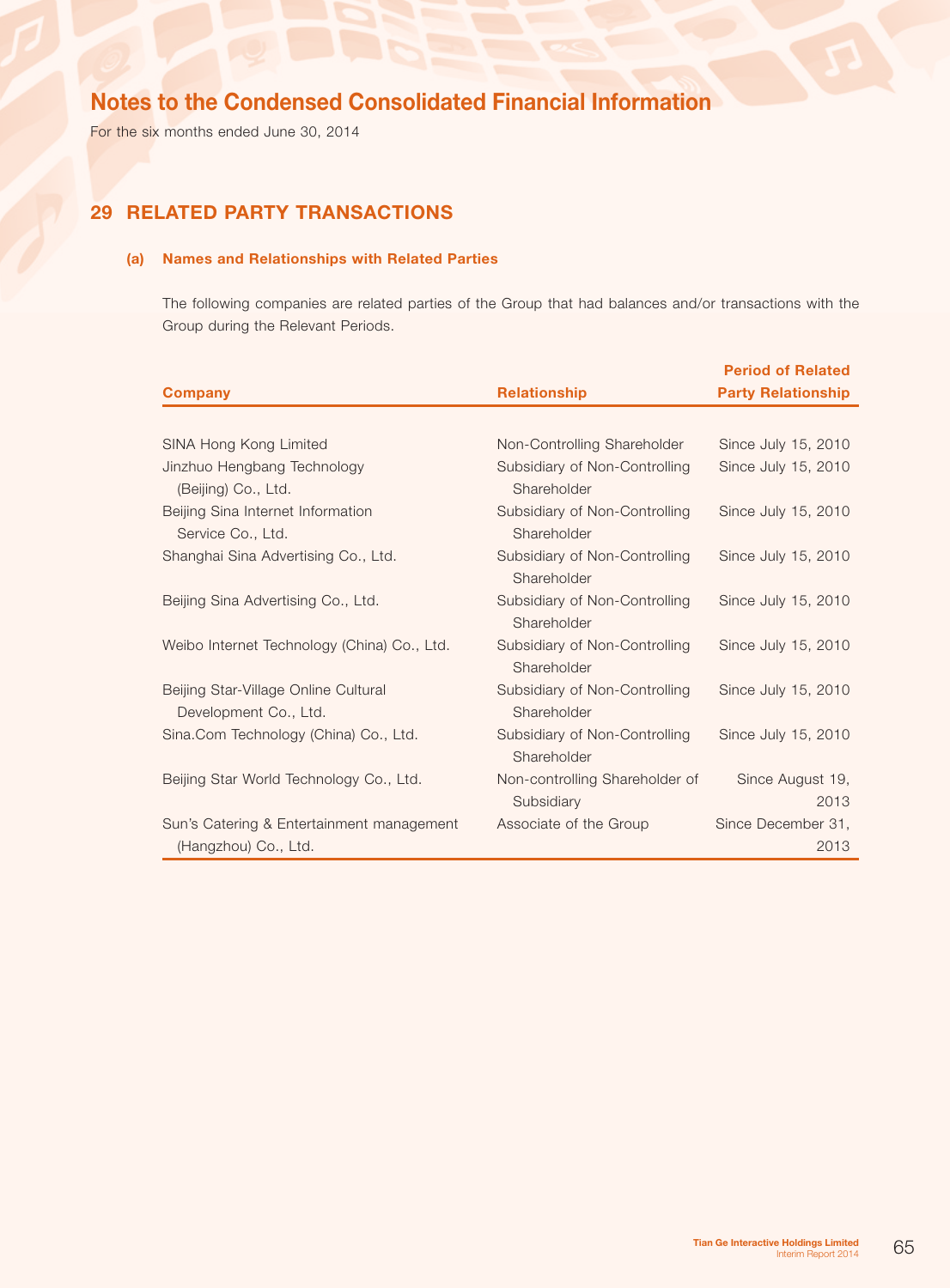For the six months ended June 30, 2014

## 29 Related party transactions

### (a) Names and Relationships with Related Parties

The following companies are related parties of the Group that had balances and/or transactions with the Group during the Relevant Periods.

|                                             |                                              | <b>Period of Related</b>  |
|---------------------------------------------|----------------------------------------------|---------------------------|
| <b>Company</b>                              | <b>Relationship</b>                          | <b>Party Relationship</b> |
|                                             |                                              |                           |
| SINA Hong Kong Limited                      | Non-Controlling Shareholder                  | Since July 15, 2010       |
| Jinzhuo Hengbang Technology                 | Subsidiary of Non-Controlling                | Since July 15, 2010       |
| (Beijing) Co., Ltd.                         | Shareholder                                  |                           |
| Beijing Sina Internet Information           | Subsidiary of Non-Controlling                | Since July 15, 2010       |
| Service Co., Ltd.                           | Shareholder                                  |                           |
| Shanghai Sina Advertising Co., Ltd.         | Subsidiary of Non-Controlling                | Since July 15, 2010       |
|                                             | Shareholder                                  |                           |
| Beijing Sina Advertising Co., Ltd.          | Subsidiary of Non-Controlling                | Since July 15, 2010       |
|                                             | Shareholder                                  |                           |
| Weibo Internet Technology (China) Co., Ltd. | Subsidiary of Non-Controlling                | Since July 15, 2010       |
|                                             | Shareholder                                  |                           |
| Beijing Star-Village Online Cultural        | Subsidiary of Non-Controlling                | Since July 15, 2010       |
| Development Co., Ltd.                       | Shareholder                                  |                           |
| Sina.Com Technology (China) Co., Ltd.       | Subsidiary of Non-Controlling<br>Shareholder | Since July 15, 2010       |
| Beijing Star World Technology Co., Ltd.     | Non-controlling Shareholder of               | Since August 19,          |
|                                             | Subsidiary                                   | 2013                      |
| Sun's Catering & Entertainment management   | Associate of the Group                       | Since December 31,        |
| (Hangzhou) Co., Ltd.                        |                                              | 2013                      |
|                                             |                                              |                           |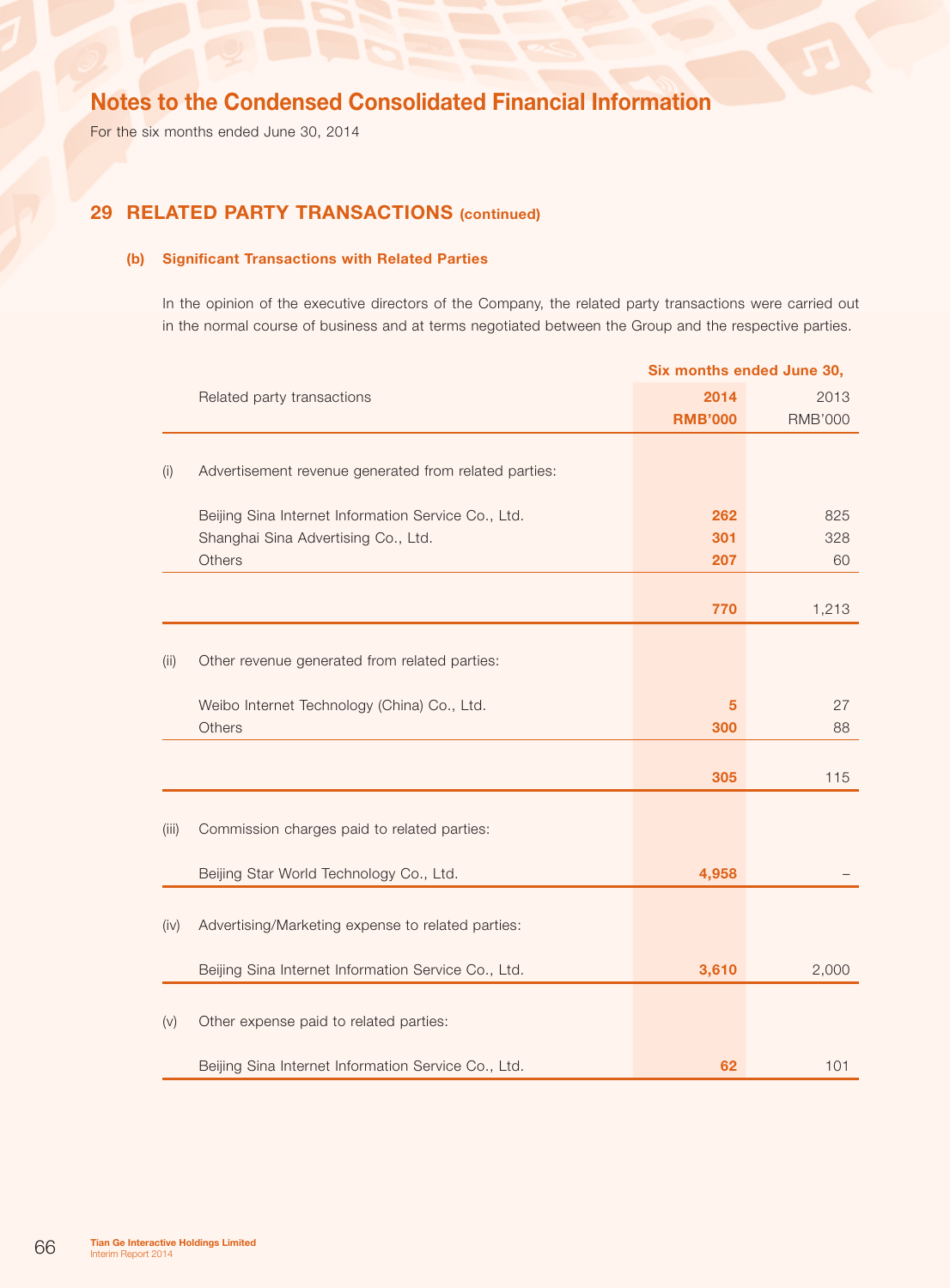For the six months ended June 30, 2014

## 29 RELATED PARTY TRANSACTIONS (continued)

### (b) Significant Transactions with Related Parties

In the opinion of the executive directors of the Company, the related party transactions were carried out in the normal course of business and at terms negotiated between the Group and the respective parties.

|       |                                                       | Six months ended June 30, |                |
|-------|-------------------------------------------------------|---------------------------|----------------|
|       | Related party transactions                            | 2014                      | 2013           |
|       |                                                       | <b>RMB'000</b>            | <b>RMB'000</b> |
| (i)   | Advertisement revenue generated from related parties: |                           |                |
|       | Beijing Sina Internet Information Service Co., Ltd.   | 262                       | 825            |
|       | Shanghai Sina Advertising Co., Ltd.                   | 301                       | 328            |
|       | <b>Others</b>                                         | 207                       | 60             |
|       |                                                       |                           |                |
|       |                                                       | 770                       | 1,213          |
|       |                                                       |                           |                |
| (ii)  | Other revenue generated from related parties:         |                           |                |
|       | Weibo Internet Technology (China) Co., Ltd.           | 5                         | 27             |
|       | Others                                                | 300                       | 88             |
|       |                                                       |                           |                |
|       |                                                       | 305                       | 115            |
|       |                                                       |                           |                |
| (iii) | Commission charges paid to related parties:           |                           |                |
|       |                                                       |                           |                |
|       | Beijing Star World Technology Co., Ltd.               | 4,958                     |                |
|       |                                                       |                           |                |
| (iv)  | Advertising/Marketing expense to related parties:     |                           |                |
|       | Beijing Sina Internet Information Service Co., Ltd.   | 3,610                     | 2,000          |
|       |                                                       |                           |                |
| (v)   | Other expense paid to related parties:                |                           |                |
|       |                                                       |                           |                |
|       | Beijing Sina Internet Information Service Co., Ltd.   | 62                        | 101            |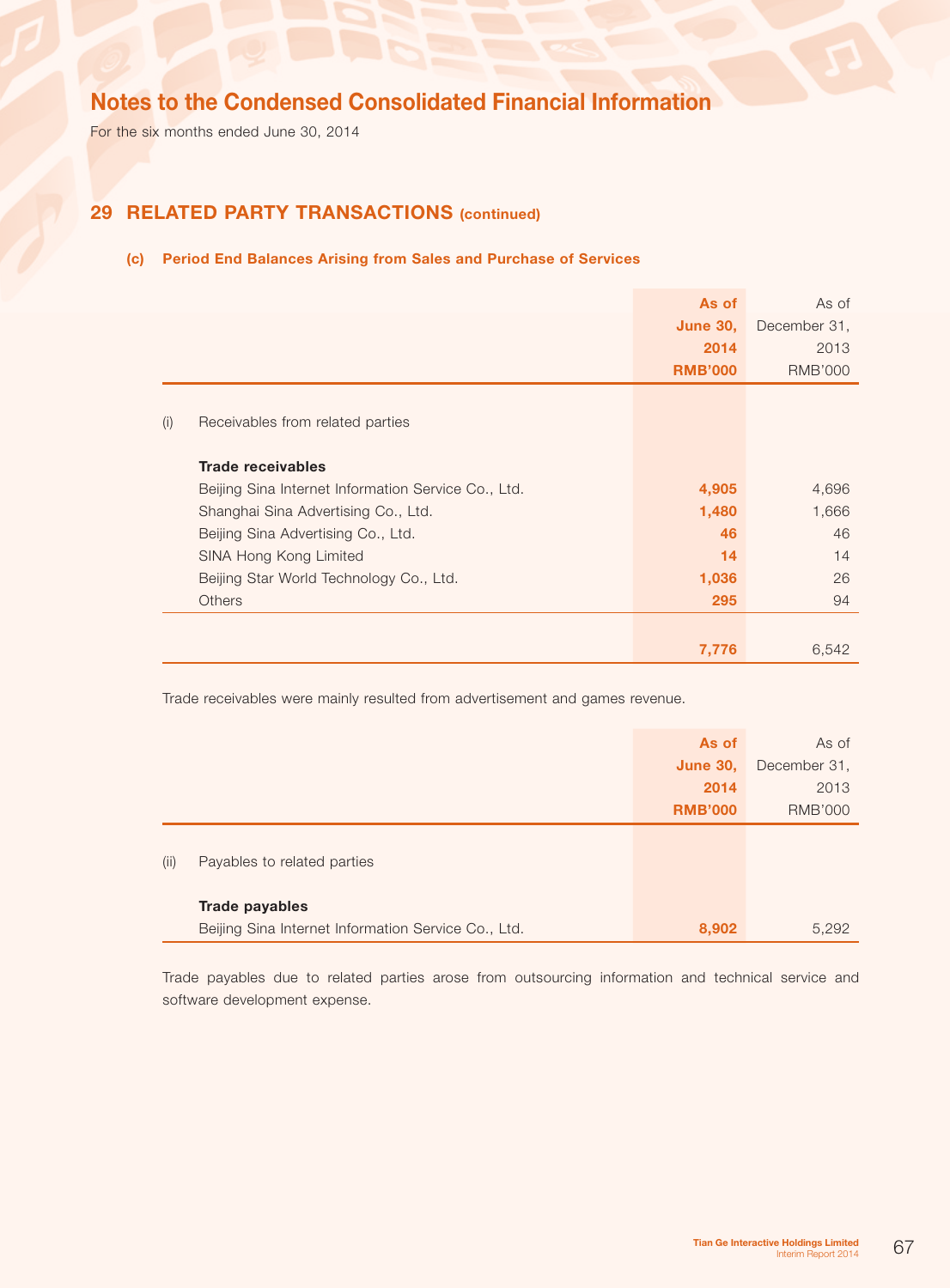For the six months ended June 30, 2014

## 29 RELATED PARTY TRANSACTIONS (continued)

### (c) Period End Balances Arising from Sales and Purchase of Services

|     |                                                     | As of           | As of          |
|-----|-----------------------------------------------------|-----------------|----------------|
|     |                                                     | <b>June 30,</b> | December 31,   |
|     |                                                     | 2014            | 2013           |
|     |                                                     | <b>RMB'000</b>  | <b>RMB'000</b> |
|     |                                                     |                 |                |
| (i) | Receivables from related parties                    |                 |                |
|     |                                                     |                 |                |
|     | <b>Trade receivables</b>                            |                 |                |
|     | Beijing Sina Internet Information Service Co., Ltd. | 4,905           | 4,696          |
|     | Shanghai Sina Advertising Co., Ltd.                 | 1,480           | 1,666          |
|     | Beijing Sina Advertising Co., Ltd.                  | 46              | 46             |
|     | SINA Hong Kong Limited                              | 14              | 14             |
|     | Beijing Star World Technology Co., Ltd.             | 1,036           | 26             |
|     | <b>Others</b>                                       | 295             | 94             |
|     |                                                     |                 |                |
|     |                                                     | 7,776           | 6,542          |

Trade receivables were mainly resulted from advertisement and games revenue.

|      |                                                     | As of           | As of          |
|------|-----------------------------------------------------|-----------------|----------------|
|      |                                                     | <b>June 30,</b> | December 31,   |
|      |                                                     | 2014            | 2013           |
|      |                                                     | <b>RMB'000</b>  | <b>RMB'000</b> |
| (ii) | Payables to related parties                         |                 |                |
|      | Trade payables                                      |                 |                |
|      | Beijing Sina Internet Information Service Co., Ltd. | 8,902           | 5,292          |

Trade payables due to related parties arose from outsourcing information and technical service and software development expense.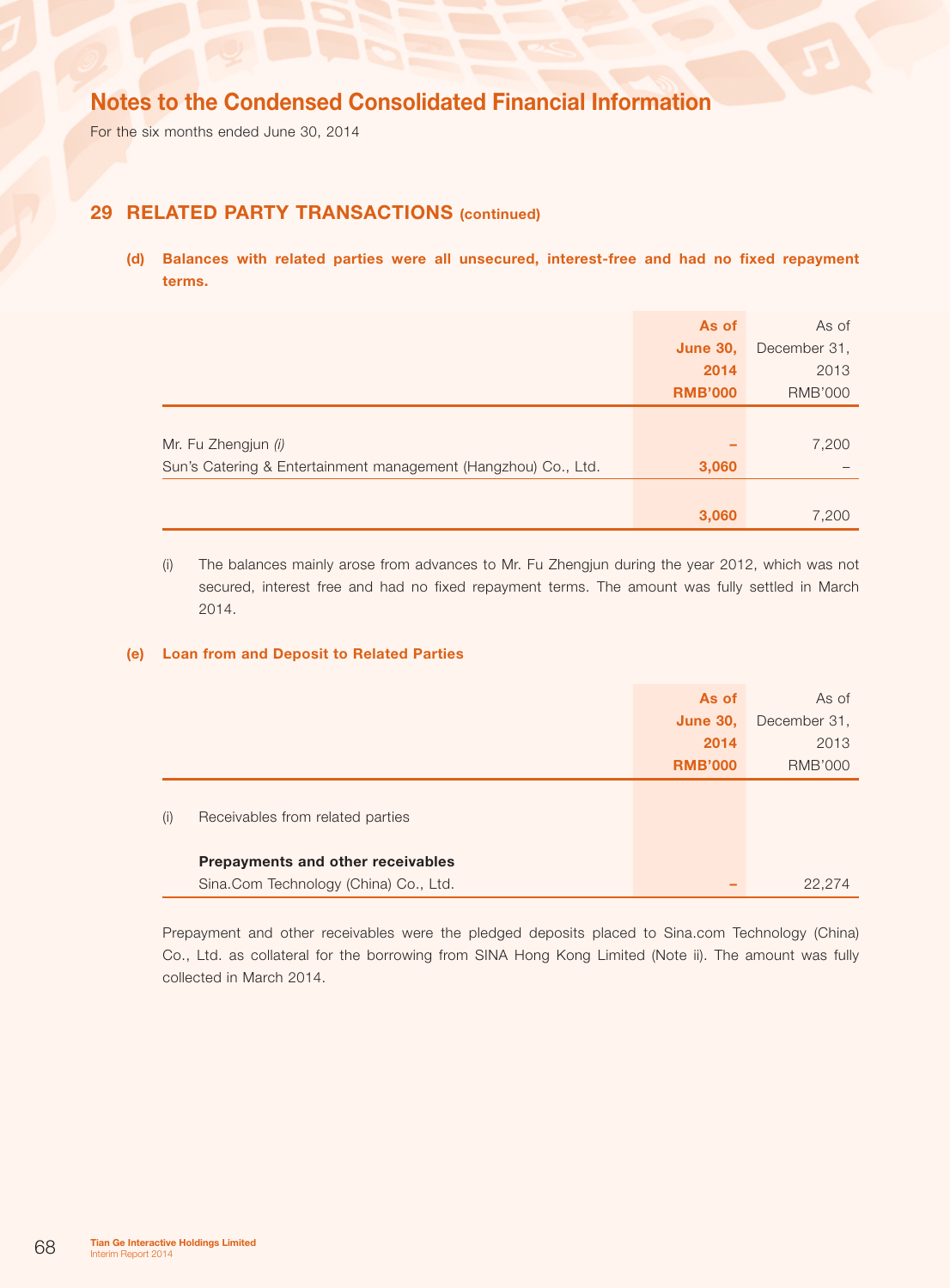For the six months ended June 30, 2014

## 29 RELATED PARTY TRANSACTIONS (continued)

(d) Balances with related parties were all unsecured, interest-free and had no fixed repayment terms.

|                                                                | As of           | As of          |
|----------------------------------------------------------------|-----------------|----------------|
|                                                                | <b>June 30,</b> | December 31,   |
|                                                                | 2014            | 2013           |
|                                                                | <b>RMB'000</b>  | <b>RMB'000</b> |
|                                                                |                 |                |
| Mr. Fu Zhengjun (i)                                            |                 | 7,200          |
| Sun's Catering & Entertainment management (Hangzhou) Co., Ltd. | 3,060           |                |
|                                                                |                 |                |
|                                                                | 3,060           | 7,200          |

(i) The balances mainly arose from advances to Mr. Fu Zhengjun during the year 2012, which was not secured, interest free and had no fixed repayment terms. The amount was fully settled in March 2014.

### (e) Loan from and Deposit to Related Parties

|     |                                       | As of           | As of          |
|-----|---------------------------------------|-----------------|----------------|
|     |                                       | <b>June 30,</b> | December 31,   |
|     |                                       | 2014            | 2013           |
|     |                                       | <b>RMB'000</b>  | <b>RMB'000</b> |
| (i) | Receivables from related parties      |                 |                |
|     | Prepayments and other receivables     |                 |                |
|     | Sina.Com Technology (China) Co., Ltd. |                 | 22,274         |

Prepayment and other receivables were the pledged deposits placed to Sina.com Technology (China) Co., Ltd. as collateral for the borrowing from SINA Hong Kong Limited (Note ii). The amount was fully collected in March 2014.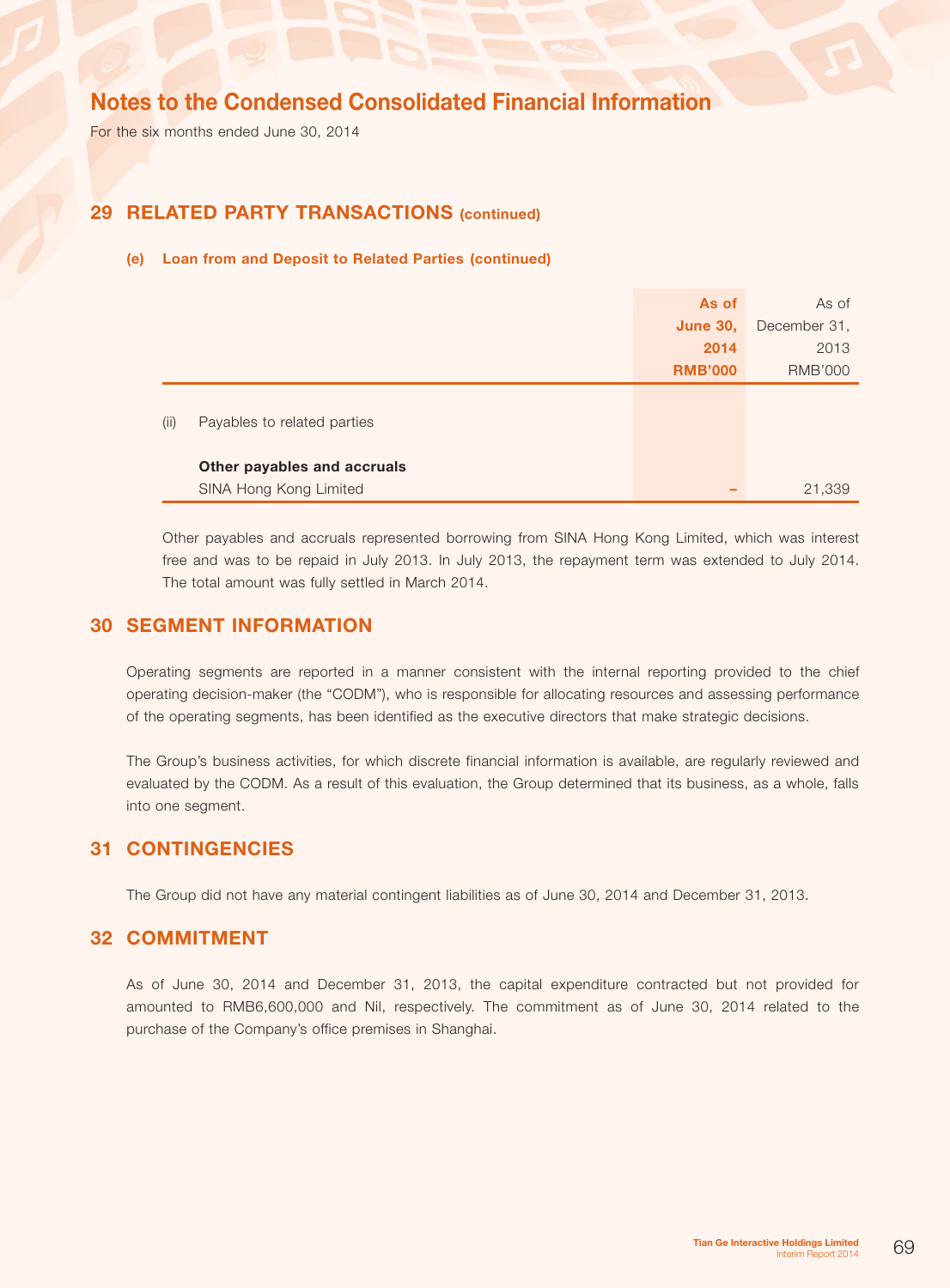For the six months ended June 30, 2014

### 29 RELATED PARTY TRANSACTIONS (continued)

### (e) Loan from and Deposit to Related Parties (continued)

|      |                             | As of           | As of          |
|------|-----------------------------|-----------------|----------------|
|      |                             | <b>June 30,</b> | December 31,   |
|      |                             | 2014            | 2013           |
|      |                             | <b>RMB'000</b>  | <b>RMB'000</b> |
| (ii) | Payables to related parties |                 |                |
|      | Other payables and accruals |                 |                |
|      | SINA Hong Kong Limited      |                 | 21,339         |

Other payables and accruals represented borrowing from SINA Hong Kong Limited, which was interest free and was to be repaid in July 2013. In July 2013, the repayment term was extended to July 2014. The total amount was fully settled in March 2014.

### 30 SEGMENT INFORMATION

Operating segments are reported in a manner consistent with the internal reporting provided to the chief operating decision-maker (the "CODM"), who is responsible for allocating resources and assessing performance of the operating segments, has been identified as the executive directors that make strategic decisions.

The Group's business activities, for which discrete financial information is available, are regularly reviewed and evaluated by the CODM. As a result of this evaluation, the Group determined that its business, as a whole, falls into one segment.

### **31 CONTINGENCIES**

The Group did not have any material contingent liabilities as of June 30, 2014 and December 31, 2013.

### **32 COMMITMENT**

As of June 30, 2014 and December 31, 2013, the capital expenditure contracted but not provided for amounted to RMB6,600,000 and Nil, respectively. The commitment as of June 30, 2014 related to the purchase of the Company's office premises in Shanghai.